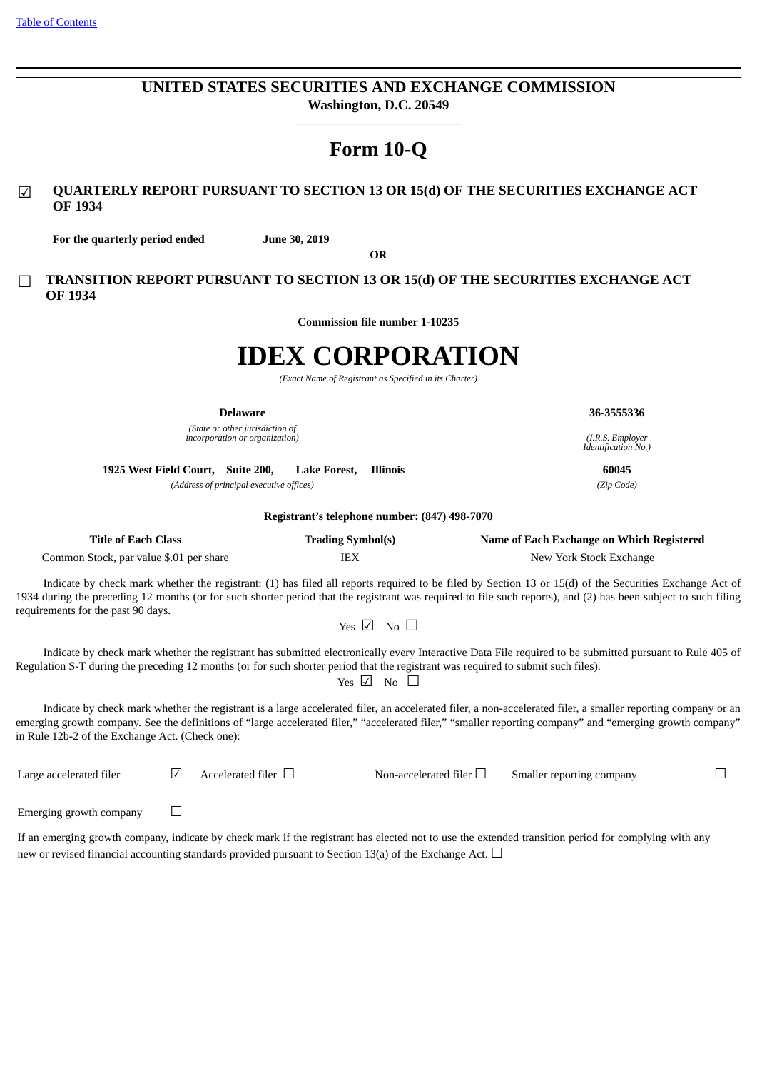# **UNITED STATES SECURITIES AND EXCHANGE COMMISSION Washington, D.C. 20549**

 $\_$ 

# **Form 10-Q**

# ☑ **QUARTERLY REPORT PURSUANT TO SECTION 13 OR 15(d) OF THE SECURITIES EXCHANGE ACT OF 1934**

**For the quarterly period ended June 30, 2019**

**OR**

# ☐ **TRANSITION REPORT PURSUANT TO SECTION 13 OR 15(d) OF THE SECURITIES EXCHANGE ACT OF 1934**

**Commission file number 1-10235**

# **IDEX CORPORATION**

*(Exact Name of Registrant as Specified in its Charter)*

*(State or other jurisdiction of incorporation or organization) (I.R.S. Employer*

**Delaware 36-3555336**

*Identification No.)*

**1925 West Field Court, Suite 200, Lake Forest, Illinois 60045**

*(Address of principal executive offices) (Zip Code)*

**Registrant's telephone number: (847) 498-7070**

| <b>Title of Each Class</b>              | <b>Trading Symbol(s)</b> | Name of Each Exchange on Which Registered |
|-----------------------------------------|--------------------------|-------------------------------------------|
| Common Stock, par value \$.01 per share | IEX                      | New York Stock Exchange                   |

Indicate by check mark whether the registrant: (1) has filed all reports required to be filed by Section 13 or 15(d) of the Securities Exchange Act of 1934 during the preceding 12 months (or for such shorter period that the registrant was required to file such reports), and (2) has been subject to such filing requirements for the past 90 days.

 $V_{PS}$   $\Box$  No  $\Box$ 

Indicate by check mark whether the registrant has submitted electronically every Interactive Data File required to be submitted pursuant to Rule 405 of Regulation S-T during the preceding 12 months (or for such shorter period that the registrant was required to submit such files). Yes  $\sqrt{ }$  No  $\Box$ 

Indicate by check mark whether the registrant is a large accelerated filer, an accelerated filer, a non-accelerated filer, a smaller reporting company or an emerging growth company. See the definitions of "large accelerated filer," "accelerated filer," "smaller reporting company" and "emerging growth company" in Rule 12b-2 of the Exchange Act. (Check one):

Large accelerated filer  $□$  Accelerated filer  $□$  Non-accelerated filer  $□$  Smaller reporting company  $□$ 

Emerging growth company  $\Box$ 

If an emerging growth company, indicate by check mark if the registrant has elected not to use the extended transition period for complying with any new or revised financial accounting standards provided pursuant to Section 13(a) of the Exchange Act.  $\Box$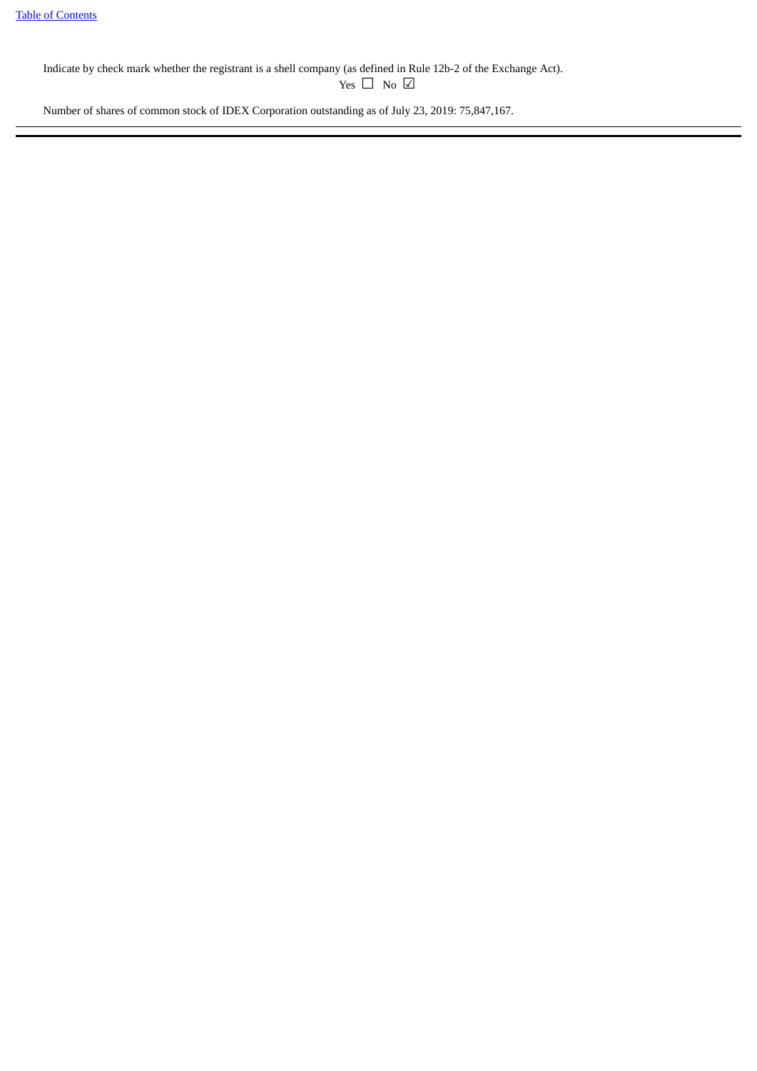Indicate by check mark whether the registrant is a shell company (as defined in Rule 12b-2 of the Exchange Act). Yes □ No ☑

Number of shares of common stock of IDEX Corporation outstanding as of July 23, 2019: 75,847,167.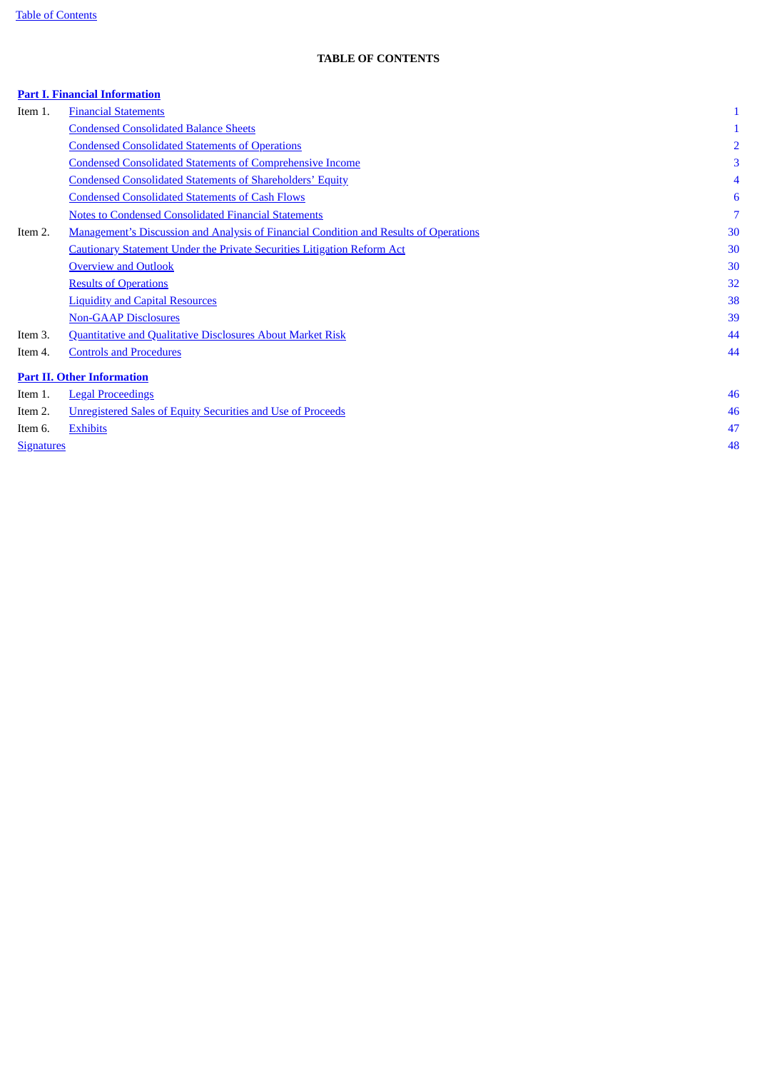# **TABLE OF CONTENTS**

# <span id="page-2-0"></span>**Part I. Financial [Information](#page-3-0)**

| Item 1.           | <b>Financial Statements</b>                                                                  | 1  |
|-------------------|----------------------------------------------------------------------------------------------|----|
|                   | <b>Condensed Consolidated Balance Sheets</b>                                                 |    |
|                   | <b>Condensed Consolidated Statements of Operations</b>                                       | 2  |
|                   | <b>Condensed Consolidated Statements of Comprehensive Income</b>                             | 3  |
|                   | <b>Condensed Consolidated Statements of Shareholders' Equity</b>                             | 4  |
|                   | <b>Condensed Consolidated Statements of Cash Flows</b>                                       | 6  |
|                   | <b>Notes to Condensed Consolidated Financial Statements</b>                                  | 7  |
| Item 2.           | <b>Management's Discussion and Analysis of Financial Condition and Results of Operations</b> | 30 |
|                   | <b>Cautionary Statement Under the Private Securities Litigation Reform Act</b>               | 30 |
|                   | <b>Overview and Outlook</b>                                                                  | 30 |
|                   | <b>Results of Operations</b>                                                                 | 32 |
|                   | <b>Liquidity and Capital Resources</b>                                                       | 38 |
|                   | <b>Non-GAAP Disclosures</b>                                                                  | 39 |
| Item 3.           | <b>Quantitative and Qualitative Disclosures About Market Risk</b>                            | 44 |
| Item 4.           | <b>Controls and Procedures</b>                                                               | 44 |
|                   | <b>Part II. Other Information</b>                                                            |    |
| Item 1.           | <b>Legal Proceedings</b>                                                                     | 46 |
| Item 2.           | <b>Unregistered Sales of Equity Securities and Use of Proceeds</b>                           | 46 |
| Item 6.           | <b>Exhibits</b>                                                                              | 47 |
| <b>Signatures</b> |                                                                                              | 48 |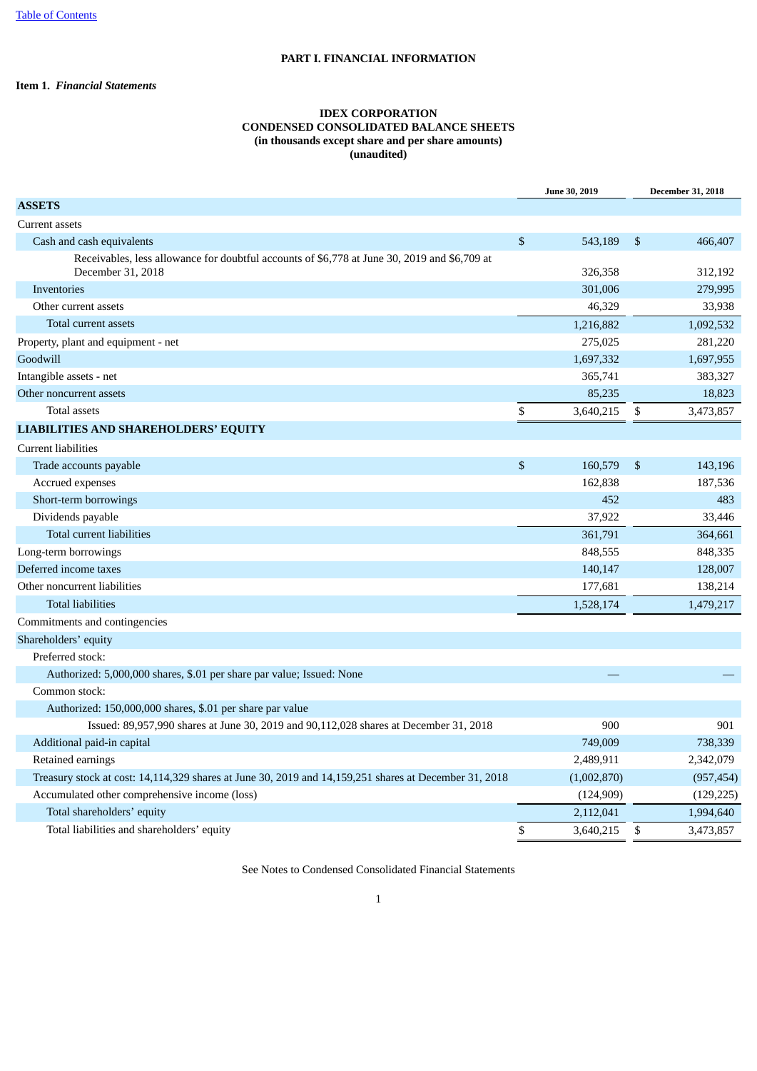# **PART I. FINANCIAL INFORMATION**

# <span id="page-3-2"></span><span id="page-3-1"></span><span id="page-3-0"></span>**Item 1.** *Financial Statements*

# **IDEX CORPORATION CONDENSED CONSOLIDATED BALANCE SHEETS (in thousands except share and per share amounts) (unaudited)**

|                                                                                                       |                           | June 30, 2019 | <b>December 31, 2018</b> |
|-------------------------------------------------------------------------------------------------------|---------------------------|---------------|--------------------------|
| <b>ASSETS</b>                                                                                         |                           |               |                          |
| Current assets                                                                                        |                           |               |                          |
| Cash and cash equivalents                                                                             | $\boldsymbol{\mathsf{S}}$ | 543,189       | \$<br>466,407            |
| Receivables, less allowance for doubtful accounts of \$6,778 at June 30, 2019 and \$6,709 at          |                           |               |                          |
| December 31, 2018                                                                                     |                           | 326,358       | 312,192                  |
| Inventories                                                                                           |                           | 301,006       | 279,995                  |
| Other current assets                                                                                  |                           | 46,329        | 33,938                   |
| Total current assets                                                                                  |                           | 1,216,882     | 1,092,532                |
| Property, plant and equipment - net                                                                   |                           | 275,025       | 281,220                  |
| Goodwill                                                                                              |                           | 1,697,332     | 1,697,955                |
| Intangible assets - net                                                                               |                           | 365,741       | 383,327                  |
| Other noncurrent assets                                                                               |                           | 85,235        | 18,823                   |
| <b>Total assets</b>                                                                                   | \$                        | 3,640,215     | \$<br>3,473,857          |
| <b>LIABILITIES AND SHAREHOLDERS' EQUITY</b>                                                           |                           |               |                          |
| <b>Current liabilities</b>                                                                            |                           |               |                          |
| Trade accounts payable                                                                                | \$                        | 160,579       | \$<br>143,196            |
| Accrued expenses                                                                                      |                           | 162,838       | 187,536                  |
| Short-term borrowings                                                                                 |                           | 452           | 483                      |
| Dividends payable                                                                                     |                           | 37,922        | 33,446                   |
| Total current liabilities                                                                             |                           | 361,791       | 364,661                  |
| Long-term borrowings                                                                                  |                           | 848,555       | 848,335                  |
| Deferred income taxes                                                                                 |                           | 140,147       | 128,007                  |
| Other noncurrent liabilities                                                                          |                           | 177,681       | 138,214                  |
| <b>Total liabilities</b>                                                                              |                           | 1,528,174     | 1,479,217                |
| Commitments and contingencies                                                                         |                           |               |                          |
| Shareholders' equity                                                                                  |                           |               |                          |
| Preferred stock:                                                                                      |                           |               |                          |
| Authorized: 5,000,000 shares, \$.01 per share par value; Issued: None                                 |                           |               |                          |
| Common stock:                                                                                         |                           |               |                          |
| Authorized: 150,000,000 shares, \$.01 per share par value                                             |                           |               |                          |
| Issued: 89,957,990 shares at June 30, 2019 and 90,112,028 shares at December 31, 2018                 |                           | 900           | 901                      |
| Additional paid-in capital                                                                            |                           | 749,009       | 738,339                  |
| Retained earnings                                                                                     |                           | 2,489,911     | 2,342,079                |
| Treasury stock at cost: 14,114,329 shares at June 30, 2019 and 14,159,251 shares at December 31, 2018 |                           | (1,002,870)   | (957, 454)               |
| Accumulated other comprehensive income (loss)                                                         |                           | (124, 909)    | (129, 225)               |
| Total shareholders' equity                                                                            |                           | 2,112,041     | 1,994,640                |
| Total liabilities and shareholders' equity                                                            | \$                        | 3,640,215     | \$<br>3,473,857          |

See Notes to Condensed Consolidated Financial Statements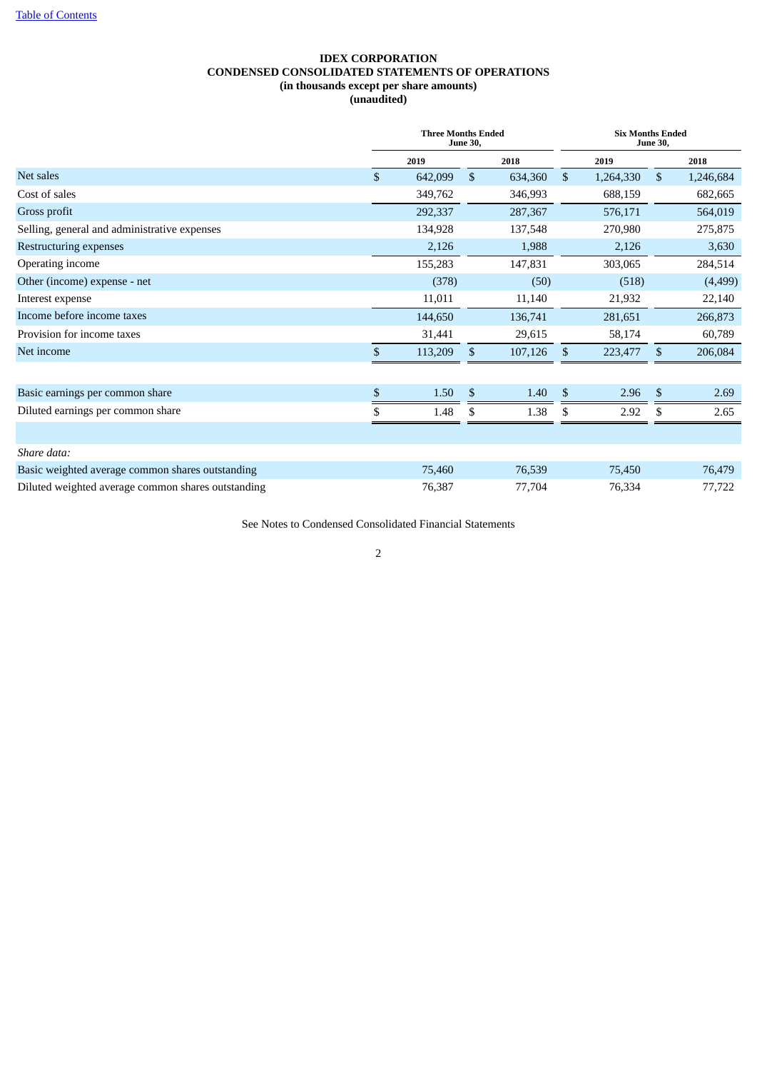# **IDEX CORPORATION CONDENSED CONSOLIDATED STATEMENTS OF OPERATIONS (in thousands except per share amounts) (unaudited)**

<span id="page-4-0"></span>

|                                                    |     | <b>Three Months Ended</b> | <b>June 30,</b> |         |               | <b>Six Months Ended</b> | <b>June 30,</b> |           |
|----------------------------------------------------|-----|---------------------------|-----------------|---------|---------------|-------------------------|-----------------|-----------|
|                                                    |     | 2019                      |                 | 2018    |               | 2019                    |                 | 2018      |
| Net sales                                          | \$  | 642,099                   | $\mathbb{S}$    | 634,360 | $\mathbb{S}$  | 1,264,330               | \$              | 1,246,684 |
| Cost of sales                                      |     | 349,762                   |                 | 346,993 |               | 688,159                 |                 | 682,665   |
| Gross profit                                       |     | 292,337                   |                 | 287,367 |               | 576,171                 |                 | 564,019   |
| Selling, general and administrative expenses       |     | 134,928                   |                 | 137,548 |               | 270,980                 |                 | 275,875   |
| Restructuring expenses                             |     | 2,126                     |                 | 1,988   |               | 2,126                   |                 | 3,630     |
| Operating income                                   |     | 155,283                   |                 | 147,831 |               | 303,065                 |                 | 284,514   |
| Other (income) expense - net                       |     | (378)                     |                 | (50)    |               | (518)                   |                 | (4, 499)  |
| Interest expense                                   |     | 11,011                    |                 | 11,140  |               | 21,932                  |                 | 22,140    |
| Income before income taxes                         |     | 144,650                   |                 | 136,741 |               | 281,651                 |                 | 266,873   |
| Provision for income taxes                         |     | 31,441                    |                 | 29,615  |               | 58,174                  |                 | 60,789    |
| Net income                                         | \$  | 113,209                   | \$              | 107,126 | <sup>\$</sup> | 223,477                 | \$              | 206,084   |
|                                                    |     |                           |                 |         |               |                         |                 |           |
| Basic earnings per common share                    | \$  | 1.50                      | $\mathfrak{S}$  | 1.40    | <sup>\$</sup> | 2.96                    | $\mathfrak{F}$  | 2.69      |
| Diluted earnings per common share                  | \$. | 1.48                      | S               | 1.38    | \$.           | 2.92                    | S               | 2.65      |
|                                                    |     |                           |                 |         |               |                         |                 |           |
| Share data:                                        |     |                           |                 |         |               |                         |                 |           |
| Basic weighted average common shares outstanding   |     | 75,460                    |                 | 76,539  |               | 75,450                  |                 | 76,479    |
| Diluted weighted average common shares outstanding |     | 76,387                    |                 | 77,704  |               | 76,334                  |                 | 77,722    |

See Notes to Condensed Consolidated Financial Statements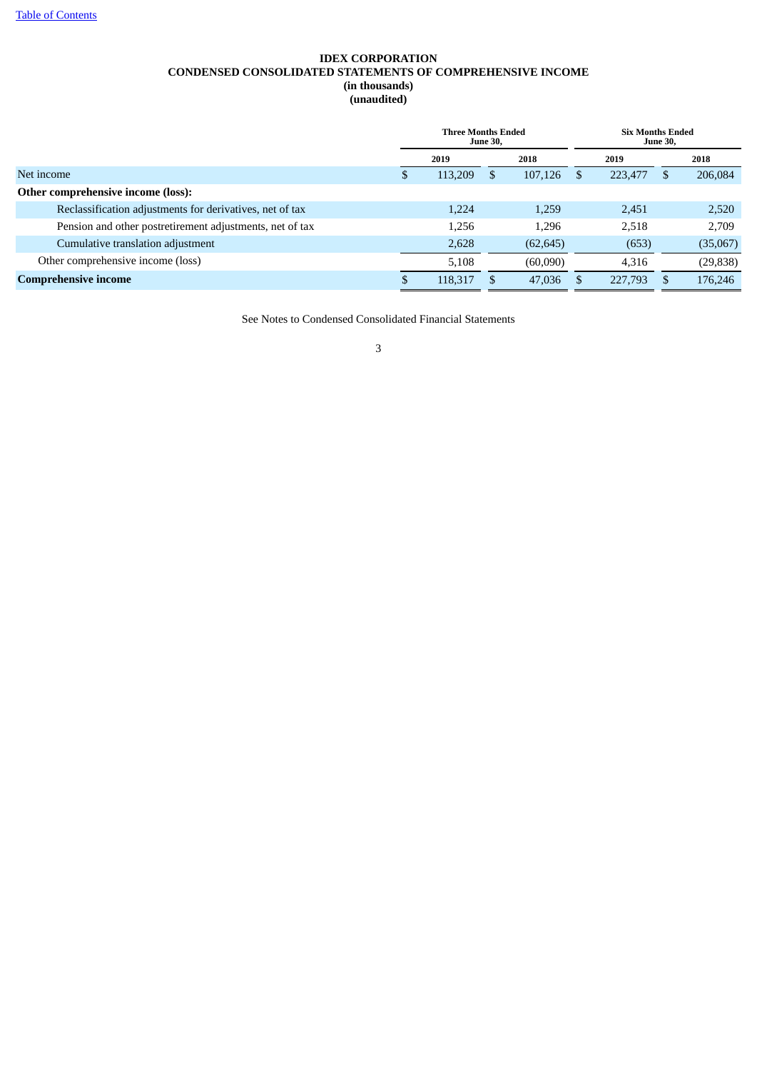# **IDEX CORPORATION CONDENSED CONSOLIDATED STATEMENTS OF COMPREHENSIVE INCOME (in thousands)**

| (unaudited) |
|-------------|
|             |

<span id="page-5-0"></span>

|                                                          | <b>Three Months Ended</b> | <b>June 30.</b> |           |         |         | <b>Six Months Ended</b><br><b>June 30.</b> |           |  |
|----------------------------------------------------------|---------------------------|-----------------|-----------|---------|---------|--------------------------------------------|-----------|--|
|                                                          | 2019                      |                 | 2018      |         | 2019    |                                            | 2018      |  |
| Net income                                               | \$<br>113,209             | S.              | 107,126   | S       | 223,477 | Ж                                          | 206,084   |  |
| Other comprehensive income (loss):                       |                           |                 |           |         |         |                                            |           |  |
| Reclassification adjustments for derivatives, net of tax | 1,224                     |                 | 1,259     |         | 2,451   |                                            | 2,520     |  |
| Pension and other postretirement adjustments, net of tax | 1,256                     |                 | 1,296     |         | 2,518   |                                            | 2.709     |  |
| Cumulative translation adjustment                        | 2,628                     |                 | (62, 645) |         | (653)   |                                            | (35,067)  |  |
| Other comprehensive income (loss)                        | 5,108                     |                 | (60,090)  |         | 4,316   |                                            | (29, 838) |  |
| <b>Comprehensive income</b>                              | 118,317                   |                 | 47,036    | 227,793 |         |                                            | 176,246   |  |

See Notes to Condensed Consolidated Financial Statements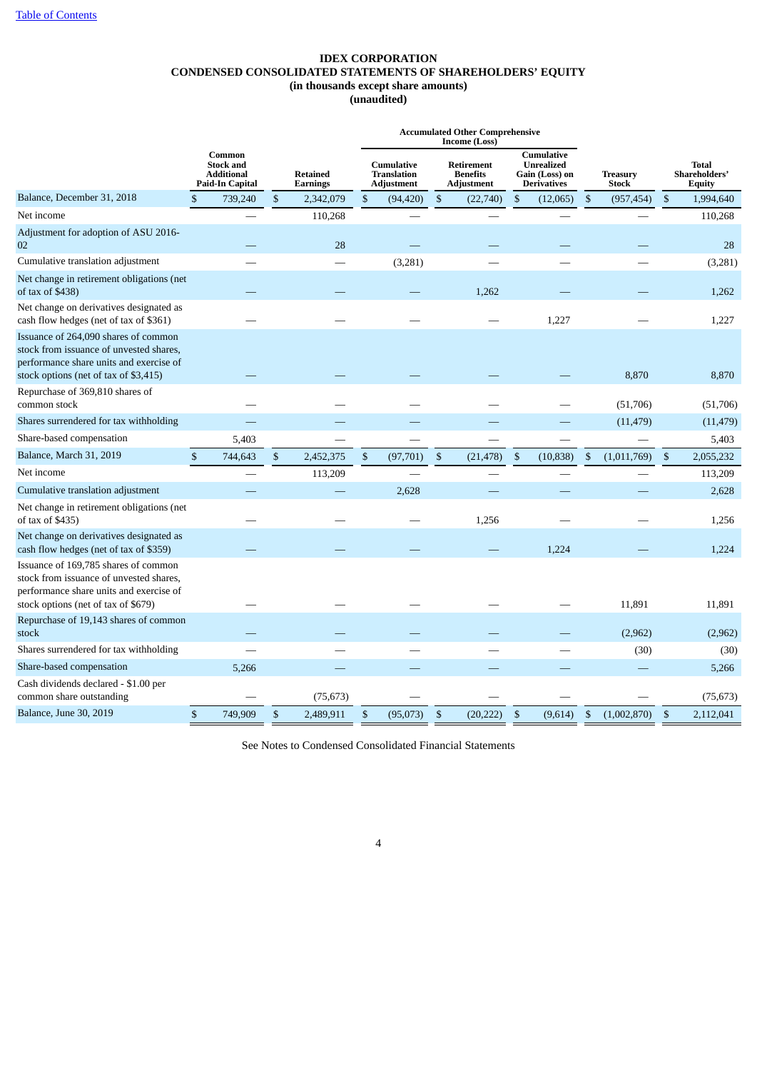# **IDEX CORPORATION CONDENSED CONSOLIDATED STATEMENTS OF SHAREHOLDERS' EQUITY (in thousands except share amounts)**

| (unaudited) |  |
|-------------|--|

<span id="page-6-0"></span>

|                                                                                                                                                                     |              |                                                                    |              |                                    |                                                              | <b>Accumulated Other Comprehensive</b><br><b>Income (Loss)</b> |                                                           |                |                                                                         |                |                                 |                |                                                |
|---------------------------------------------------------------------------------------------------------------------------------------------------------------------|--------------|--------------------------------------------------------------------|--------------|------------------------------------|--------------------------------------------------------------|----------------------------------------------------------------|-----------------------------------------------------------|----------------|-------------------------------------------------------------------------|----------------|---------------------------------|----------------|------------------------------------------------|
|                                                                                                                                                                     |              | Common<br><b>Stock and</b><br><b>Additional</b><br>Paid-In Capital |              | <b>Retained</b><br><b>Earnings</b> | <b>Cumulative</b><br><b>Translation</b><br><b>Adjustment</b> |                                                                | <b>Retirement</b><br><b>Benefits</b><br><b>Adjustment</b> |                | Cumulative<br><b>Unrealized</b><br>Gain (Loss) on<br><b>Derivatives</b> |                | <b>Treasury</b><br><b>Stock</b> |                | <b>Total</b><br>Shareholders'<br><b>Equity</b> |
| Balance, December 31, 2018                                                                                                                                          | \$           | 739,240                                                            | \$           | 2,342,079                          | \$<br>(94, 420)                                              | \$                                                             | (22,740)                                                  | \$             | (12,065)                                                                | \$             | (957, 454)                      | \$             | 1,994,640                                      |
| Net income                                                                                                                                                          |              |                                                                    |              | 110,268                            |                                                              |                                                                |                                                           |                |                                                                         |                |                                 |                | 110,268                                        |
| Adjustment for adoption of ASU 2016-<br>02                                                                                                                          |              |                                                                    |              | 28                                 |                                                              |                                                                |                                                           |                |                                                                         |                |                                 |                | 28                                             |
| Cumulative translation adjustment                                                                                                                                   |              |                                                                    |              |                                    | (3,281)                                                      |                                                                |                                                           |                |                                                                         |                |                                 |                | (3,281)                                        |
| Net change in retirement obligations (net<br>of tax of \$438)                                                                                                       |              |                                                                    |              |                                    |                                                              |                                                                | 1,262                                                     |                |                                                                         |                |                                 |                | 1,262                                          |
| Net change on derivatives designated as<br>cash flow hedges (net of tax of \$361)                                                                                   |              |                                                                    |              |                                    |                                                              |                                                                |                                                           |                | 1,227                                                                   |                |                                 |                | 1,227                                          |
| Issuance of 264,090 shares of common<br>stock from issuance of unvested shares,<br>performance share units and exercise of<br>stock options (net of tax of \$3,415) |              |                                                                    |              |                                    |                                                              |                                                                |                                                           |                |                                                                         |                | 8,870                           |                | 8,870                                          |
| Repurchase of 369,810 shares of<br>common stock                                                                                                                     |              |                                                                    |              |                                    |                                                              |                                                                |                                                           |                |                                                                         |                | (51,706)                        |                | (51,706)                                       |
| Shares surrendered for tax withholding                                                                                                                              |              |                                                                    |              |                                    |                                                              |                                                                |                                                           |                |                                                                         |                | (11, 479)                       |                | (11, 479)                                      |
| Share-based compensation                                                                                                                                            |              | 5,403                                                              |              |                                    |                                                              |                                                                |                                                           |                |                                                                         |                |                                 |                | 5,403                                          |
| Balance, March 31, 2019                                                                                                                                             | $\mathbb{S}$ | 744,643                                                            | $\mathbb{S}$ | 2,452,375                          | \$<br>(97, 701)                                              | $\mathfrak{s}$                                                 | (21, 478)                                                 | $\mathfrak{s}$ | (10, 838)                                                               | \$             | (1,011,769)                     | $\mathfrak{s}$ | 2,055,232                                      |
| Net income                                                                                                                                                          |              |                                                                    |              | 113,209                            |                                                              |                                                                |                                                           |                |                                                                         |                |                                 |                | 113,209                                        |
| Cumulative translation adjustment                                                                                                                                   |              |                                                                    |              |                                    | 2,628                                                        |                                                                |                                                           |                |                                                                         |                |                                 |                | 2,628                                          |
| Net change in retirement obligations (net<br>of tax of \$435)                                                                                                       |              |                                                                    |              |                                    |                                                              |                                                                | 1,256                                                     |                |                                                                         |                |                                 |                | 1,256                                          |
| Net change on derivatives designated as<br>cash flow hedges (net of tax of \$359)                                                                                   |              |                                                                    |              |                                    |                                                              |                                                                |                                                           |                | 1,224                                                                   |                |                                 |                | 1,224                                          |
| Issuance of 169,785 shares of common<br>stock from issuance of unvested shares,<br>performance share units and exercise of<br>stock options (net of tax of \$679)   |              |                                                                    |              |                                    |                                                              |                                                                |                                                           |                |                                                                         |                | 11,891                          |                | 11,891                                         |
| Repurchase of 19,143 shares of common<br>stock                                                                                                                      |              |                                                                    |              |                                    |                                                              |                                                                |                                                           |                |                                                                         |                | (2,962)                         |                | (2,962)                                        |
| Shares surrendered for tax withholding                                                                                                                              |              |                                                                    |              |                                    |                                                              |                                                                |                                                           |                |                                                                         |                | (30)                            |                | (30)                                           |
| Share-based compensation                                                                                                                                            |              | 5,266                                                              |              |                                    |                                                              |                                                                |                                                           |                |                                                                         |                |                                 |                | 5,266                                          |
| Cash dividends declared - \$1.00 per<br>common share outstanding                                                                                                    |              |                                                                    |              | (75, 673)                          |                                                              |                                                                |                                                           |                |                                                                         |                |                                 |                | (75, 673)                                      |
| Balance, June 30, 2019                                                                                                                                              | \$           | 749.909                                                            | \$           | 2,489,911                          | \$<br>(95,073)                                               | $\mathcal{S}$                                                  | (20, 222)                                                 | $\mathfrak{F}$ | (9.614)                                                                 | $\mathfrak{S}$ | (1.002.870)                     | $\mathbf{s}$   | 2,112,041                                      |

See Notes to Condensed Consolidated Financial Statements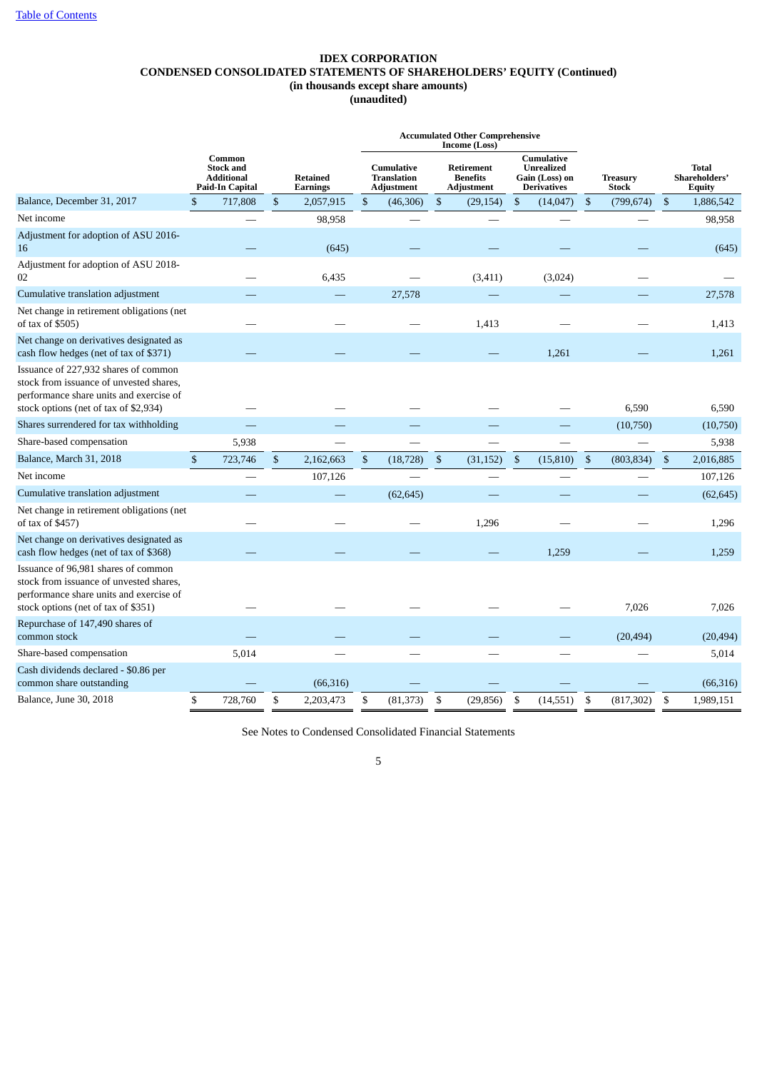### **IDEX CORPORATION CONDENSED CONSOLIDATED STATEMENTS OF SHAREHOLDERS' EQUITY (Continued) (in thousands except share amounts) (unaudited)**

|                                                                                                                                                                     |    |                                                                           | <b>Accumulated Other Comprehensive</b><br>Income (Loss) |                                    |    |                                                              |                |                                                           |                |                                                                         |                |                                 |                |                                                |
|---------------------------------------------------------------------------------------------------------------------------------------------------------------------|----|---------------------------------------------------------------------------|---------------------------------------------------------|------------------------------------|----|--------------------------------------------------------------|----------------|-----------------------------------------------------------|----------------|-------------------------------------------------------------------------|----------------|---------------------------------|----------------|------------------------------------------------|
|                                                                                                                                                                     |    | Common<br><b>Stock and</b><br><b>Additional</b><br><b>Paid-In Capital</b> |                                                         | <b>Retained</b><br><b>Earnings</b> |    | <b>Cumulative</b><br><b>Translation</b><br><b>Adjustment</b> |                | <b>Retirement</b><br><b>Benefits</b><br><b>Adjustment</b> |                | Cumulative<br><b>Unrealized</b><br>Gain (Loss) on<br><b>Derivatives</b> |                | <b>Treasury</b><br><b>Stock</b> |                | <b>Total</b><br>Shareholders'<br><b>Equity</b> |
| Balance, December 31, 2017                                                                                                                                          | S  | 717,808                                                                   | \$                                                      | 2,057,915                          | \$ | (46,306)                                                     | \$             | (29, 154)                                                 | \$             | (14, 047)                                                               | \$             | (799, 674)                      | \$             | 1,886,542                                      |
| Net income                                                                                                                                                          |    |                                                                           |                                                         | 98,958                             |    |                                                              |                |                                                           |                |                                                                         |                |                                 |                | 98,958                                         |
| Adjustment for adoption of ASU 2016-<br>16                                                                                                                          |    |                                                                           |                                                         | (645)                              |    |                                                              |                |                                                           |                |                                                                         |                |                                 |                | (645)                                          |
| Adjustment for adoption of ASU 2018-<br>02                                                                                                                          |    |                                                                           |                                                         | 6,435                              |    |                                                              |                | (3, 411)                                                  |                | (3,024)                                                                 |                |                                 |                |                                                |
| Cumulative translation adjustment                                                                                                                                   |    |                                                                           |                                                         |                                    |    | 27,578                                                       |                |                                                           |                |                                                                         |                |                                 |                | 27,578                                         |
| Net change in retirement obligations (net<br>of tax of \$505)                                                                                                       |    |                                                                           |                                                         |                                    |    |                                                              |                | 1,413                                                     |                |                                                                         |                |                                 |                | 1,413                                          |
| Net change on derivatives designated as<br>cash flow hedges (net of tax of \$371)                                                                                   |    |                                                                           |                                                         |                                    |    |                                                              |                |                                                           |                | 1,261                                                                   |                |                                 |                | 1,261                                          |
| Issuance of 227,932 shares of common<br>stock from issuance of unvested shares,<br>performance share units and exercise of<br>stock options (net of tax of \$2,934) |    |                                                                           |                                                         |                                    |    |                                                              |                |                                                           |                |                                                                         |                | 6,590                           |                | 6,590                                          |
| Shares surrendered for tax withholding                                                                                                                              |    |                                                                           |                                                         |                                    |    |                                                              |                |                                                           |                |                                                                         |                | (10,750)                        |                | (10,750)                                       |
| Share-based compensation                                                                                                                                            |    | 5,938                                                                     |                                                         |                                    |    |                                                              |                |                                                           |                |                                                                         |                |                                 |                | 5,938                                          |
| Balance, March 31, 2018                                                                                                                                             | \$ | 723,746                                                                   | $\mathbb{S}$                                            | 2,162,663                          | \$ | (18, 728)                                                    | $\mathfrak{s}$ | (31, 152)                                                 | $\mathfrak{s}$ | (15, 810)                                                               | $\mathfrak{S}$ | (803, 834)                      | $\mathfrak{S}$ | 2,016,885                                      |
| Net income                                                                                                                                                          |    |                                                                           |                                                         | 107,126                            |    |                                                              |                |                                                           |                |                                                                         |                |                                 |                | 107,126                                        |
| Cumulative translation adjustment                                                                                                                                   |    |                                                                           |                                                         |                                    |    | (62, 645)                                                    |                |                                                           |                |                                                                         |                |                                 |                | (62, 645)                                      |
| Net change in retirement obligations (net<br>of tax of \$457)                                                                                                       |    |                                                                           |                                                         |                                    |    |                                                              |                | 1,296                                                     |                |                                                                         |                |                                 |                | 1,296                                          |
| Net change on derivatives designated as<br>cash flow hedges (net of tax of \$368)                                                                                   |    |                                                                           |                                                         |                                    |    |                                                              |                |                                                           |                | 1,259                                                                   |                |                                 |                | 1,259                                          |
| Issuance of 96,981 shares of common<br>stock from issuance of unvested shares,<br>performance share units and exercise of<br>stock options (net of tax of \$351)    |    |                                                                           |                                                         |                                    |    |                                                              |                |                                                           |                |                                                                         |                | 7,026                           |                | 7,026                                          |
| Repurchase of 147,490 shares of                                                                                                                                     |    |                                                                           |                                                         |                                    |    |                                                              |                |                                                           |                |                                                                         |                |                                 |                |                                                |
| common stock                                                                                                                                                        |    |                                                                           |                                                         |                                    |    |                                                              |                |                                                           |                |                                                                         |                | (20, 494)                       |                | (20, 494)                                      |
| Share-based compensation                                                                                                                                            |    | 5,014                                                                     |                                                         |                                    |    |                                                              |                |                                                           |                |                                                                         |                |                                 |                | 5,014                                          |
| Cash dividends declared - \$0.86 per<br>common share outstanding                                                                                                    |    |                                                                           |                                                         | (66, 316)                          |    |                                                              |                |                                                           |                |                                                                         |                |                                 |                | (66,316)                                       |
| Balance, June 30, 2018                                                                                                                                              | \$ | 728.760                                                                   | \$                                                      | 2,203,473                          | \$ | (81, 373)                                                    | \$             | (29, 856)                                                 | \$             | (14, 551)                                                               | \$             | (817, 302)                      | \$             | 1,989,151                                      |

See Notes to Condensed Consolidated Financial Statements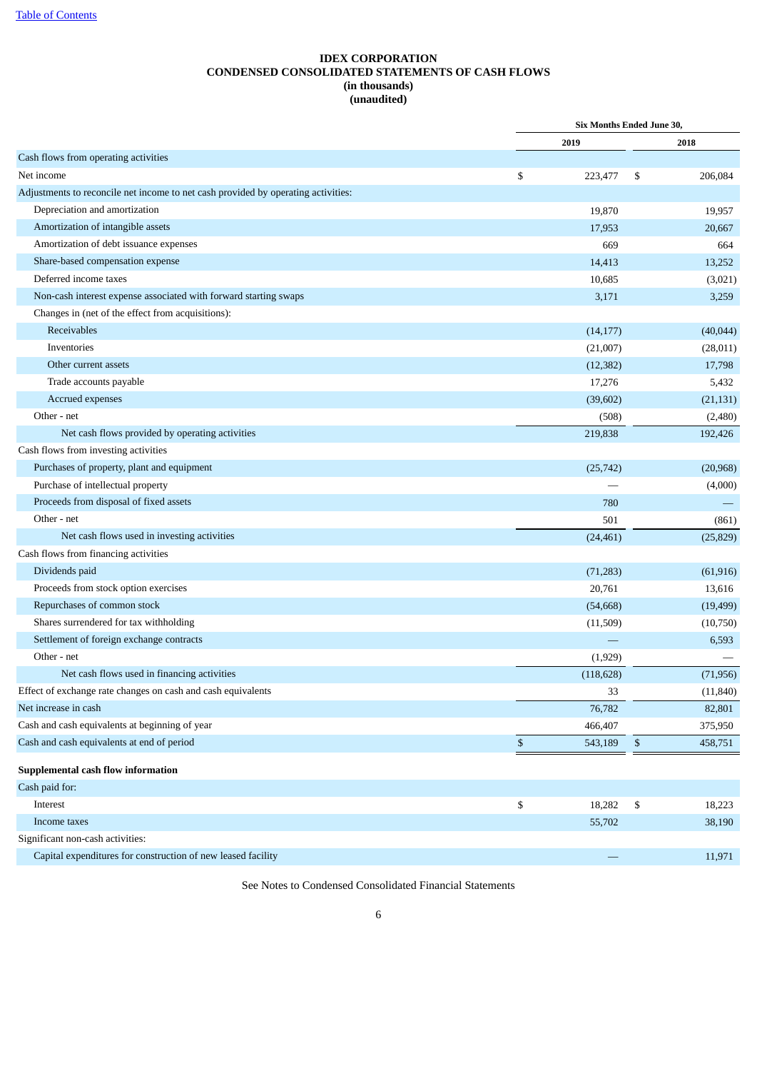# **IDEX CORPORATION CONDENSED CONSOLIDATED STATEMENTS OF CASH FLOWS (in thousands) (unaudited)**

<span id="page-8-0"></span>

|                                                                                   |              | <b>Six Months Ended June 30,</b> |              |           |  |  |
|-----------------------------------------------------------------------------------|--------------|----------------------------------|--------------|-----------|--|--|
|                                                                                   |              | 2019                             |              | 2018      |  |  |
| Cash flows from operating activities                                              |              |                                  |              |           |  |  |
| Net income                                                                        | \$           | 223,477                          | \$           | 206,084   |  |  |
| Adjustments to reconcile net income to net cash provided by operating activities: |              |                                  |              |           |  |  |
| Depreciation and amortization                                                     |              | 19,870                           |              | 19,957    |  |  |
| Amortization of intangible assets                                                 |              | 17,953                           |              | 20,667    |  |  |
| Amortization of debt issuance expenses                                            |              | 669                              |              | 664       |  |  |
| Share-based compensation expense                                                  |              | 14,413                           |              | 13,252    |  |  |
| Deferred income taxes                                                             |              | 10,685                           |              | (3,021)   |  |  |
| Non-cash interest expense associated with forward starting swaps                  |              | 3,171                            |              | 3,259     |  |  |
| Changes in (net of the effect from acquisitions):                                 |              |                                  |              |           |  |  |
| Receivables                                                                       |              | (14, 177)                        |              | (40, 044) |  |  |
| Inventories                                                                       |              | (21,007)                         |              | (28, 011) |  |  |
| Other current assets                                                              |              | (12, 382)                        |              | 17,798    |  |  |
| Trade accounts payable                                                            |              | 17,276                           |              | 5,432     |  |  |
| Accrued expenses                                                                  |              | (39,602)                         |              | (21, 131) |  |  |
| Other - net                                                                       |              | (508)                            |              | (2,480)   |  |  |
| Net cash flows provided by operating activities                                   |              | 219,838                          |              | 192,426   |  |  |
| Cash flows from investing activities                                              |              |                                  |              |           |  |  |
| Purchases of property, plant and equipment                                        |              | (25, 742)                        |              | (20,968)  |  |  |
| Purchase of intellectual property                                                 |              |                                  |              | (4,000)   |  |  |
| Proceeds from disposal of fixed assets                                            |              | 780                              |              |           |  |  |
| Other - net                                                                       |              | 501                              |              | (861)     |  |  |
| Net cash flows used in investing activities                                       |              | (24, 461)                        |              | (25, 829) |  |  |
| Cash flows from financing activities                                              |              |                                  |              |           |  |  |
| Dividends paid                                                                    |              | (71, 283)                        |              | (61, 916) |  |  |
| Proceeds from stock option exercises                                              |              | 20,761                           |              | 13,616    |  |  |
| Repurchases of common stock                                                       |              | (54, 668)                        |              | (19, 499) |  |  |
| Shares surrendered for tax withholding                                            |              | (11,509)                         |              | (10,750)  |  |  |
| Settlement of foreign exchange contracts                                          |              |                                  |              | 6,593     |  |  |
| Other - net                                                                       |              | (1,929)                          |              |           |  |  |
| Net cash flows used in financing activities                                       |              | (118, 628)                       |              | (71, 956) |  |  |
| Effect of exchange rate changes on cash and cash equivalents                      |              | 33                               |              | (11, 840) |  |  |
| Net increase in cash                                                              |              | 76,782                           |              | 82,801    |  |  |
| Cash and cash equivalents at beginning of year                                    |              | 466,407                          |              | 375,950   |  |  |
| Cash and cash equivalents at end of period                                        | $\mathbb{S}$ | 543,189                          | $\mathbb{S}$ | 458,751   |  |  |
|                                                                                   |              |                                  |              |           |  |  |
| Supplemental cash flow information                                                |              |                                  |              |           |  |  |
| Cash paid for:                                                                    |              |                                  |              |           |  |  |
| Interest                                                                          | \$           | 18,282                           | \$           | 18,223    |  |  |
| Income taxes                                                                      |              | 55,702                           |              | 38,190    |  |  |
| Significant non-cash activities:                                                  |              |                                  |              |           |  |  |
| Capital expenditures for construction of new leased facility                      |              |                                  |              | 11,971    |  |  |

See Notes to Condensed Consolidated Financial Statements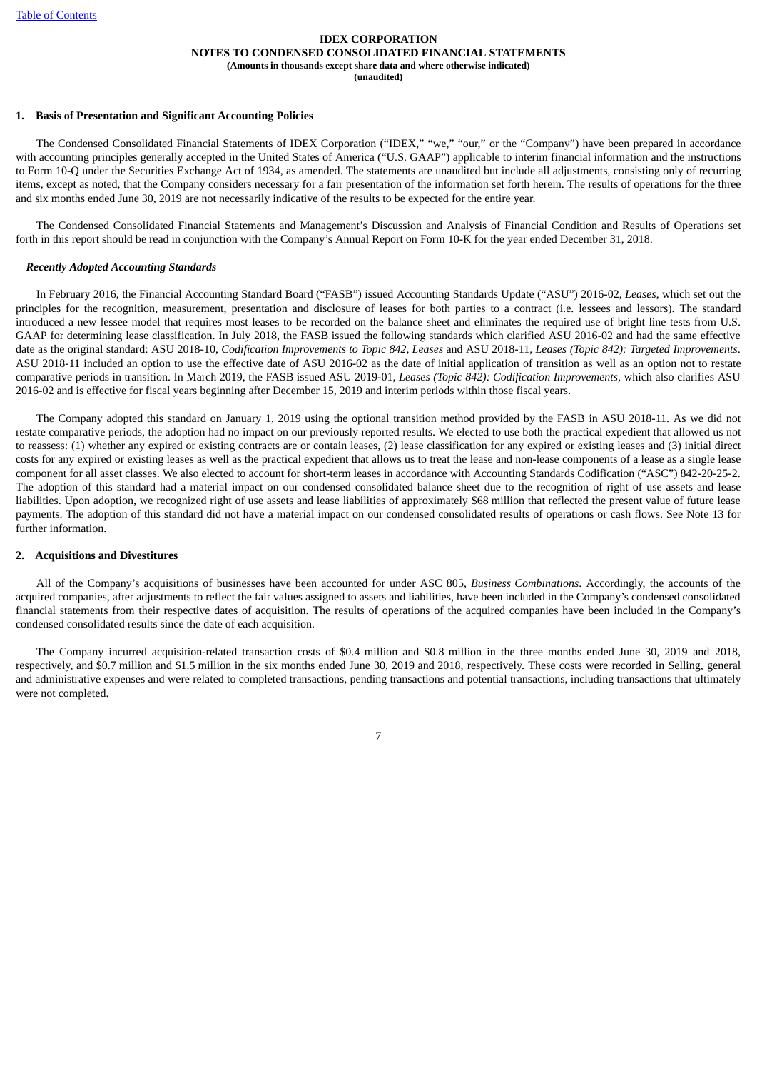#### <span id="page-9-0"></span>**1. Basis of Presentation and Significant Accounting Policies**

The Condensed Consolidated Financial Statements of IDEX Corporation ("IDEX," "we," "our," or the "Company") have been prepared in accordance with accounting principles generally accepted in the United States of America ("U.S. GAAP") applicable to interim financial information and the instructions to Form 10-Q under the Securities Exchange Act of 1934, as amended. The statements are unaudited but include all adjustments, consisting only of recurring items, except as noted, that the Company considers necessary for a fair presentation of the information set forth herein. The results of operations for the three and six months ended June 30, 2019 are not necessarily indicative of the results to be expected for the entire year.

The Condensed Consolidated Financial Statements and Management's Discussion and Analysis of Financial Condition and Results of Operations set forth in this report should be read in conjunction with the Company's Annual Report on Form 10-K for the year ended December 31, 2018.

#### *Recently Adopted Accounting Standards*

In February 2016, the Financial Accounting Standard Board ("FASB") issued Accounting Standards Update ("ASU") 2016-02, *Leases*, which set out the principles for the recognition, measurement, presentation and disclosure of leases for both parties to a contract (i.e. lessees and lessors). The standard introduced a new lessee model that requires most leases to be recorded on the balance sheet and eliminates the required use of bright line tests from U.S. GAAP for determining lease classification. In July 2018, the FASB issued the following standards which clarified ASU 2016-02 and had the same effective date as the original standard: ASU 2018-10, Codification Improvements to Topic 842, Leases and ASU 2018-11, Leases (Topic 842): Targeted Improvements. ASU 2018-11 included an option to use the effective date of ASU 2016-02 as the date of initial application of transition as well as an option not to restate comparative periods in transition. In March 2019, the FASB issued ASU 2019-01, *Leases (Topic 842): Codification Improvements,* which also clarifies ASU 2016-02 and is effective for fiscal years beginning after December 15, 2019 and interim periods within those fiscal years.

The Company adopted this standard on January 1, 2019 using the optional transition method provided by the FASB in ASU 2018-11. As we did not restate comparative periods, the adoption had no impact on our previously reported results. We elected to use both the practical expedient that allowed us not to reassess: (1) whether any expired or existing contracts are or contain leases, (2) lease classification for any expired or existing leases and (3) initial direct costs for any expired or existing leases as well as the practical expedient that allows us to treat the lease and non-lease components of a lease as a single lease component for all asset classes. We also elected to account for short-term leases in accordance with Accounting Standards Codification ("ASC") 842-20-25-2. The adoption of this standard had a material impact on our condensed consolidated balance sheet due to the recognition of right of use assets and lease liabilities. Upon adoption, we recognized right of use assets and lease liabilities of approximately \$68 million that reflected the present value of future lease payments. The adoption of this standard did not have a material impact on our condensed consolidated results of operations or cash flows. See Note 13 for further information.

#### **2. Acquisitions and Divestitures**

All of the Company's acquisitions of businesses have been accounted for under ASC 805, *Business Combinations*. Accordingly, the accounts of the acquired companies, after adjustments to reflect the fair values assigned to assets and liabilities, have been included in the Company's condensed consolidated financial statements from their respective dates of acquisition. The results of operations of the acquired companies have been included in the Company's condensed consolidated results since the date of each acquisition.

The Company incurred acquisition-related transaction costs of \$0.4 million and \$0.8 million in the three months ended June 30, 2019 and 2018, respectively, and \$0.7 million and \$1.5 million in the six months ended June 30, 2019 and 2018, respectively. These costs were recorded in Selling, general and administrative expenses and were related to completed transactions, pending transactions and potential transactions, including transactions that ultimately were not completed.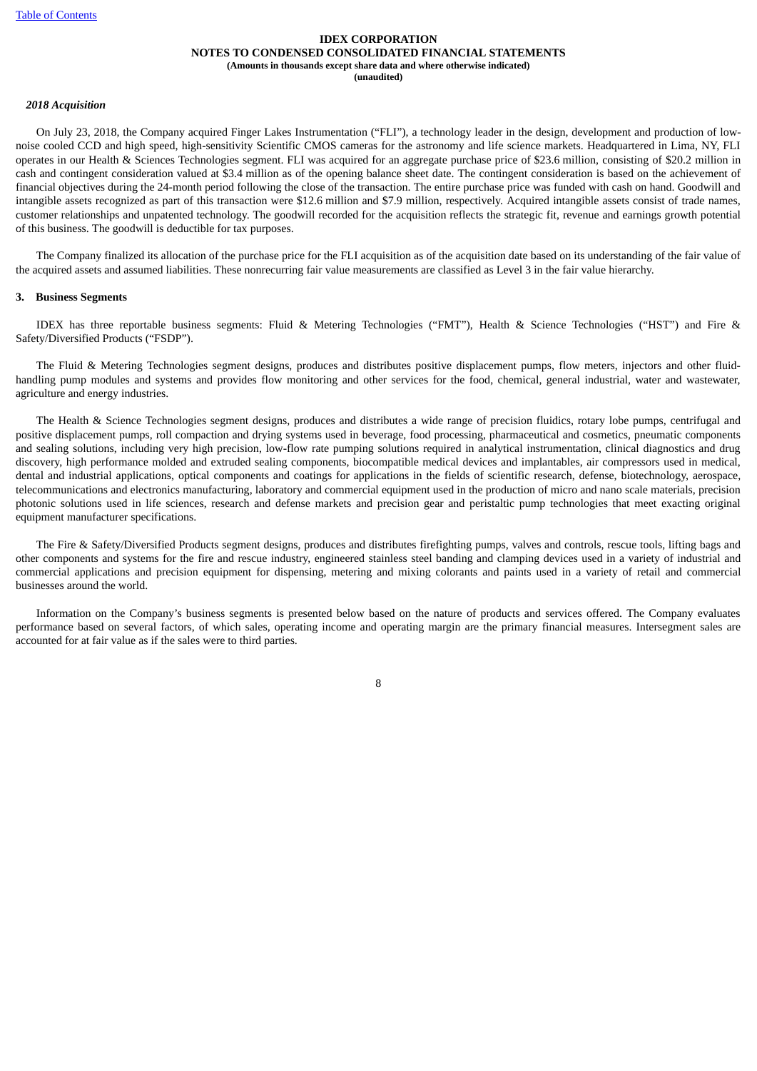#### *2018 Acquisition*

On July 23, 2018, the Company acquired Finger Lakes Instrumentation ("FLI"), a technology leader in the design, development and production of lownoise cooled CCD and high speed, high-sensitivity Scientific CMOS cameras for the astronomy and life science markets. Headquartered in Lima, NY, FLI operates in our Health & Sciences Technologies segment. FLI was acquired for an aggregate purchase price of \$23.6 million, consisting of \$20.2 million in cash and contingent consideration valued at \$3.4 million as of the opening balance sheet date. The contingent consideration is based on the achievement of financial objectives during the 24-month period following the close of the transaction. The entire purchase price was funded with cash on hand. Goodwill and intangible assets recognized as part of this transaction were \$12.6 million and \$7.9 million, respectively. Acquired intangible assets consist of trade names, customer relationships and unpatented technology. The goodwill recorded for the acquisition reflects the strategic fit, revenue and earnings growth potential of this business. The goodwill is deductible for tax purposes.

The Company finalized its allocation of the purchase price for the FLI acquisition as of the acquisition date based on its understanding of the fair value of the acquired assets and assumed liabilities. These nonrecurring fair value measurements are classified as Level 3 in the fair value hierarchy.

#### **3. Business Segments**

IDEX has three reportable business segments: Fluid & Metering Technologies ("FMT"), Health & Science Technologies ("HST") and Fire & Safety/Diversified Products ("FSDP").

The Fluid & Metering Technologies segment designs, produces and distributes positive displacement pumps, flow meters, injectors and other fluidhandling pump modules and systems and provides flow monitoring and other services for the food, chemical, general industrial, water and wastewater, agriculture and energy industries.

The Health & Science Technologies segment designs, produces and distributes a wide range of precision fluidics, rotary lobe pumps, centrifugal and positive displacement pumps, roll compaction and drying systems used in beverage, food processing, pharmaceutical and cosmetics, pneumatic components and sealing solutions, including very high precision, low-flow rate pumping solutions required in analytical instrumentation, clinical diagnostics and drug discovery, high performance molded and extruded sealing components, biocompatible medical devices and implantables, air compressors used in medical, dental and industrial applications, optical components and coatings for applications in the fields of scientific research, defense, biotechnology, aerospace, telecommunications and electronics manufacturing, laboratory and commercial equipment used in the production of micro and nano scale materials, precision photonic solutions used in life sciences, research and defense markets and precision gear and peristaltic pump technologies that meet exacting original equipment manufacturer specifications.

The Fire & Safety/Diversified Products segment designs, produces and distributes firefighting pumps, valves and controls, rescue tools, lifting bags and other components and systems for the fire and rescue industry, engineered stainless steel banding and clamping devices used in a variety of industrial and commercial applications and precision equipment for dispensing, metering and mixing colorants and paints used in a variety of retail and commercial businesses around the world.

Information on the Company's business segments is presented below based on the nature of products and services offered. The Company evaluates performance based on several factors, of which sales, operating income and operating margin are the primary financial measures. Intersegment sales are accounted for at fair value as if the sales were to third parties.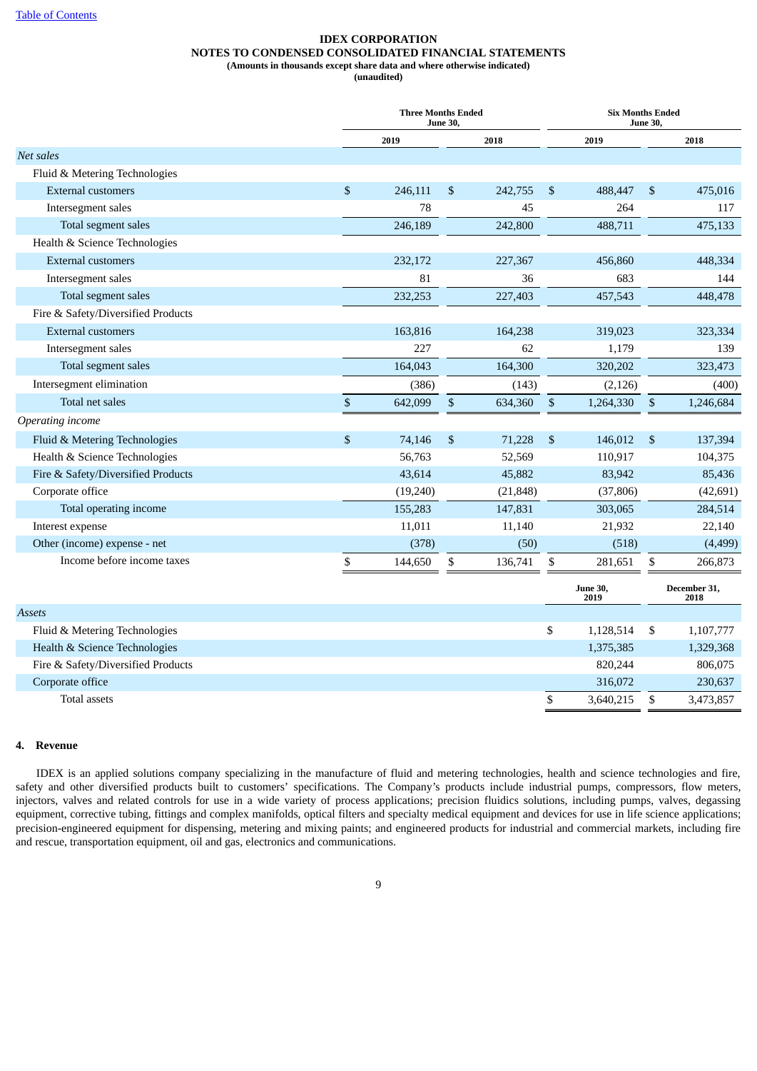**(unaudited)**

|                                    | <b>Three Months Ended</b> | <b>June 30.</b> |           |               | <b>Six Months Ended</b> | June 30,      |                      |
|------------------------------------|---------------------------|-----------------|-----------|---------------|-------------------------|---------------|----------------------|
|                                    | 2019                      |                 | 2018      |               | 2019                    |               | 2018                 |
| Net sales                          |                           |                 |           |               |                         |               |                      |
| Fluid & Metering Technologies      |                           |                 |           |               |                         |               |                      |
| <b>External customers</b>          | \$<br>246,111             | \$              | 242,755   | <sup>\$</sup> | 488,447                 | \$            | 475,016              |
| Intersegment sales                 | 78                        |                 | 45        |               | 264                     |               | 117                  |
| Total segment sales                | 246,189                   |                 | 242,800   |               | 488,711                 |               | 475,133              |
| Health & Science Technologies      |                           |                 |           |               |                         |               |                      |
| <b>External customers</b>          | 232,172                   |                 | 227,367   |               | 456,860                 |               | 448,334              |
| Intersegment sales                 | 81                        |                 | 36        |               | 683                     |               | 144                  |
| Total segment sales                | 232,253                   |                 | 227,403   |               | 457,543                 |               | 448,478              |
| Fire & Safety/Diversified Products |                           |                 |           |               |                         |               |                      |
| <b>External customers</b>          | 163,816                   |                 | 164,238   |               | 319,023                 |               | 323,334              |
| Intersegment sales                 | 227                       |                 | 62        |               | 1,179                   |               | 139                  |
| Total segment sales                | 164,043                   |                 | 164,300   |               | 320,202                 |               | 323,473              |
| Intersegment elimination           | (386)                     |                 | (143)     |               | (2, 126)                |               | (400)                |
| Total net sales                    | \$<br>642,099             | \$              | 634,360   | \$            | 1,264,330               | \$            | 1,246,684            |
| Operating income                   |                           |                 |           |               |                         |               |                      |
| Fluid & Metering Technologies      | \$<br>74,146              | $\mathbb{S}$    | 71,228    | \$            | 146,012                 | <sup>\$</sup> | 137,394              |
| Health & Science Technologies      | 56,763                    |                 | 52,569    |               | 110,917                 |               | 104,375              |
| Fire & Safety/Diversified Products | 43,614                    |                 | 45,882    |               | 83,942                  |               | 85,436               |
| Corporate office                   | (19, 240)                 |                 | (21, 848) |               | (37, 806)               |               | (42, 691)            |
| Total operating income             | 155,283                   |                 | 147,831   |               | 303,065                 |               | 284,514              |
| Interest expense                   | 11,011                    |                 | 11,140    |               | 21,932                  |               | 22,140               |
| Other (income) expense - net       | (378)                     |                 | (50)      |               | (518)                   |               | (4, 499)             |
| Income before income taxes         | \$<br>144,650             | \$              | 136,741   | \$            | 281,651                 | \$            | 266,873              |
|                                    |                           |                 |           |               | <b>June 30,</b><br>2019 |               | December 31,<br>2018 |
| <b>Assets</b>                      |                           |                 |           |               |                         |               |                      |
| Fluid & Metering Technologies      |                           |                 |           | \$            | 1,128,514               | \$            | 1,107,777            |
| Health & Science Technologies      |                           |                 |           |               | 1,375,385               |               | 1,329,368            |

Corporate office 316,072 230,637

Total assets  $\qquad \qquad \qquad$  3,640,215 \$ 3,473,857

### **4. Revenue**

IDEX is an applied solutions company specializing in the manufacture of fluid and metering technologies, health and science technologies and fire, safety and other diversified products built to customers' specifications. The Company's products include industrial pumps, compressors, flow meters, injectors, valves and related controls for use in a wide variety of process applications; precision fluidics solutions, including pumps, valves, degassing equipment, corrective tubing, fittings and complex manifolds, optical filters and specialty medical equipment and devices for use in life science applications; precision-engineered equipment for dispensing, metering and mixing paints; and engineered products for industrial and commercial markets, including fire and rescue, transportation equipment, oil and gas, electronics and communications.

Fire & Safety/Diversified Products 820,244 806,075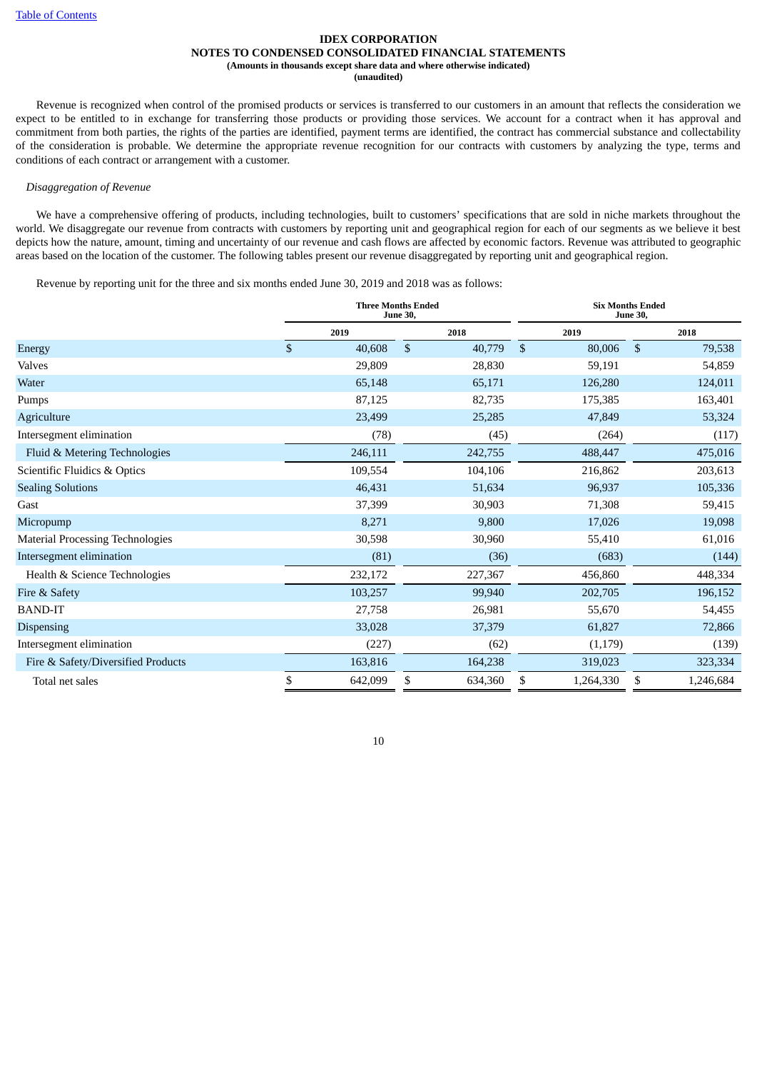Revenue is recognized when control of the promised products or services is transferred to our customers in an amount that reflects the consideration we expect to be entitled to in exchange for transferring those products or providing those services. We account for a contract when it has approval and commitment from both parties, the rights of the parties are identified, payment terms are identified, the contract has commercial substance and collectability of the consideration is probable. We determine the appropriate revenue recognition for our contracts with customers by analyzing the type, terms and conditions of each contract or arrangement with a customer.

### *Disaggregation of Revenue*

We have a comprehensive offering of products, including technologies, built to customers' specifications that are sold in niche markets throughout the world. We disaggregate our revenue from contracts with customers by reporting unit and geographical region for each of our segments as we believe it best depicts how the nature, amount, timing and uncertainty of our revenue and cash flows are affected by economic factors. Revenue was attributed to geographic areas based on the location of the customer. The following tables present our revenue disaggregated by reporting unit and geographical region.

Revenue by reporting unit for the three and six months ended June 30, 2019 and 2018 was as follows:

|                                         | <b>Three Months Ended</b><br><b>June 30.</b> |              |         |                |           | <b>Six Months Ended</b><br><b>June 30.</b> |           |  |  |  |
|-----------------------------------------|----------------------------------------------|--------------|---------|----------------|-----------|--------------------------------------------|-----------|--|--|--|
|                                         | 2019                                         |              | 2018    |                | 2019      |                                            | 2018      |  |  |  |
| <b>Energy</b>                           | \$<br>40,608                                 | $\mathbb{S}$ | 40,779  | $\mathfrak{S}$ | 80,006    | $\mathfrak{S}$                             | 79,538    |  |  |  |
| <b>Valves</b>                           | 29,809                                       |              | 28,830  |                | 59,191    |                                            | 54,859    |  |  |  |
| Water                                   | 65,148                                       |              | 65,171  |                | 126,280   |                                            | 124,011   |  |  |  |
| Pumps                                   | 87,125                                       |              | 82,735  |                | 175,385   |                                            | 163,401   |  |  |  |
| Agriculture                             | 23,499                                       |              | 25,285  |                | 47,849    |                                            | 53,324    |  |  |  |
| Intersegment elimination                | (78)                                         |              | (45)    |                | (264)     |                                            | (117)     |  |  |  |
| Fluid & Metering Technologies           | 246,111                                      |              | 242,755 |                | 488,447   |                                            | 475,016   |  |  |  |
| Scientific Fluidics & Optics            | 109,554                                      |              | 104,106 |                | 216,862   |                                            | 203,613   |  |  |  |
| <b>Sealing Solutions</b>                | 46,431                                       |              | 51,634  |                | 96,937    |                                            | 105,336   |  |  |  |
| Gast                                    | 37,399                                       |              | 30,903  |                | 71,308    |                                            | 59,415    |  |  |  |
| Micropump                               | 8,271                                        |              | 9,800   |                | 17,026    |                                            | 19,098    |  |  |  |
| <b>Material Processing Technologies</b> | 30,598                                       |              | 30,960  |                | 55,410    |                                            | 61,016    |  |  |  |
| Intersegment elimination                | (81)                                         |              | (36)    |                | (683)     |                                            | (144)     |  |  |  |
| Health & Science Technologies           | 232,172                                      |              | 227,367 |                | 456,860   |                                            | 448,334   |  |  |  |
| Fire & Safety                           | 103,257                                      |              | 99,940  |                | 202,705   |                                            | 196,152   |  |  |  |
| <b>BAND-IT</b>                          | 27,758                                       |              | 26,981  |                | 55,670    |                                            | 54,455    |  |  |  |
| <b>Dispensing</b>                       | 33,028                                       |              | 37,379  |                | 61,827    |                                            | 72,866    |  |  |  |
| Intersegment elimination                | (227)                                        |              | (62)    |                | (1,179)   |                                            | (139)     |  |  |  |
| Fire & Safety/Diversified Products      | 163,816                                      |              | 164,238 |                | 319,023   |                                            | 323,334   |  |  |  |
| Total net sales                         | \$<br>642,099                                | \$           | 634,360 | \$             | 1,264,330 | \$                                         | 1,246,684 |  |  |  |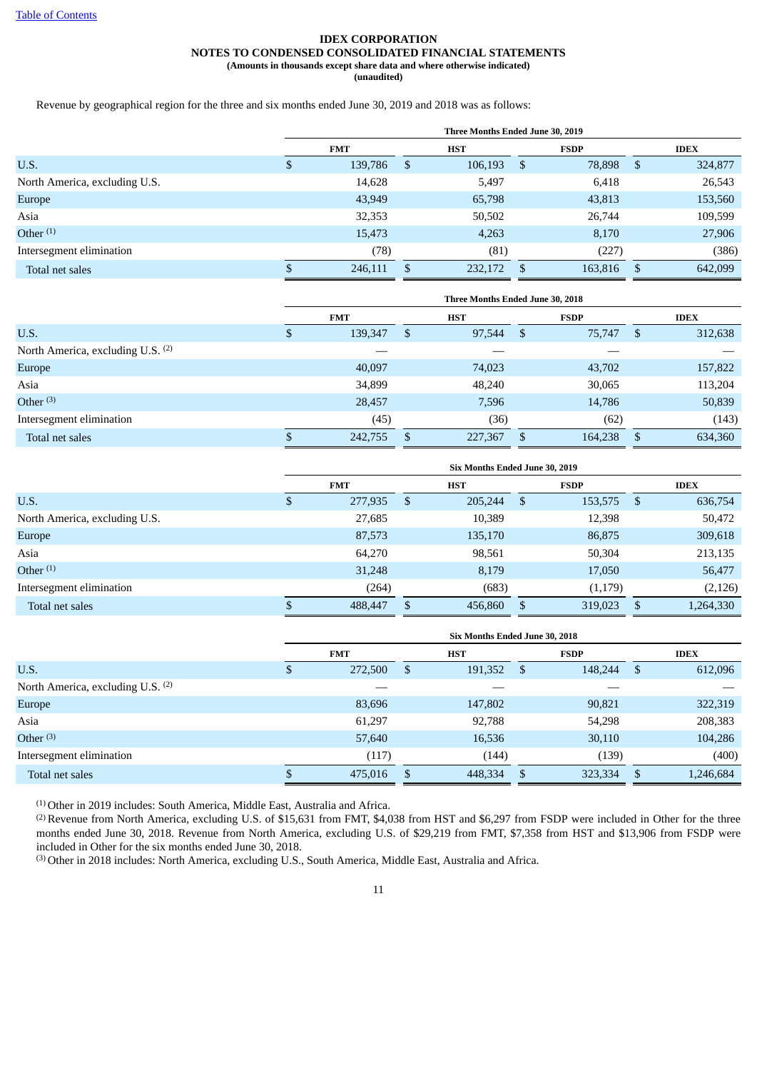Revenue by geographical region for the three and six months ended June 30, 2019 and 2018 was as follows:

| Three Months Ended June 30, 2019 |         |    |            |    |             |               |             |  |  |  |
|----------------------------------|---------|----|------------|----|-------------|---------------|-------------|--|--|--|
| <b>FMT</b>                       |         |    | <b>HST</b> |    | <b>FSDP</b> |               | <b>IDEX</b> |  |  |  |
| \$                               | 139,786 | \$ | 106,193    | -S | 78,898      | \$            | 324,877     |  |  |  |
|                                  | 14,628  |    | 5,497      |    | 6,418       |               | 26,543      |  |  |  |
|                                  | 43,949  |    | 65,798     |    | 43,813      |               | 153,560     |  |  |  |
|                                  | 32,353  |    | 50,502     |    | 26,744      |               | 109,599     |  |  |  |
|                                  | 15,473  |    | 4,263      |    | 8,170       |               | 27,906      |  |  |  |
|                                  | (78)    |    | (81)       |    | (227)       |               | (386)       |  |  |  |
|                                  | 246,111 | \$ | 232,172    | S. | 163,816     | <sup>\$</sup> | 642,099     |  |  |  |
|                                  |         |    |            |    |             |               |             |  |  |  |

|                                   |   | Three Months Ended June 30, 2018 |            |         |     |             |    |             |  |  |  |  |
|-----------------------------------|---|----------------------------------|------------|---------|-----|-------------|----|-------------|--|--|--|--|
|                                   |   | <b>FMT</b>                       | <b>HST</b> |         |     | <b>FSDP</b> |    | <b>IDEX</b> |  |  |  |  |
| U.S.                              | D | 139,347                          | \$         | 97,544  | -\$ | 75,747      | \$ | 312,638     |  |  |  |  |
| North America, excluding U.S. (2) |   |                                  |            |         |     |             |    |             |  |  |  |  |
| Europe                            |   | 40,097                           |            | 74,023  |     | 43,702      |    | 157,822     |  |  |  |  |
| Asia                              |   | 34,899                           |            | 48,240  |     | 30,065      |    | 113,204     |  |  |  |  |
| Other $(3)$                       |   | 28,457                           |            | 7,596   |     | 14,786      |    | 50,839      |  |  |  |  |
| Intersegment elimination          |   | (45)                             |            | (36)    |     | (62)        |    | (143)       |  |  |  |  |
| Total net sales                   |   | 242,755                          | S          | 227,367 | S   | 164,238     |    | 634,360     |  |  |  |  |

|                               | Six Months Ended June 30, 2019 |            |         |      |             |    |             |  |  |  |  |
|-------------------------------|--------------------------------|------------|---------|------|-------------|----|-------------|--|--|--|--|
|                               | <b>FMT</b>                     | <b>HST</b> |         |      | <b>FSDP</b> |    | <b>IDEX</b> |  |  |  |  |
| U.S.                          | 277,935                        | \$         | 205,244 | - \$ | 153,575     | -S | 636,754     |  |  |  |  |
| North America, excluding U.S. | 27,685                         |            | 10,389  |      | 12,398      |    | 50,472      |  |  |  |  |
| Europe                        | 87,573                         |            | 135,170 |      | 86,875      |    | 309,618     |  |  |  |  |
| Asia                          | 64,270                         |            | 98,561  |      | 50,304      |    | 213,135     |  |  |  |  |
| Other $(1)$                   | 31,248                         |            | 8,179   |      | 17,050      |    | 56,477      |  |  |  |  |
| Intersegment elimination      | (264)                          |            | (683)   |      | (1,179)     |    | (2, 126)    |  |  |  |  |
| Total net sales               | 488,447                        | S          | 456,860 | S    | 319,023     |    | 1,264,330   |  |  |  |  |

|                                              | Six Months Ended June 30, 2018 |         |    |            |    |             |               |             |  |  |
|----------------------------------------------|--------------------------------|---------|----|------------|----|-------------|---------------|-------------|--|--|
|                                              | <b>FMT</b>                     |         |    | <b>HST</b> |    | <b>FSDP</b> |               | <b>IDEX</b> |  |  |
| U.S.                                         |                                | 272,500 | \$ | 191,352    | -S | 148,244     | S             | 612,096     |  |  |
| North America, excluding U.S. <sup>(2)</sup> |                                |         |    |            |    |             |               |             |  |  |
| Europe                                       |                                | 83,696  |    | 147,802    |    | 90,821      |               | 322,319     |  |  |
| Asia                                         |                                | 61,297  |    | 92,788     |    | 54,298      |               | 208,383     |  |  |
| Other $(3)$                                  |                                | 57,640  |    | 16,536     |    | 30,110      |               | 104,286     |  |  |
| Intersegment elimination                     |                                | (117)   |    | (144)      |    | (139)       |               | (400)       |  |  |
| Total net sales                              |                                | 475,016 | S  | 448,334    | S  | 323,334     | <sup>\$</sup> | 1,246,684   |  |  |

(1) Other in 2019 includes: South America, Middle East, Australia and Africa.

(2) Revenue from North America, excluding U.S. of \$15,631 from FMT, \$4,038 from HST and \$6,297 from FSDP were included in Other for the three months ended June 30, 2018. Revenue from North America, excluding U.S. of \$29,219 from FMT, \$7,358 from HST and \$13,906 from FSDP were included in Other for the six months ended June 30, 2018.

(3) Other in 2018 includes: North America, excluding U.S., South America, Middle East, Australia and Africa.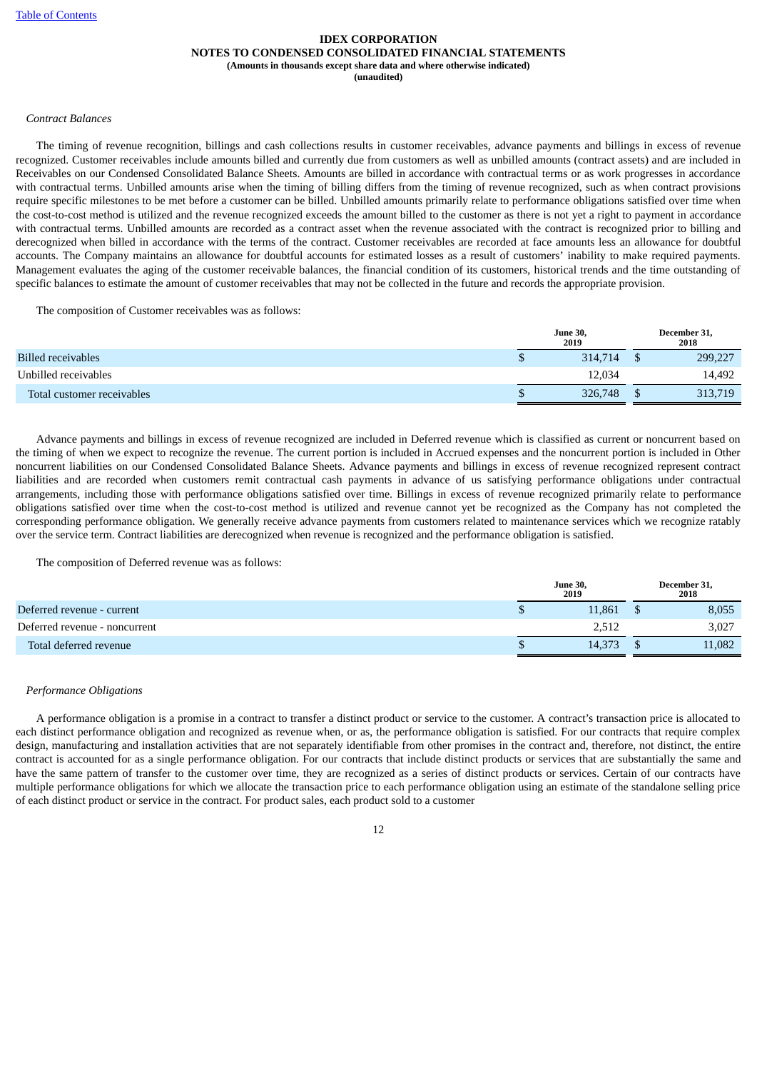# **(unaudited)**

#### *Contract Balances*

The timing of revenue recognition, billings and cash collections results in customer receivables, advance payments and billings in excess of revenue recognized. Customer receivables include amounts billed and currently due from customers as well as unbilled amounts (contract assets) and are included in Receivables on our Condensed Consolidated Balance Sheets. Amounts are billed in accordance with contractual terms or as work progresses in accordance with contractual terms. Unbilled amounts arise when the timing of billing differs from the timing of revenue recognized, such as when contract provisions require specific milestones to be met before a customer can be billed. Unbilled amounts primarily relate to performance obligations satisfied over time when the cost-to-cost method is utilized and the revenue recognized exceeds the amount billed to the customer as there is not yet a right to payment in accordance with contractual terms. Unbilled amounts are recorded as a contract asset when the revenue associated with the contract is recognized prior to billing and derecognized when billed in accordance with the terms of the contract. Customer receivables are recorded at face amounts less an allowance for doubtful accounts. The Company maintains an allowance for doubtful accounts for estimated losses as a result of customers' inability to make required payments. Management evaluates the aging of the customer receivable balances, the financial condition of its customers, historical trends and the time outstanding of specific balances to estimate the amount of customer receivables that may not be collected in the future and records the appropriate provision.

The composition of Customer receivables was as follows:

|                            | <b>June 30,</b><br>2019 | December 31,<br>2018 |
|----------------------------|-------------------------|----------------------|
| <b>Billed receivables</b>  | 314,714                 | 299,227              |
| Unbilled receivables       | 12,034                  | 14,492               |
| Total customer receivables | 326,748                 | 313,719              |

Advance payments and billings in excess of revenue recognized are included in Deferred revenue which is classified as current or noncurrent based on the timing of when we expect to recognize the revenue. The current portion is included in Accrued expenses and the noncurrent portion is included in Other noncurrent liabilities on our Condensed Consolidated Balance Sheets. Advance payments and billings in excess of revenue recognized represent contract liabilities and are recorded when customers remit contractual cash payments in advance of us satisfying performance obligations under contractual arrangements, including those with performance obligations satisfied over time. Billings in excess of revenue recognized primarily relate to performance obligations satisfied over time when the cost-to-cost method is utilized and revenue cannot yet be recognized as the Company has not completed the corresponding performance obligation. We generally receive advance payments from customers related to maintenance services which we recognize ratably over the service term. Contract liabilities are derecognized when revenue is recognized and the performance obligation is satisfied.

The composition of Deferred revenue was as follows:

|                               | <b>June 30,</b><br>2019 |  |        |  |
|-------------------------------|-------------------------|--|--------|--|
| Deferred revenue - current    | 11.861                  |  | 8,055  |  |
| Deferred revenue - noncurrent | 2,512                   |  | 3,027  |  |
| Total deferred revenue        | 14.373                  |  | 11,082 |  |

#### *Performance Obligations*

A performance obligation is a promise in a contract to transfer a distinct product or service to the customer. A contract's transaction price is allocated to each distinct performance obligation and recognized as revenue when, or as, the performance obligation is satisfied. For our contracts that require complex design, manufacturing and installation activities that are not separately identifiable from other promises in the contract and, therefore, not distinct, the entire contract is accounted for as a single performance obligation. For our contracts that include distinct products or services that are substantially the same and have the same pattern of transfer to the customer over time, they are recognized as a series of distinct products or services. Certain of our contracts have multiple performance obligations for which we allocate the transaction price to each performance obligation using an estimate of the standalone selling price of each distinct product or service in the contract. For product sales, each product sold to a customer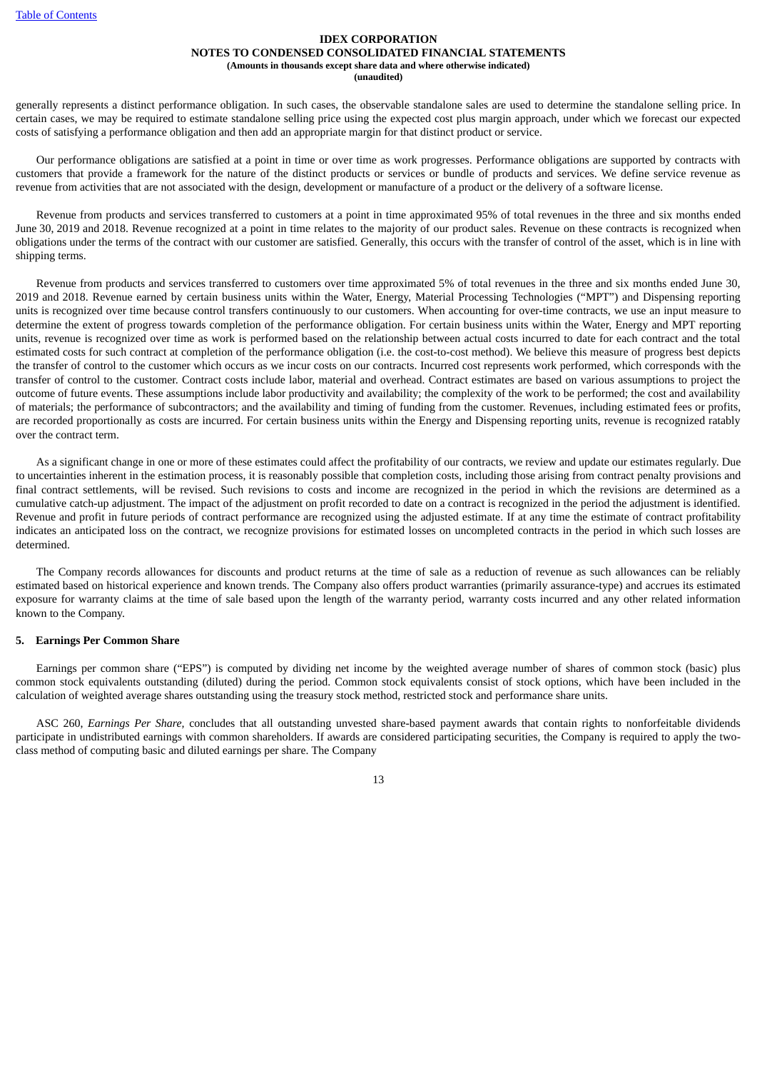generally represents a distinct performance obligation. In such cases, the observable standalone sales are used to determine the standalone selling price. In certain cases, we may be required to estimate standalone selling price using the expected cost plus margin approach, under which we forecast our expected costs of satisfying a performance obligation and then add an appropriate margin for that distinct product or service.

Our performance obligations are satisfied at a point in time or over time as work progresses. Performance obligations are supported by contracts with customers that provide a framework for the nature of the distinct products or services or bundle of products and services. We define service revenue as revenue from activities that are not associated with the design, development or manufacture of a product or the delivery of a software license.

Revenue from products and services transferred to customers at a point in time approximated 95% of total revenues in the three and six months ended June 30, 2019 and 2018. Revenue recognized at a point in time relates to the majority of our product sales. Revenue on these contracts is recognized when obligations under the terms of the contract with our customer are satisfied. Generally, this occurs with the transfer of control of the asset, which is in line with shipping terms.

Revenue from products and services transferred to customers over time approximated 5% of total revenues in the three and six months ended June 30, 2019 and 2018. Revenue earned by certain business units within the Water, Energy, Material Processing Technologies ("MPT") and Dispensing reporting units is recognized over time because control transfers continuously to our customers. When accounting for over-time contracts, we use an input measure to determine the extent of progress towards completion of the performance obligation. For certain business units within the Water, Energy and MPT reporting units, revenue is recognized over time as work is performed based on the relationship between actual costs incurred to date for each contract and the total estimated costs for such contract at completion of the performance obligation (i.e. the cost-to-cost method). We believe this measure of progress best depicts the transfer of control to the customer which occurs as we incur costs on our contracts. Incurred cost represents work performed, which corresponds with the transfer of control to the customer. Contract costs include labor, material and overhead. Contract estimates are based on various assumptions to project the outcome of future events. These assumptions include labor productivity and availability; the complexity of the work to be performed; the cost and availability of materials; the performance of subcontractors; and the availability and timing of funding from the customer. Revenues, including estimated fees or profits, are recorded proportionally as costs are incurred. For certain business units within the Energy and Dispensing reporting units, revenue is recognized ratably over the contract term.

As a significant change in one or more of these estimates could affect the profitability of our contracts, we review and update our estimates regularly. Due to uncertainties inherent in the estimation process, it is reasonably possible that completion costs, including those arising from contract penalty provisions and final contract settlements, will be revised. Such revisions to costs and income are recognized in the period in which the revisions are determined as a cumulative catch-up adjustment. The impact of the adjustment on profit recorded to date on a contract is recognized in the period the adjustment is identified. Revenue and profit in future periods of contract performance are recognized using the adjusted estimate. If at any time the estimate of contract profitability indicates an anticipated loss on the contract, we recognize provisions for estimated losses on uncompleted contracts in the period in which such losses are determined.

The Company records allowances for discounts and product returns at the time of sale as a reduction of revenue as such allowances can be reliably estimated based on historical experience and known trends. The Company also offers product warranties (primarily assurance-type) and accrues its estimated exposure for warranty claims at the time of sale based upon the length of the warranty period, warranty costs incurred and any other related information known to the Company.

#### **5. Earnings Per Common Share**

Earnings per common share ("EPS") is computed by dividing net income by the weighted average number of shares of common stock (basic) plus common stock equivalents outstanding (diluted) during the period. Common stock equivalents consist of stock options, which have been included in the calculation of weighted average shares outstanding using the treasury stock method, restricted stock and performance share units.

ASC 260, *Earnings Per Share,* concludes that all outstanding unvested share-based payment awards that contain rights to nonforfeitable dividends participate in undistributed earnings with common shareholders. If awards are considered participating securities, the Company is required to apply the twoclass method of computing basic and diluted earnings per share. The Company

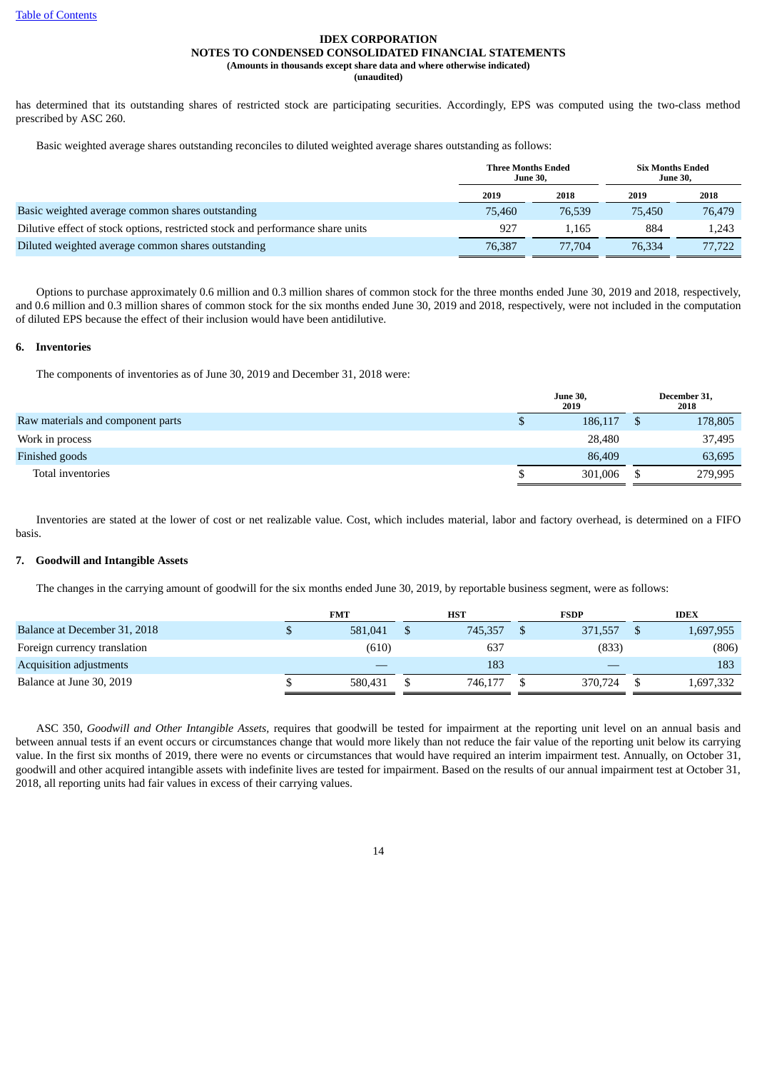**(unaudited)**

has determined that its outstanding shares of restricted stock are participating securities. Accordingly, EPS was computed using the two-class method prescribed by ASC 260.

Basic weighted average shares outstanding reconciles to diluted weighted average shares outstanding as follows:

|                                                                                | <b>Three Months Ended</b><br><b>June 30.</b> |        | <b>Six Months Ended</b><br><b>June 30,</b> |        |  |
|--------------------------------------------------------------------------------|----------------------------------------------|--------|--------------------------------------------|--------|--|
|                                                                                | 2019                                         | 2018   | 2019                                       | 2018   |  |
| Basic weighted average common shares outstanding                               | 75,460                                       | 76.539 | 75,450                                     | 76,479 |  |
| Dilutive effect of stock options, restricted stock and performance share units | 927                                          | 1.165  | 884                                        | 1.243  |  |
| Diluted weighted average common shares outstanding                             | 76.387                                       | 77,704 | 76.334                                     | 77,722 |  |

Options to purchase approximately 0.6 million and 0.3 million shares of common stock for the three months ended June 30, 2019 and 2018, respectively, and 0.6 million and 0.3 million shares of common stock for the six months ended June 30, 2019 and 2018, respectively, were not included in the computation of diluted EPS because the effect of their inclusion would have been antidilutive.

#### **6. Inventories**

The components of inventories as of June 30, 2019 and December 31, 2018 were:

|                                   | <b>June 30,</b><br>2019 | December 31,<br>2018 |
|-----------------------------------|-------------------------|----------------------|
| Raw materials and component parts | 186,117                 | 178,805              |
| Work in process                   | 28,480                  | 37,495               |
| Finished goods                    | 86,409                  | 63,695               |
| Total inventories                 | 301,006                 | 279,995              |

Inventories are stated at the lower of cost or net realizable value. Cost, which includes material, labor and factory overhead, is determined on a FIFO basis.

#### **7. Goodwill and Intangible Assets**

The changes in the carrying amount of goodwill for the six months ended June 30, 2019, by reportable business segment, were as follows:

|                              | <b>FMT</b> |         | <b>HST</b> |         |  | <b>FSDP</b> | <b>IDEX</b> |           |  |
|------------------------------|------------|---------|------------|---------|--|-------------|-------------|-----------|--|
| Balance at December 31, 2018 |            | 581,041 |            | 745.357 |  | 371,557     |             | 1,697,955 |  |
| Foreign currency translation |            | (610)   |            | 637     |  | (833)       |             | (806)     |  |
| Acquisition adjustments      |            |         |            | 183     |  |             |             | 183       |  |
| Balance at June 30, 2019     |            | 580.431 |            | 746.177 |  | 370,724     |             | 1,697,332 |  |

ASC 350, *Goodwill and Other Intangible Assets,* requires that goodwill be tested for impairment at the reporting unit level on an annual basis and between annual tests if an event occurs or circumstances change that would more likely than not reduce the fair value of the reporting unit below its carrying value. In the first six months of 2019, there were no events or circumstances that would have required an interim impairment test. Annually, on October 31, goodwill and other acquired intangible assets with indefinite lives are tested for impairment. Based on the results of our annual impairment test at October 31, 2018, all reporting units had fair values in excess of their carrying values.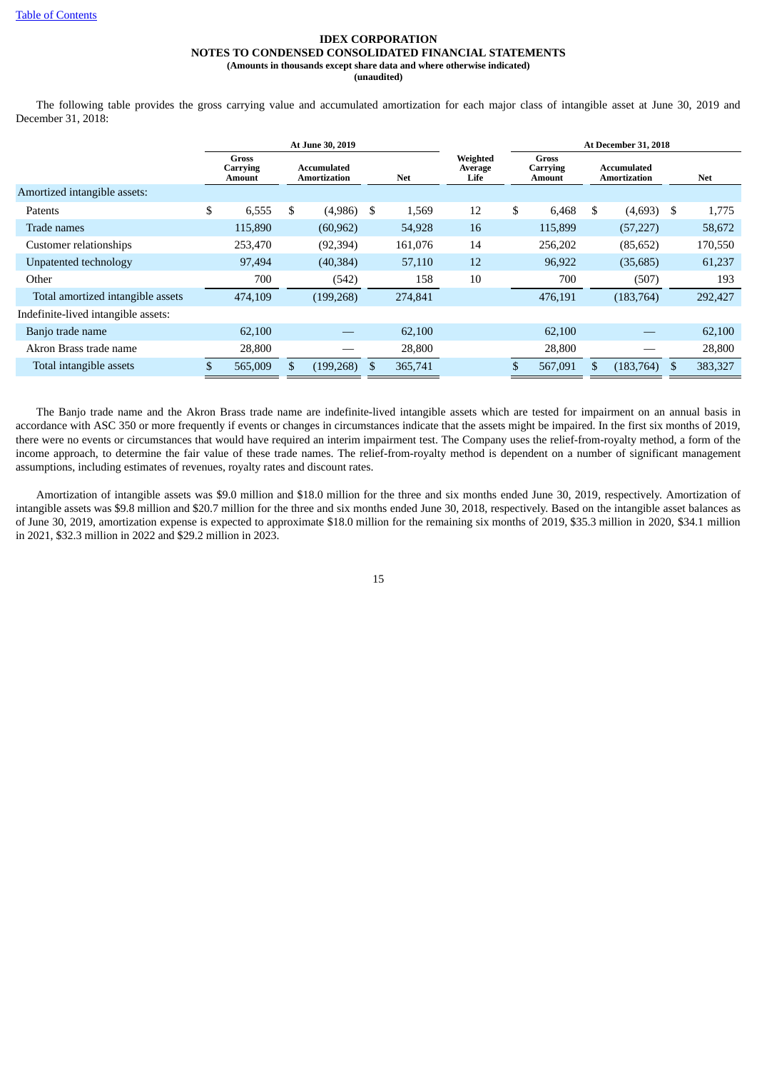**(unaudited)**

The following table provides the gross carrying value and accumulated amortization for each major class of intangible asset at June 30, 2019 and December 31, 2018:

|                                     |                                    | At June 30, 2019                   |      |            |                             |    |                                    | At December 31, 2018 |            |    |         |  |                                    |  |     |
|-------------------------------------|------------------------------------|------------------------------------|------|------------|-----------------------------|----|------------------------------------|----------------------|------------|----|---------|--|------------------------------------|--|-----|
|                                     | <b>Gross</b><br>Carrying<br>Amount | Accumulated<br><b>Amortization</b> |      | <b>Net</b> | Weighted<br>Average<br>Life |    | <b>Gross</b><br>Carrying<br>Amount |                      |            |    |         |  | Accumulated<br><b>Amortization</b> |  | Net |
| Amortized intangible assets:        |                                    |                                    |      |            |                             |    |                                    |                      |            |    |         |  |                                    |  |     |
| <b>Patents</b>                      | \$<br>6,555                        | \$<br>(4,986)                      | S.   | 1,569      | 12                          | \$ | 6,468                              | \$.                  | (4,693)    | \$ | 1,775   |  |                                    |  |     |
| Trade names                         | 115,890                            | (60, 962)                          |      | 54,928     | 16                          |    | 115,899                            |                      | (57, 227)  |    | 58,672  |  |                                    |  |     |
| Customer relationships              | 253,470                            | (92, 394)                          |      | 161,076    | 14                          |    | 256,202                            |                      | (85, 652)  |    | 170,550 |  |                                    |  |     |
| Unpatented technology               | 97,494                             | (40, 384)                          |      | 57,110     | 12                          |    | 96,922                             |                      | (35,685)   |    | 61,237  |  |                                    |  |     |
| Other                               | 700                                | (542)                              |      | 158        | 10                          |    | 700                                |                      | (507)      |    | 193     |  |                                    |  |     |
| Total amortized intangible assets   | 474,109                            | (199, 268)                         |      | 274,841    |                             |    | 476,191                            |                      | (183,764)  |    | 292,427 |  |                                    |  |     |
| Indefinite-lived intangible assets: |                                    |                                    |      |            |                             |    |                                    |                      |            |    |         |  |                                    |  |     |
| Banjo trade name                    | 62,100                             |                                    |      | 62,100     |                             |    | 62,100                             |                      |            |    | 62,100  |  |                                    |  |     |
| Akron Brass trade name              | 28,800                             |                                    |      | 28,800     |                             |    | 28,800                             |                      |            |    | 28,800  |  |                                    |  |     |
| Total intangible assets             | \$<br>565,009                      | \$<br>(199, 268)                   | - \$ | 365,741    |                             |    | 567,091                            |                      | (183, 764) | \$ | 383,327 |  |                                    |  |     |

The Banjo trade name and the Akron Brass trade name are indefinite-lived intangible assets which are tested for impairment on an annual basis in accordance with ASC 350 or more frequently if events or changes in circumstances indicate that the assets might be impaired. In the first six months of 2019, there were no events or circumstances that would have required an interim impairment test. The Company uses the relief-from-royalty method, a form of the income approach, to determine the fair value of these trade names. The relief-from-royalty method is dependent on a number of significant management assumptions, including estimates of revenues, royalty rates and discount rates.

Amortization of intangible assets was \$9.0 million and \$18.0 million for the three and six months ended June 30, 2019, respectively. Amortization of intangible assets was \$9.8 million and \$20.7 million for the three and six months ended June 30, 2018, respectively. Based on the intangible asset balances as of June 30, 2019, amortization expense is expected to approximate \$18.0 million for the remaining six months of 2019, \$35.3 million in 2020, \$34.1 million in 2021, \$32.3 million in 2022 and \$29.2 million in 2023.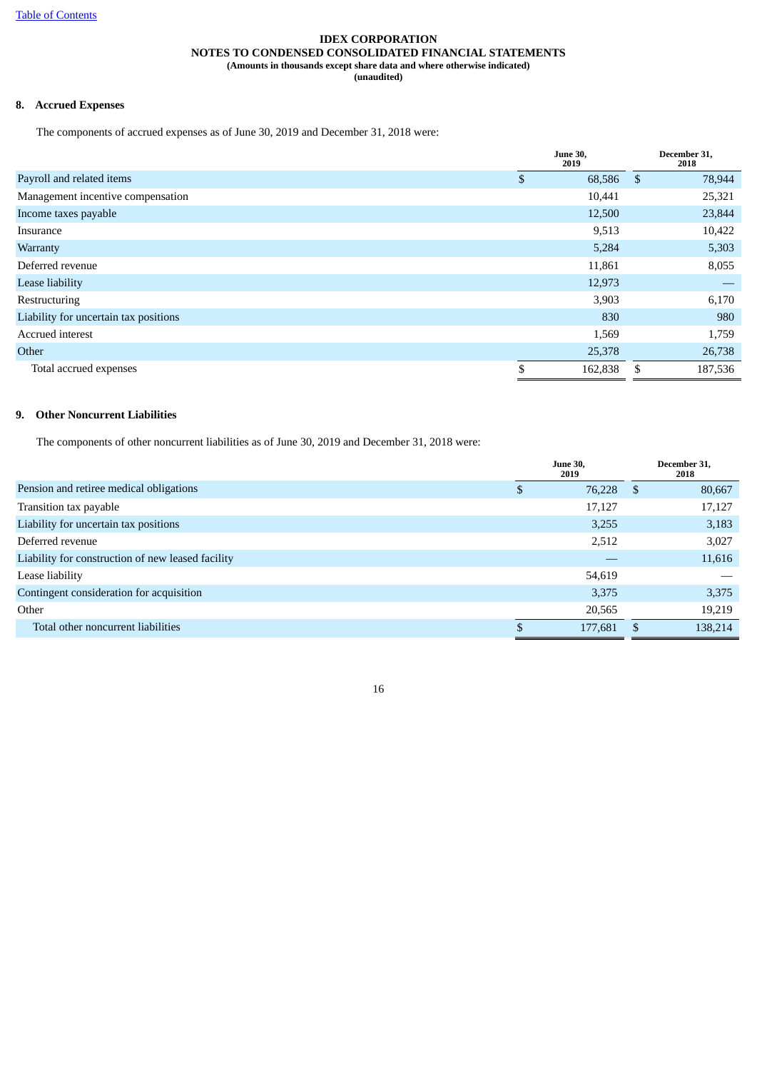# **8. Accrued Expenses**

The components of accrued expenses as of June 30, 2019 and December 31, 2018 were:

|                                       | <b>June 30,</b><br>2019 | December 31,<br>2018 |
|---------------------------------------|-------------------------|----------------------|
| Payroll and related items             | \$<br>68,586            | \$<br>78,944         |
| Management incentive compensation     | 10,441                  | 25,321               |
| Income taxes payable                  | 12,500                  | 23,844               |
| Insurance                             | 9,513                   | 10,422               |
| <b>Warranty</b>                       | 5,284                   | 5,303                |
| Deferred revenue                      | 11,861                  | 8,055                |
| Lease liability                       | 12,973                  |                      |
| Restructuring                         | 3,903                   | 6,170                |
| Liability for uncertain tax positions | 830                     | 980                  |
| Accrued interest                      | 1,569                   | 1,759                |
| Other                                 | 25,378                  | 26,738               |
| Total accrued expenses                | \$<br>162,838           | 187,536              |

# **9. Other Noncurrent Liabilities**

The components of other noncurrent liabilities as of June 30, 2019 and December 31, 2018 were:

|                                                   | <b>June 30,</b><br>2019 |         |      | December 31.<br>2018 |  |  |
|---------------------------------------------------|-------------------------|---------|------|----------------------|--|--|
| Pension and retiree medical obligations           |                         | 76,228  | - \$ | 80,667               |  |  |
| Transition tax payable                            |                         | 17,127  |      | 17,127               |  |  |
| Liability for uncertain tax positions             |                         | 3,255   |      | 3,183                |  |  |
| Deferred revenue                                  |                         | 2,512   |      | 3,027                |  |  |
| Liability for construction of new leased facility |                         |         |      | 11,616               |  |  |
| Lease liability                                   |                         | 54,619  |      |                      |  |  |
| Contingent consideration for acquisition          |                         | 3,375   |      | 3,375                |  |  |
| Other                                             |                         | 20,565  |      | 19,219               |  |  |
| Total other noncurrent liabilities                |                         | 177,681 |      | 138,214              |  |  |

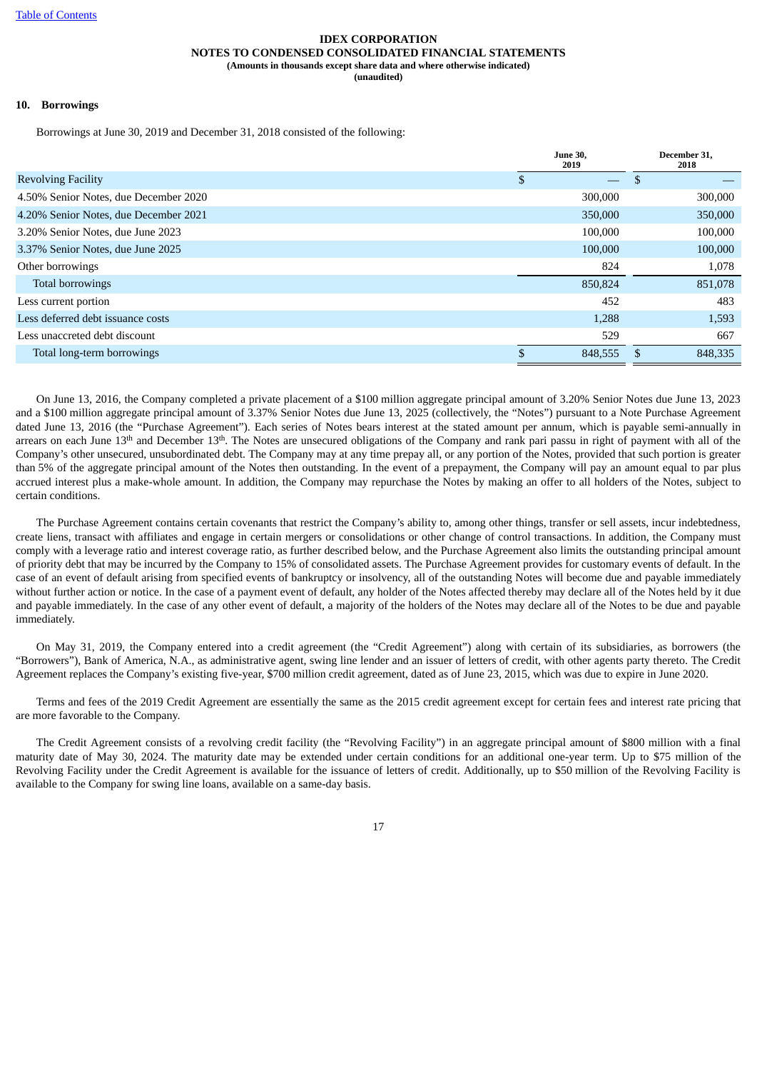#### **(unaudited)**

# **10. Borrowings**

Borrowings at June 30, 2019 and December 31, 2018 consisted of the following:

|                                       | <b>June 30,</b><br>2019               |   | December 31,<br>2018 |
|---------------------------------------|---------------------------------------|---|----------------------|
| <b>Revolving Facility</b>             | \$<br>$\hspace{0.1mm}-\hspace{0.1mm}$ | S |                      |
| 4.50% Senior Notes, due December 2020 | 300,000                               |   | 300,000              |
| 4.20% Senior Notes, due December 2021 | 350,000                               |   | 350,000              |
| 3.20% Senior Notes, due June 2023     | 100,000                               |   | 100,000              |
| 3.37% Senior Notes, due June 2025     | 100,000                               |   | 100,000              |
| Other borrowings                      | 824                                   |   | 1,078                |
| Total borrowings                      | 850,824                               |   | 851,078              |
| Less current portion                  | 452                                   |   | 483                  |
| Less deferred debt issuance costs     | 1,288                                 |   | 1,593                |
| Less unaccreted debt discount         | 529                                   |   | 667                  |
| Total long-term borrowings            | \$<br>848,555                         |   | 848,335              |

On June 13, 2016, the Company completed a private placement of a \$100 million aggregate principal amount of 3.20% Senior Notes due June 13, 2023 and a \$100 million aggregate principal amount of 3.37% Senior Notes due June 13, 2025 (collectively, the "Notes") pursuant to a Note Purchase Agreement dated June 13, 2016 (the "Purchase Agreement"). Each series of Notes bears interest at the stated amount per annum, which is payable semi-annually in arrears on each June 13<sup>th</sup> and December 13<sup>th</sup>. The Notes are unsecured obligations of the Company and rank pari passu in right of payment with all of the Company's other unsecured, unsubordinated debt. The Company may at any time prepay all, or any portion of the Notes, provided that such portion is greater than 5% of the aggregate principal amount of the Notes then outstanding. In the event of a prepayment, the Company will pay an amount equal to par plus accrued interest plus a make-whole amount. In addition, the Company may repurchase the Notes by making an offer to all holders of the Notes, subject to certain conditions.

The Purchase Agreement contains certain covenants that restrict the Company's ability to, among other things, transfer or sell assets, incur indebtedness, create liens, transact with affiliates and engage in certain mergers or consolidations or other change of control transactions. In addition, the Company must comply with a leverage ratio and interest coverage ratio, as further described below, and the Purchase Agreement also limits the outstanding principal amount of priority debt that may be incurred by the Company to 15% of consolidated assets. The Purchase Agreement provides for customary events of default. In the case of an event of default arising from specified events of bankruptcy or insolvency, all of the outstanding Notes will become due and payable immediately without further action or notice. In the case of a payment event of default, any holder of the Notes affected thereby may declare all of the Notes held by it due and payable immediately. In the case of any other event of default, a majority of the holders of the Notes may declare all of the Notes to be due and payable immediately.

On May 31, 2019, the Company entered into a credit agreement (the "Credit Agreement") along with certain of its subsidiaries, as borrowers (the "Borrowers"), Bank of America, N.A., as administrative agent, swing line lender and an issuer of letters of credit, with other agents party thereto. The Credit Agreement replaces the Company's existing five-year, \$700 million credit agreement, dated as of June 23, 2015, which was due to expire in June 2020.

Terms and fees of the 2019 Credit Agreement are essentially the same as the 2015 credit agreement except for certain fees and interest rate pricing that are more favorable to the Company.

The Credit Agreement consists of a revolving credit facility (the "Revolving Facility") in an aggregate principal amount of \$800 million with a final maturity date of May 30, 2024. The maturity date may be extended under certain conditions for an additional one-year term. Up to \$75 million of the Revolving Facility under the Credit Agreement is available for the issuance of letters of credit. Additionally, up to \$50 million of the Revolving Facility is available to the Company for swing line loans, available on a same-day basis.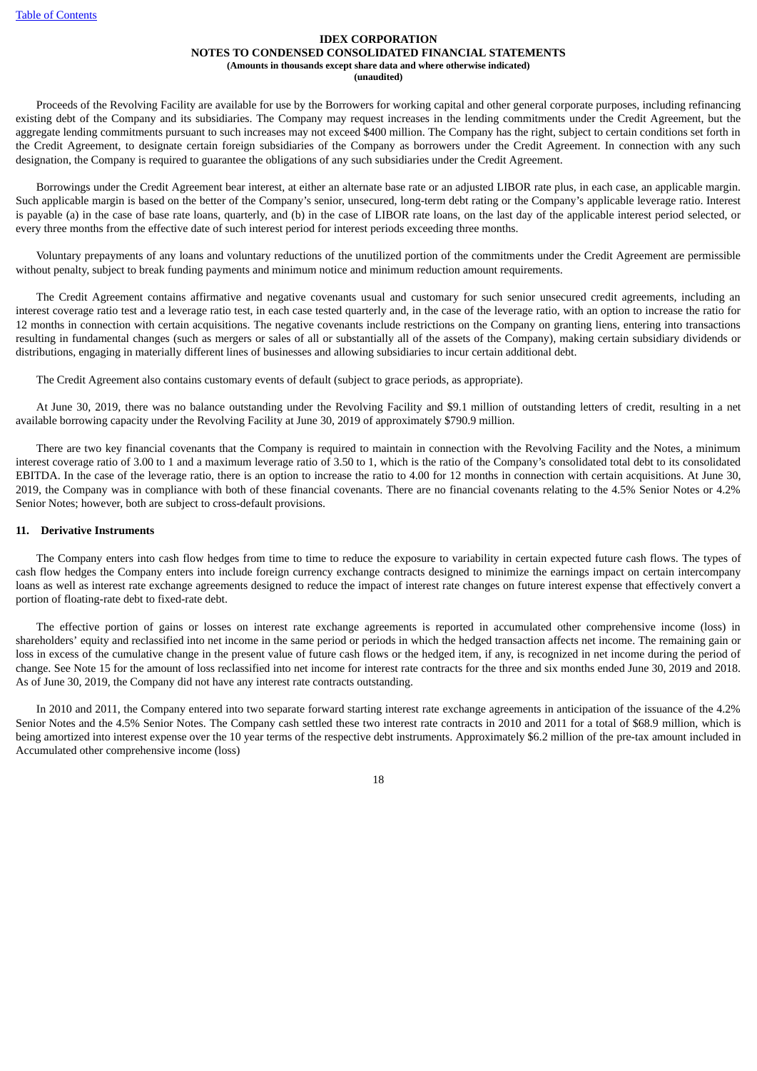Proceeds of the Revolving Facility are available for use by the Borrowers for working capital and other general corporate purposes, including refinancing existing debt of the Company and its subsidiaries. The Company may request increases in the lending commitments under the Credit Agreement, but the aggregate lending commitments pursuant to such increases may not exceed \$400 million. The Company has the right, subject to certain conditions set forth in the Credit Agreement, to designate certain foreign subsidiaries of the Company as borrowers under the Credit Agreement. In connection with any such designation, the Company is required to guarantee the obligations of any such subsidiaries under the Credit Agreement.

Borrowings under the Credit Agreement bear interest, at either an alternate base rate or an adjusted LIBOR rate plus, in each case, an applicable margin. Such applicable margin is based on the better of the Company's senior, unsecured, long-term debt rating or the Company's applicable leverage ratio. Interest is payable (a) in the case of base rate loans, quarterly, and (b) in the case of LIBOR rate loans, on the last day of the applicable interest period selected, or every three months from the effective date of such interest period for interest periods exceeding three months.

Voluntary prepayments of any loans and voluntary reductions of the unutilized portion of the commitments under the Credit Agreement are permissible without penalty, subject to break funding payments and minimum notice and minimum reduction amount requirements.

The Credit Agreement contains affirmative and negative covenants usual and customary for such senior unsecured credit agreements, including an interest coverage ratio test and a leverage ratio test, in each case tested quarterly and, in the case of the leverage ratio, with an option to increase the ratio for 12 months in connection with certain acquisitions. The negative covenants include restrictions on the Company on granting liens, entering into transactions resulting in fundamental changes (such as mergers or sales of all or substantially all of the assets of the Company), making certain subsidiary dividends or distributions, engaging in materially different lines of businesses and allowing subsidiaries to incur certain additional debt.

The Credit Agreement also contains customary events of default (subject to grace periods, as appropriate).

At June 30, 2019, there was no balance outstanding under the Revolving Facility and \$9.1 million of outstanding letters of credit, resulting in a net available borrowing capacity under the Revolving Facility at June 30, 2019 of approximately \$790.9 million.

There are two key financial covenants that the Company is required to maintain in connection with the Revolving Facility and the Notes, a minimum interest coverage ratio of 3.00 to 1 and a maximum leverage ratio of 3.50 to 1, which is the ratio of the Company's consolidated total debt to its consolidated EBITDA. In the case of the leverage ratio, there is an option to increase the ratio to 4.00 for 12 months in connection with certain acquisitions. At June 30, 2019, the Company was in compliance with both of these financial covenants. There are no financial covenants relating to the 4.5% Senior Notes or 4.2% Senior Notes; however, both are subject to cross-default provisions.

#### **11. Derivative Instruments**

The Company enters into cash flow hedges from time to time to reduce the exposure to variability in certain expected future cash flows. The types of cash flow hedges the Company enters into include foreign currency exchange contracts designed to minimize the earnings impact on certain intercompany loans as well as interest rate exchange agreements designed to reduce the impact of interest rate changes on future interest expense that effectively convert a portion of floating-rate debt to fixed-rate debt.

The effective portion of gains or losses on interest rate exchange agreements is reported in accumulated other comprehensive income (loss) in shareholders' equity and reclassified into net income in the same period or periods in which the hedged transaction affects net income. The remaining gain or loss in excess of the cumulative change in the present value of future cash flows or the hedged item, if any, is recognized in net income during the period of change. See Note 15 for the amount of loss reclassified into net income for interest rate contracts for the three and six months ended June 30, 2019 and 2018. As of June 30, 2019, the Company did not have any interest rate contracts outstanding.

In 2010 and 2011, the Company entered into two separate forward starting interest rate exchange agreements in anticipation of the issuance of the 4.2% Senior Notes and the 4.5% Senior Notes. The Company cash settled these two interest rate contracts in 2010 and 2011 for a total of \$68.9 million, which is being amortized into interest expense over the 10 year terms of the respective debt instruments. Approximately \$6.2 million of the pre-tax amount included in Accumulated other comprehensive income (loss)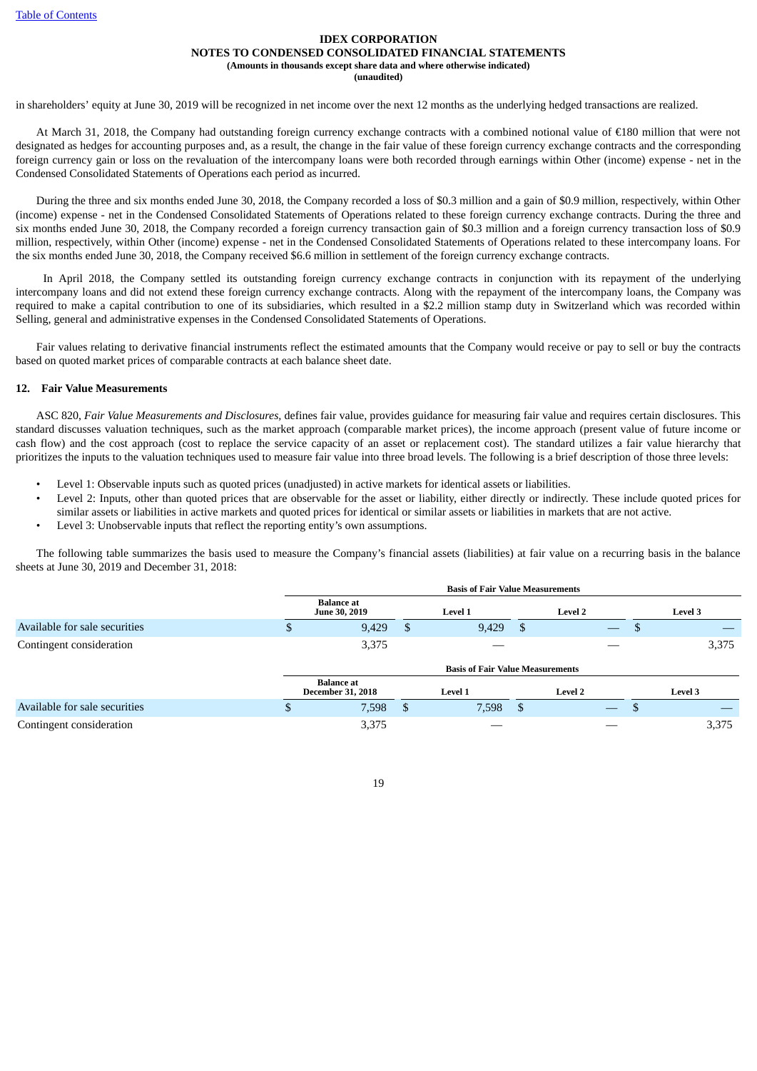in shareholders' equity at June 30, 2019 will be recognized in net income over the next 12 months as the underlying hedged transactions are realized.

At March 31, 2018, the Company had outstanding foreign currency exchange contracts with a combined notional value of €180 million that were not designated as hedges for accounting purposes and, as a result, the change in the fair value of these foreign currency exchange contracts and the corresponding foreign currency gain or loss on the revaluation of the intercompany loans were both recorded through earnings within Other (income) expense - net in the Condensed Consolidated Statements of Operations each period as incurred.

During the three and six months ended June 30, 2018, the Company recorded a loss of \$0.3 million and a gain of \$0.9 million, respectively, within Other (income) expense - net in the Condensed Consolidated Statements of Operations related to these foreign currency exchange contracts. During the three and six months ended June 30, 2018, the Company recorded a foreign currency transaction gain of \$0.3 million and a foreign currency transaction loss of \$0.9 million, respectively, within Other (income) expense - net in the Condensed Consolidated Statements of Operations related to these intercompany loans. For the six months ended June 30, 2018, the Company received \$6.6 million in settlement of the foreign currency exchange contracts.

In April 2018, the Company settled its outstanding foreign currency exchange contracts in conjunction with its repayment of the underlying intercompany loans and did not extend these foreign currency exchange contracts. Along with the repayment of the intercompany loans, the Company was required to make a capital contribution to one of its subsidiaries, which resulted in a \$2.2 million stamp duty in Switzerland which was recorded within Selling, general and administrative expenses in the Condensed Consolidated Statements of Operations.

Fair values relating to derivative financial instruments reflect the estimated amounts that the Company would receive or pay to sell or buy the contracts based on quoted market prices of comparable contracts at each balance sheet date.

### **12. Fair Value Measurements**

ASC 820, *Fair Value Measurements and Disclosures,* defines fair value, provides guidance for measuring fair value and requires certain disclosures. This standard discusses valuation techniques, such as the market approach (comparable market prices), the income approach (present value of future income or cash flow) and the cost approach (cost to replace the service capacity of an asset or replacement cost). The standard utilizes a fair value hierarchy that prioritizes the inputs to the valuation techniques used to measure fair value into three broad levels. The following is a brief description of those three levels:

- Level 1: Observable inputs such as quoted prices (unadjusted) in active markets for identical assets or liabilities.
- Level 2: Inputs, other than quoted prices that are observable for the asset or liability, either directly or indirectly. These include quoted prices for similar assets or liabilities in active markets and quoted prices for identical or similar assets or liabilities in markets that are not active.
- Level 3: Unobservable inputs that reflect the reporting entity's own assumptions.

The following table summarizes the basis used to measure the Company's financial assets (liabilities) at fair value on a recurring basis in the balance sheets at June 30, 2019 and December 31, 2018:

|                               | <b>Basis of Fair Value Measurements</b> |                                               |     |                                         |      |                |     |                |  |  |
|-------------------------------|-----------------------------------------|-----------------------------------------------|-----|-----------------------------------------|------|----------------|-----|----------------|--|--|
|                               |                                         | <b>Balance</b> at<br>June 30, 2019            |     | <b>Level 1</b>                          |      | <b>Level 2</b> |     | <b>Level 3</b> |  |  |
| Available for sale securities |                                         | 9,429                                         | -S  | 9,429                                   | - S  |                | D   |                |  |  |
| Contingent consideration      |                                         | 3,375                                         |     |                                         |      |                |     | 3,375          |  |  |
|                               |                                         |                                               |     | <b>Basis of Fair Value Measurements</b> |      |                |     |                |  |  |
|                               |                                         | <b>Balance</b> at<br><b>December 31, 2018</b> |     | <b>Level 1</b>                          |      | <b>Level 2</b> |     | <b>Level 3</b> |  |  |
| Available for sale securities |                                         | 7,598                                         | -\$ | 7,598                                   | - \$ |                | - T |                |  |  |
| Contingent consideration      |                                         | 3,375                                         |     |                                         |      |                |     | 3,375          |  |  |

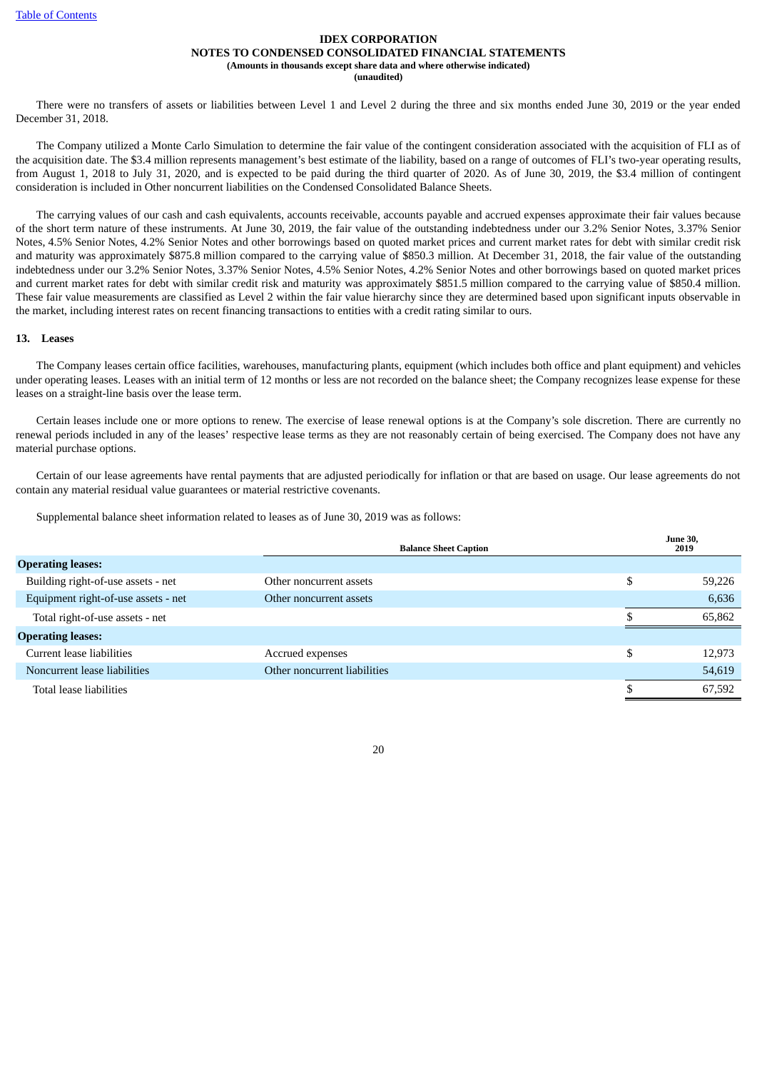**(unaudited)**

There were no transfers of assets or liabilities between Level 1 and Level 2 during the three and six months ended June 30, 2019 or the year ended December 31, 2018.

The Company utilized a Monte Carlo Simulation to determine the fair value of the contingent consideration associated with the acquisition of FLI as of the acquisition date. The \$3.4 million represents management's best estimate of the liability, based on a range of outcomes of FLI's two-year operating results, from August 1, 2018 to July 31, 2020, and is expected to be paid during the third quarter of 2020. As of June 30, 2019, the \$3.4 million of contingent consideration is included in Other noncurrent liabilities on the Condensed Consolidated Balance Sheets.

The carrying values of our cash and cash equivalents, accounts receivable, accounts payable and accrued expenses approximate their fair values because of the short term nature of these instruments. At June 30, 2019, the fair value of the outstanding indebtedness under our 3.2% Senior Notes, 3.37% Senior Notes, 4.5% Senior Notes, 4.2% Senior Notes and other borrowings based on quoted market prices and current market rates for debt with similar credit risk and maturity was approximately \$875.8 million compared to the carrying value of \$850.3 million. At December 31, 2018, the fair value of the outstanding indebtedness under our 3.2% Senior Notes, 3.37% Senior Notes, 4.5% Senior Notes, 4.2% Senior Notes and other borrowings based on quoted market prices and current market rates for debt with similar credit risk and maturity was approximately \$851.5 million compared to the carrying value of \$850.4 million. These fair value measurements are classified as Level 2 within the fair value hierarchy since they are determined based upon significant inputs observable in the market, including interest rates on recent financing transactions to entities with a credit rating similar to ours.

#### **13. Leases**

The Company leases certain office facilities, warehouses, manufacturing plants, equipment (which includes both office and plant equipment) and vehicles under operating leases. Leases with an initial term of 12 months or less are not recorded on the balance sheet; the Company recognizes lease expense for these leases on a straight-line basis over the lease term.

Certain leases include one or more options to renew. The exercise of lease renewal options is at the Company's sole discretion. There are currently no renewal periods included in any of the leases' respective lease terms as they are not reasonably certain of being exercised. The Company does not have any material purchase options.

Certain of our lease agreements have rental payments that are adjusted periodically for inflation or that are based on usage. Our lease agreements do not contain any material residual value guarantees or material restrictive covenants.

Supplemental balance sheet information related to leases as of June 30, 2019 was as follows:

|                                     | <b>Balance Sheet Caption</b> | <b>June 30.</b><br>2019 |        |
|-------------------------------------|------------------------------|-------------------------|--------|
| <b>Operating leases:</b>            |                              |                         |        |
| Building right-of-use assets - net  | Other noncurrent assets      | \$                      | 59,226 |
| Equipment right-of-use assets - net | Other noncurrent assets      |                         | 6,636  |
| Total right-of-use assets - net     |                              |                         | 65,862 |
| <b>Operating leases:</b>            |                              |                         |        |
| Current lease liabilities           | Accrued expenses             | \$                      | 12,973 |
| Noncurrent lease liabilities        | Other noncurrent liabilities |                         | 54,619 |
| Total lease liabilities             |                              |                         | 67,592 |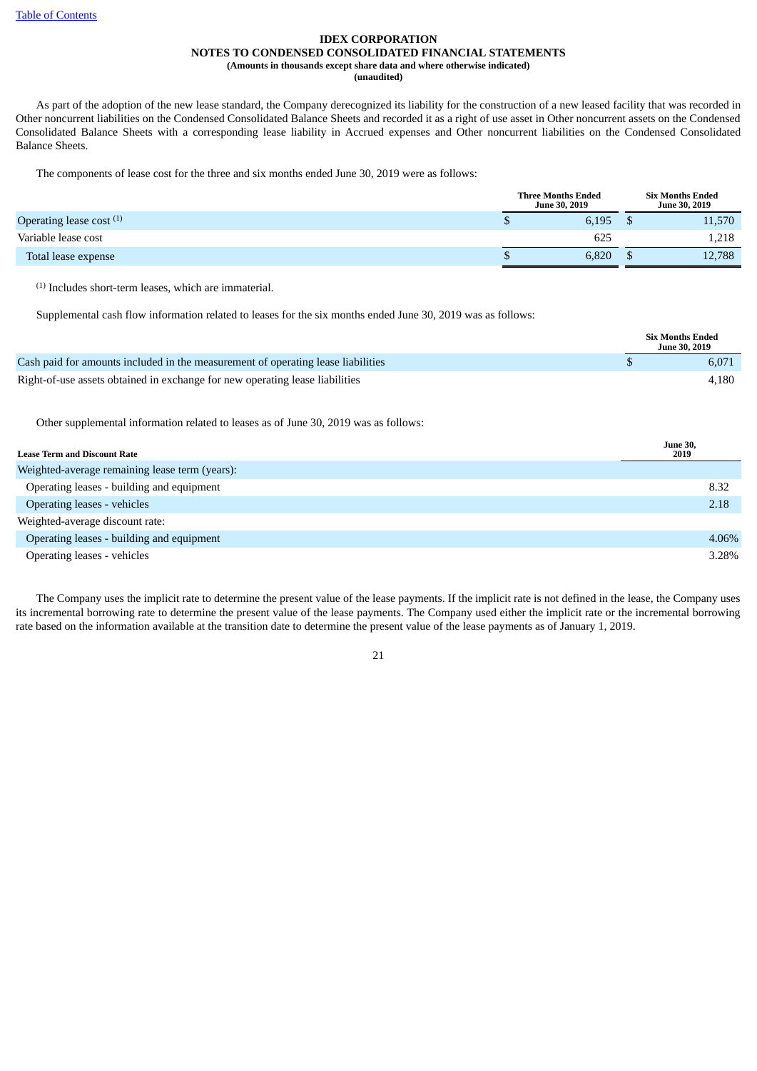As part of the adoption of the new lease standard, the Company derecognized its liability for the construction of a new leased facility that was recorded in Other noncurrent liabilities on the Condensed Consolidated Balance Sheets and recorded it as a right of use asset in Other noncurrent assets on the Condensed Consolidated Balance Sheets with a corresponding lease liability in Accrued expenses and Other noncurrent liabilities on the Condensed Consolidated Balance Sheets.

The components of lease cost for the three and six months ended June 30, 2019 were as follows:

|                          | <b>Three Months Ended</b><br><b>June 30, 2019</b> | <b>Six Months Ended</b><br><b>June 30, 2019</b> |  |  |  |
|--------------------------|---------------------------------------------------|-------------------------------------------------|--|--|--|
| Operating lease cost (1) | 6.195                                             | 11,570                                          |  |  |  |
| Variable lease cost      | 625                                               | 1,218                                           |  |  |  |
| Total lease expense      | 6.820                                             | 12,788                                          |  |  |  |

(1) Includes short-term leases, which are immaterial.

Supplemental cash flow information related to leases for the six months ended June 30, 2019 was as follows:

|                                                                                  | <b>Six Months Ended</b><br><b>June 30, 2019</b> |
|----------------------------------------------------------------------------------|-------------------------------------------------|
| Cash paid for amounts included in the measurement of operating lease liabilities | 6.071                                           |
| Right-of-use assets obtained in exchange for new operating lease liabilities     | 4.180                                           |

Other supplemental information related to leases as of June 30, 2019 was as follows:

| <b>Lease Term and Discount Rate</b>            | <b>June 30,</b><br>2019 |
|------------------------------------------------|-------------------------|
| Weighted-average remaining lease term (years): |                         |
| Operating leases - building and equipment      | 8.32                    |
| Operating leases - vehicles                    | 2.18                    |
| Weighted-average discount rate:                |                         |
| Operating leases - building and equipment      | 4.06%                   |
| Operating leases - vehicles                    | 3.28%                   |

The Company uses the implicit rate to determine the present value of the lease payments. If the implicit rate is not defined in the lease, the Company uses its incremental borrowing rate to determine the present value of the lease payments. The Company used either the implicit rate or the incremental borrowing rate based on the information available at the transition date to determine the present value of the lease payments as of January 1, 2019.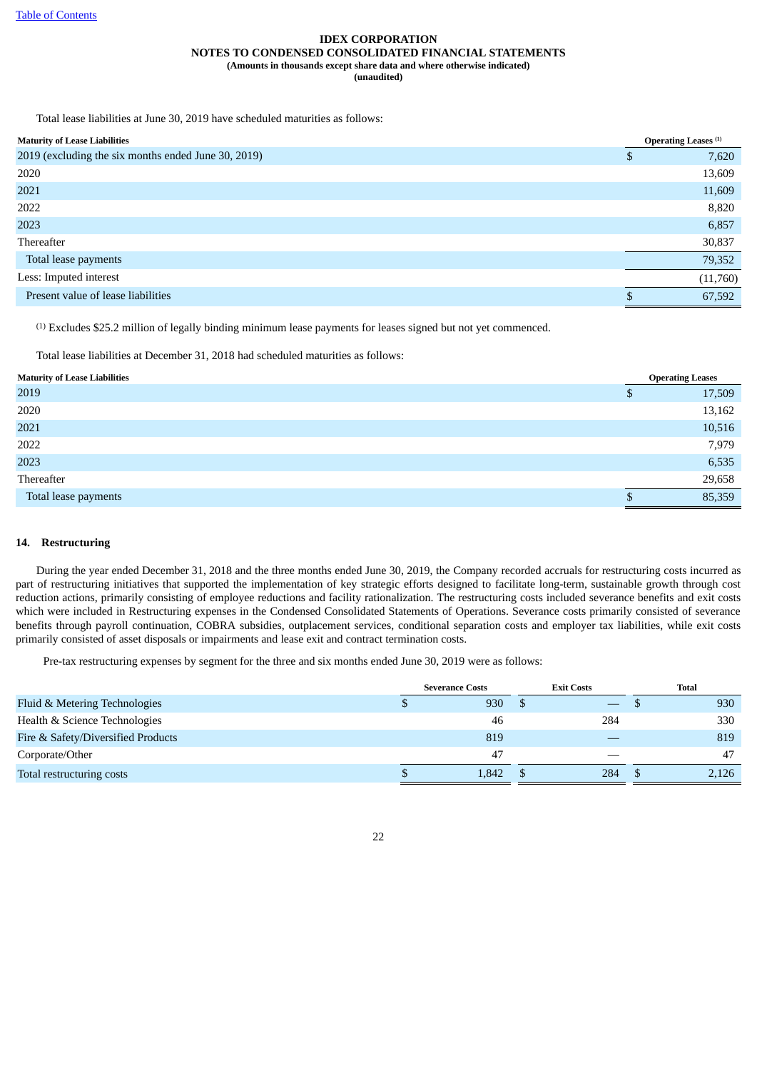Total lease liabilities at June 30, 2019 have scheduled maturities as follows:

| <b>Maturity of Lease Liabilities</b>                | <b>Operating Leases</b> (1) |
|-----------------------------------------------------|-----------------------------|
| 2019 (excluding the six months ended June 30, 2019) | \$<br>7,620                 |
| 2020                                                | 13,609                      |
| 2021                                                | 11,609                      |
| 2022                                                | 8,820                       |
| 2023                                                | 6,857                       |
| Thereafter                                          | 30,837                      |
| Total lease payments                                | 79,352                      |
| Less: Imputed interest                              | (11,760)                    |
| Present value of lease liabilities                  | 67,592                      |

(1) Excludes \$25.2 million of legally binding minimum lease payments for leases signed but not yet commenced.

Total lease liabilities at December 31, 2018 had scheduled maturities as follows:

| <b>Maturity of Lease Liabilities</b> |   | <b>Operating Leases</b> |
|--------------------------------------|---|-------------------------|
| 2019                                 | Φ | 17,509                  |
| 2020                                 |   | 13,162                  |
| 2021                                 |   | 10,516                  |
| 2022                                 |   | 7,979                   |
| 2023                                 |   | 6,535                   |
| Thereafter                           |   | 29,658                  |
| Total lease payments                 |   | 85,359                  |

#### **14. Restructuring**

During the year ended December 31, 2018 and the three months ended June 30, 2019, the Company recorded accruals for restructuring costs incurred as part of restructuring initiatives that supported the implementation of key strategic efforts designed to facilitate long-term, sustainable growth through cost reduction actions, primarily consisting of employee reductions and facility rationalization. The restructuring costs included severance benefits and exit costs which were included in Restructuring expenses in the Condensed Consolidated Statements of Operations. Severance costs primarily consisted of severance benefits through payroll continuation, COBRA subsidies, outplacement services, conditional separation costs and employer tax liabilities, while exit costs primarily consisted of asset disposals or impairments and lease exit and contract termination costs.

Pre-tax restructuring expenses by segment for the three and six months ended June 30, 2019 were as follows:

|                                    | <b>Severance Costs</b> |       |  | <b>Exit Costs</b> | <b>Total</b> |       |  |
|------------------------------------|------------------------|-------|--|-------------------|--------------|-------|--|
| Fluid & Metering Technologies      |                        | 930   |  |                   |              | 930   |  |
| Health & Science Technologies      |                        | 46    |  | 284               |              | 330   |  |
| Fire & Safety/Diversified Products |                        | 819   |  |                   |              | 819   |  |
| Corporate/Other                    |                        | 47    |  |                   |              | 47    |  |
| Total restructuring costs          |                        | 1.842 |  | 284               |              | 2,126 |  |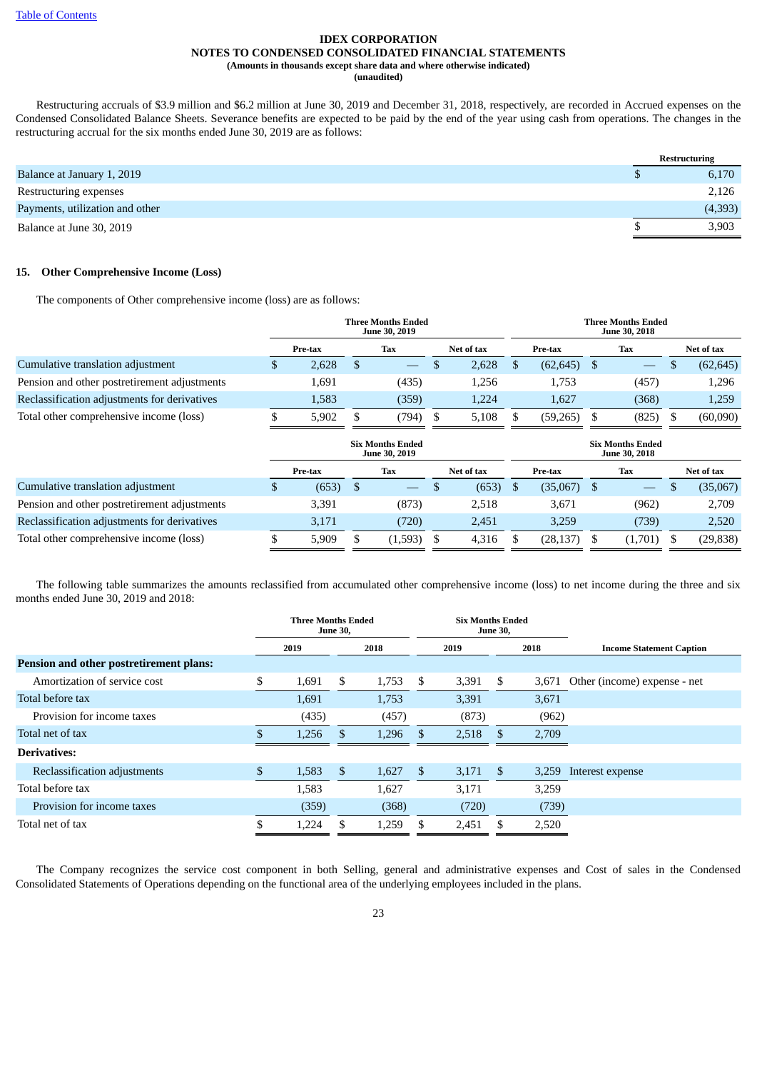Restructuring accruals of \$3.9 million and \$6.2 million at June 30, 2019 and December 31, 2018, respectively, are recorded in Accrued expenses on the Condensed Consolidated Balance Sheets. Severance benefits are expected to be paid by the end of the year using cash from operations. The changes in the restructuring accrual for the six months ended June 30, 2019 are as follows:

|                                 | Restructuring |
|---------------------------------|---------------|
| Balance at January 1, 2019      | 6,170         |
| Restructuring expenses          | 2,126         |
| Payments, utilization and other | (4,393)       |
| Balance at June 30, 2019        | 3,903         |

# **15. Other Comprehensive Income (Loss)**

The components of Other comprehensive income (loss) are as follows:

|                                              | <b>Three Months Ended</b><br>June 30, 2019 |         |    |                                          |    |            |      |                |      |                                                 |   |            |
|----------------------------------------------|--------------------------------------------|---------|----|------------------------------------------|----|------------|------|----------------|------|-------------------------------------------------|---|------------|
|                                              |                                            | Pre-tax |    | <b>Tax</b>                               |    | Net of tax |      | Pre-tax        |      | Tax                                             |   | Net of tax |
| Cumulative translation adjustment            | <sup>S</sup>                               | 2,628   | \$ |                                          | \$ | 2,628      | -S   | $(62, 645)$ \$ |      |                                                 | S | (62, 645)  |
| Pension and other postretirement adjustments |                                            | 1,691   |    | (435)                                    |    | 1,256      |      | 1,753          |      | (457)                                           |   | 1,296      |
| Reclassification adjustments for derivatives |                                            | 1,583   |    | (359)                                    |    | 1,224      |      | 1,627          |      | (368)                                           |   | 1,259      |
| Total other comprehensive income (loss)      |                                            | 5,902   |    | (794)                                    | S  | 5,108      |      | (59, 265)      | - \$ | (825)                                           | S | (60,090)   |
|                                              |                                            |         |    | <b>Six Months Ended</b><br>June 30, 2019 |    |            |      |                |      | <b>Six Months Ended</b><br><b>June 30, 2018</b> |   |            |
|                                              |                                            | Pre-tax |    | <b>Tax</b>                               |    | Net of tax |      | Pre-tax        |      | Tax                                             |   | Net of tax |
| Cumulative translation adjustment            | <sup>\$</sup>                              | (653)   | \$ |                                          | S  | (653)      | - \$ | $(35,067)$ \$  |      |                                                 | S | (35,067)   |
| Pension and other postretirement adjustments |                                            | 3,391   |    | (873)                                    |    | 2,518      |      | 3,671          |      | (962)                                           |   | 2,709      |
| Reclassification adjustments for derivatives |                                            | 3,171   |    | (720)                                    |    | 2,451      |      | 3,259          |      | (739)                                           |   | 2,520      |
| Total other comprehensive income (loss)      |                                            | 5,909   |    | (1,593)                                  | S  | 4,316      |      | (28, 137)      |      | (1,701)                                         |   | (29, 838)  |

The following table summarizes the amounts reclassified from accumulated other comprehensive income (loss) to net income during the three and six months ended June 30, 2019 and 2018:

|                                         | <b>Three Months Ended</b> | <b>June 30,</b> |       |               | <b>Six Months Ended</b><br><b>June 30,</b> |            |       |                                    |
|-----------------------------------------|---------------------------|-----------------|-------|---------------|--------------------------------------------|------------|-------|------------------------------------|
|                                         | 2019                      |                 | 2018  |               | 2019                                       | 2018       |       | <b>Income Statement Caption</b>    |
| Pension and other postretirement plans: |                           |                 |       |               |                                            |            |       |                                    |
| Amortization of service cost            | \$<br>1,691               | S.              | 1,753 | \$            | 3,391                                      | \$         |       | 3,671 Other (income) expense - net |
| Total before tax                        | 1,691                     |                 | 1,753 |               | 3,391                                      |            | 3,671 |                                    |
| Provision for income taxes              | (435)                     |                 | (457) |               | (873)                                      |            | (962) |                                    |
| Total net of tax                        | 1,256                     |                 | 1,296 | -S            | 2,518                                      | \$.        | 2,709 |                                    |
| <b>Derivatives:</b>                     |                           |                 |       |               |                                            |            |       |                                    |
| Reclassification adjustments            | 1,583                     | -S              | 1,627 | <sup>\$</sup> | 3,171                                      | $\sqrt{S}$ | 3,259 | Interest expense                   |
| Total before tax                        | 1.583                     |                 | 1.627 |               | 3,171                                      |            | 3,259 |                                    |
| Provision for income taxes              | (359)                     |                 | (368) |               | (720)                                      |            | (739) |                                    |
| Total net of tax                        | 1,224                     |                 | 1,259 |               | 2,451                                      |            | 2,520 |                                    |
|                                         |                           |                 |       |               |                                            |            |       |                                    |

The Company recognizes the service cost component in both Selling, general and administrative expenses and Cost of sales in the Condensed Consolidated Statements of Operations depending on the functional area of the underlying employees included in the plans.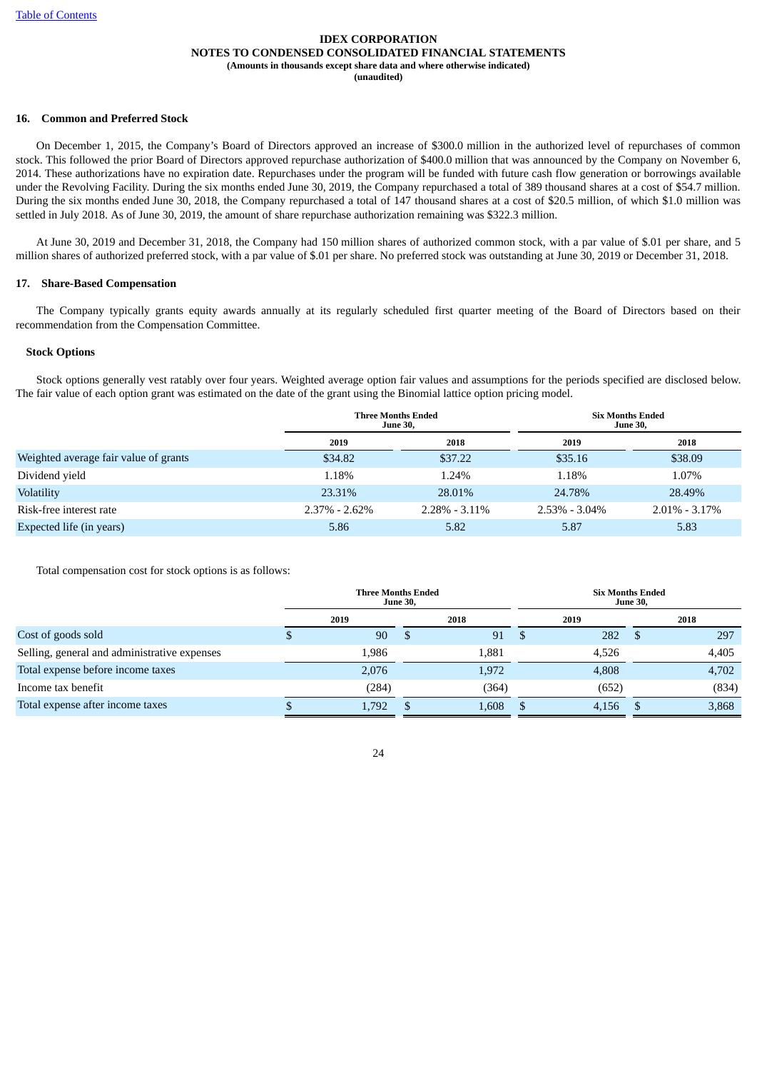### **16. Common and Preferred Stock**

On December 1, 2015, the Company's Board of Directors approved an increase of \$300.0 million in the authorized level of repurchases of common stock. This followed the prior Board of Directors approved repurchase authorization of \$400.0 million that was announced by the Company on November 6, 2014. These authorizations have no expiration date. Repurchases under the program will be funded with future cash flow generation or borrowings available under the Revolving Facility. During the six months ended June 30, 2019, the Company repurchased a total of 389 thousand shares at a cost of \$54.7 million. During the six months ended June 30, 2018, the Company repurchased a total of 147 thousand shares at a cost of \$20.5 million, of which \$1.0 million was settled in July 2018. As of June 30, 2019, the amount of share repurchase authorization remaining was \$322.3 million.

At June 30, 2019 and December 31, 2018, the Company had 150 million shares of authorized common stock, with a par value of \$.01 per share, and 5 million shares of authorized preferred stock, with a par value of \$.01 per share. No preferred stock was outstanding at June 30, 2019 or December 31, 2018.

#### **17. Share-Based Compensation**

The Company typically grants equity awards annually at its regularly scheduled first quarter meeting of the Board of Directors based on their recommendation from the Compensation Committee.

#### **Stock Options**

Stock options generally vest ratably over four years. Weighted average option fair values and assumptions for the periods specified are disclosed below. The fair value of each option grant was estimated on the date of the grant using the Binomial lattice option pricing model.

|                                       |                   | <b>Three Months Ended</b><br><b>June 30,</b> | <b>Six Months Ended</b><br><b>June 30,</b> |                   |  |  |
|---------------------------------------|-------------------|----------------------------------------------|--------------------------------------------|-------------------|--|--|
|                                       | 2019              | 2018                                         | 2019                                       | 2018              |  |  |
| Weighted average fair value of grants | \$34.82           | \$37.22                                      | \$35.16                                    | \$38.09           |  |  |
| Dividend vield                        | 1.18%             | 1.24%                                        | 1.18%                                      | 1.07%             |  |  |
| Volatility                            | 23.31%            | 28.01%                                       | 24.78%                                     | 28.49%            |  |  |
| Risk-free interest rate               | $2.37\% - 2.62\%$ | $2.28\% - 3.11\%$                            | $2.53\% - 3.04\%$                          | $2.01\% - 3.17\%$ |  |  |
| Expected life (in years)              | 5.86              | 5.82                                         | 5.87                                       | 5.83              |  |  |

Total compensation cost for stock options is as follows:

|                                              | <b>Three Months Ended</b><br><b>June 30,</b> |       |   |       | <b>Six Months Ended</b><br><b>June 30,</b> |       |  |       |
|----------------------------------------------|----------------------------------------------|-------|---|-------|--------------------------------------------|-------|--|-------|
|                                              |                                              | 2019  |   | 2018  |                                            | 2019  |  | 2018  |
| Cost of goods sold                           |                                              | 90    | Ъ | 91    |                                            | 282   |  | 297   |
| Selling, general and administrative expenses |                                              | 1,986 |   | 1,881 |                                            | 4,526 |  | 4,405 |
| Total expense before income taxes            |                                              | 2,076 |   | 1,972 |                                            | 4,808 |  | 4,702 |
| Income tax benefit                           |                                              | (284) |   | (364) |                                            | (652) |  | (834) |
| Total expense after income taxes             |                                              | 1,792 |   | 1,608 |                                            | 4,156 |  | 3,868 |

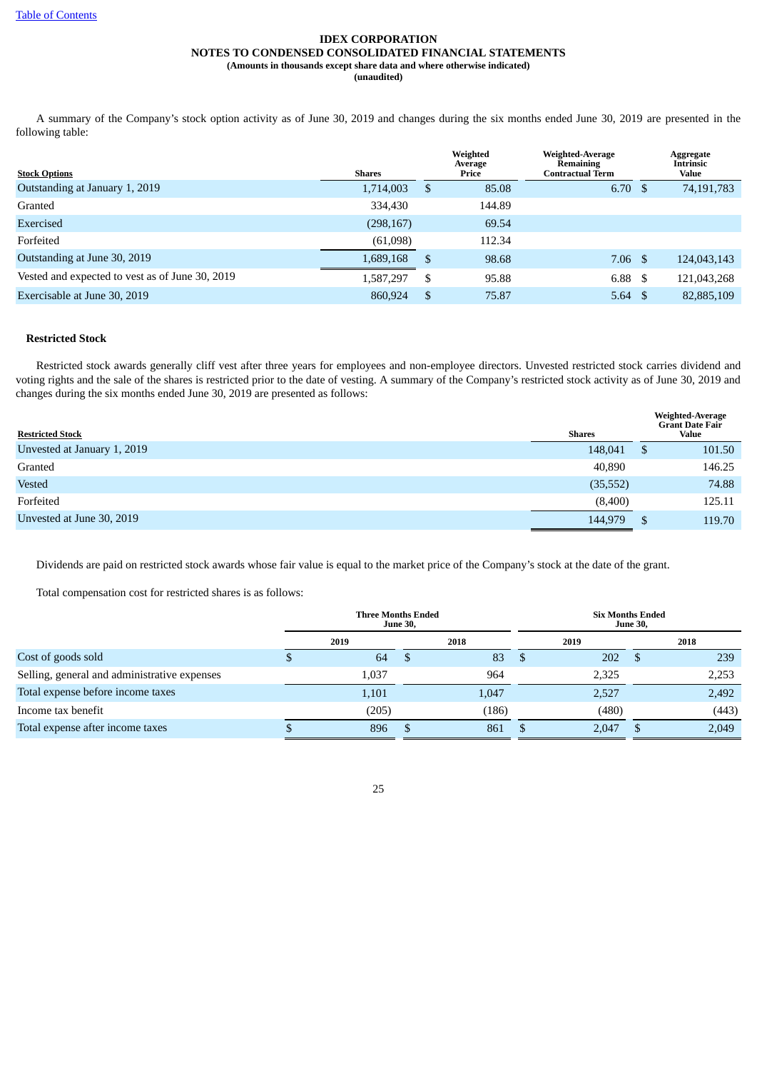A summary of the Company's stock option activity as of June 30, 2019 and changes during the six months ended June 30, 2019 are presented in the following table:

| <b>Stock Options</b>                            | Shares     |    | Weighted<br>Average<br>Price | Weighted-Average<br>Remaining<br><b>Contractual Term</b> | Aggregate<br><b>Intrinsic</b><br>Value |
|-------------------------------------------------|------------|----|------------------------------|----------------------------------------------------------|----------------------------------------|
| Outstanding at January 1, 2019                  | 1,714,003  | \$ | 85.08                        | 6.70 <sup>5</sup>                                        | 74,191,783                             |
| Granted                                         | 334,430    |    | 144.89                       |                                                          |                                        |
| Exercised                                       | (298, 167) |    | 69.54                        |                                                          |                                        |
| Forfeited                                       | (61,098)   |    | 112.34                       |                                                          |                                        |
| Outstanding at June 30, 2019                    | 1,689,168  | -S | 98.68                        | $7.06 \text{ }$ \$                                       | 124,043,143                            |
| Vested and expected to vest as of June 30, 2019 | 1,587,297  | S  | 95.88                        | 6.88 <sup>5</sup>                                        | 121,043,268                            |
| Exercisable at June 30, 2019                    | 860.924    | -S | 75.87                        | $5.64$ \$                                                | 82,885,109                             |

#### **Restricted Stock**

Restricted stock awards generally cliff vest after three years for employees and non-employee directors. Unvested restricted stock carries dividend and voting rights and the sale of the shares is restricted prior to the date of vesting. A summary of the Company's restricted stock activity as of June 30, 2019 and changes during the six months ended June 30, 2019 are presented as follows:

| <b>Restricted Stock</b>     | <b>Shares</b> | <b>Weighted-Average</b><br><b>Grant Date Fair</b><br><b>Value</b> |
|-----------------------------|---------------|-------------------------------------------------------------------|
| Unvested at January 1, 2019 | 148,041       | 101.50                                                            |
| Granted                     | 40,890        | 146.25                                                            |
| Vested                      | (35, 552)     | 74.88                                                             |
| Forfeited                   | (8,400)       | 125.11                                                            |
| Unvested at June 30, 2019   | 144,979       | 119.70                                                            |

Dividends are paid on restricted stock awards whose fair value is equal to the market price of the Company's stock at the date of the grant.

Total compensation cost for restricted shares is as follows:

|                                              | <b>Three Months Ended</b><br><b>June 30,</b> |       |  |       | <b>Six Months Ended</b><br><b>June 30,</b> |       |  |       |
|----------------------------------------------|----------------------------------------------|-------|--|-------|--------------------------------------------|-------|--|-------|
|                                              |                                              | 2019  |  | 2018  |                                            | 2019  |  | 2018  |
| Cost of goods sold                           |                                              | 64    |  | 83    |                                            | 202   |  | 239   |
| Selling, general and administrative expenses |                                              | 1.037 |  | 964   |                                            | 2,325 |  | 2,253 |
| Total expense before income taxes            |                                              | 1,101 |  | 1,047 |                                            | 2,527 |  | 2,492 |
| Income tax benefit                           |                                              | (205) |  | (186) |                                            | (480) |  | (443) |
| Total expense after income taxes             |                                              | 896   |  | 861   |                                            | 2,047 |  | 2,049 |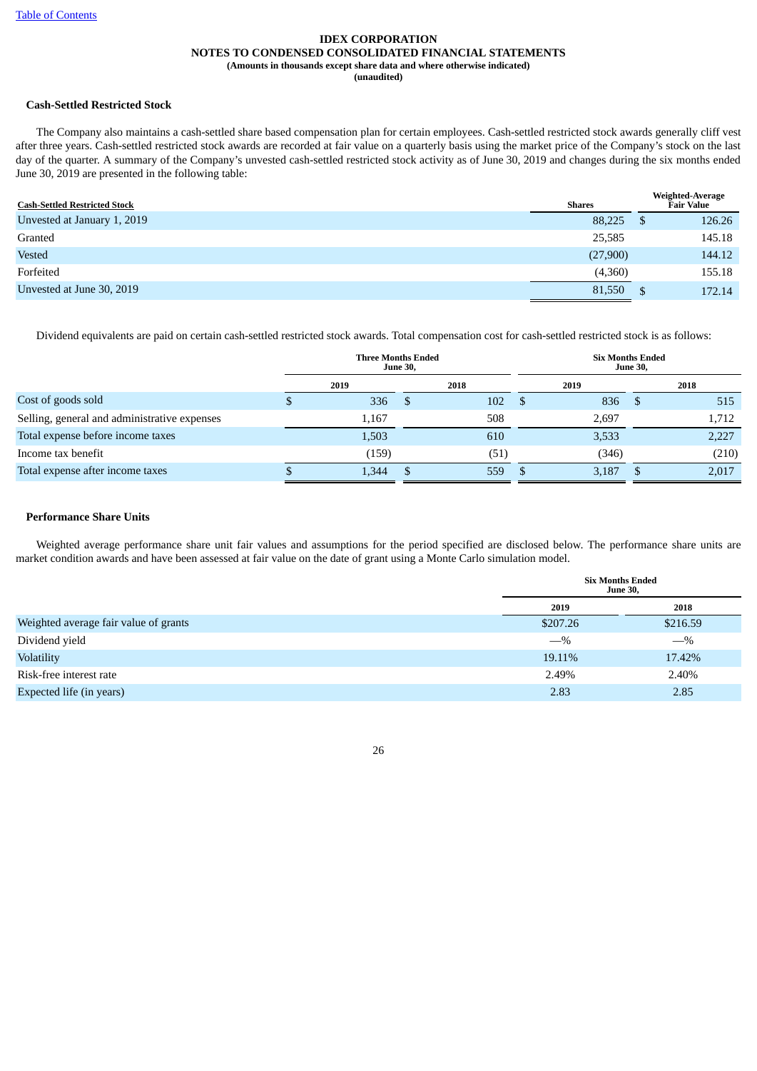# **Cash-Settled Restricted Stock**

The Company also maintains a cash-settled share based compensation plan for certain employees. Cash-settled restricted stock awards generally cliff vest after three years. Cash-settled restricted stock awards are recorded at fair value on a quarterly basis using the market price of the Company's stock on the last day of the quarter. A summary of the Company's unvested cash-settled restricted stock activity as of June 30, 2019 and changes during the six months ended June 30, 2019 are presented in the following table:

| <b>Cash-Settled Restricted Stock</b> | <b>Shares</b> | Weighted-Average<br><b>Fair Value</b> |
|--------------------------------------|---------------|---------------------------------------|
| Unvested at January 1, 2019          | 88,225        | 126.26                                |
| Granted                              | 25,585        | 145.18                                |
| <b>Vested</b>                        | (27,900)      | 144.12                                |
| Forfeited                            | (4,360)       | 155.18                                |
| Unvested at June 30, 2019            | 81,550        | 172.14                                |

Dividend equivalents are paid on certain cash-settled restricted stock awards. Total compensation cost for cash-settled restricted stock is as follows:

|                                              | <b>Three Months Ended</b><br><b>June 30,</b> |       |     |      | <b>Six Months Ended</b><br><b>June 30,</b> |       |  |       |
|----------------------------------------------|----------------------------------------------|-------|-----|------|--------------------------------------------|-------|--|-------|
|                                              |                                              | 2019  |     | 2018 |                                            | 2019  |  | 2018  |
| Cost of goods sold                           | Φ                                            | 336   | - 5 | 102  | -S                                         | 836   |  | 515   |
| Selling, general and administrative expenses |                                              | 1,167 |     | 508  |                                            | 2,697 |  | 1,712 |
| Total expense before income taxes            |                                              | 1,503 |     | 610  |                                            | 3,533 |  | 2,227 |
| Income tax benefit                           |                                              | (159) |     | (51) |                                            | (346) |  | (210) |
| Total expense after income taxes             |                                              | 1,344 |     | 559  |                                            | 3,187 |  | 2,017 |

#### **Performance Share Units**

Weighted average performance share unit fair values and assumptions for the period specified are disclosed below. The performance share units are market condition awards and have been assessed at fair value on the date of grant using a Monte Carlo simulation model.

|                                       | <b>Six Months Ended</b><br><b>June 30,</b> |          |  |  |  |
|---------------------------------------|--------------------------------------------|----------|--|--|--|
|                                       | 2019                                       | 2018     |  |  |  |
| Weighted average fair value of grants | \$207.26                                   | \$216.59 |  |  |  |
| Dividend yield                        | $-$ %                                      | $-$ %    |  |  |  |
| <b>Volatility</b>                     | 19.11%                                     | 17.42%   |  |  |  |
| Risk-free interest rate               | 2.49%                                      | 2.40%    |  |  |  |
| Expected life (in years)              | 2.83                                       | 2.85     |  |  |  |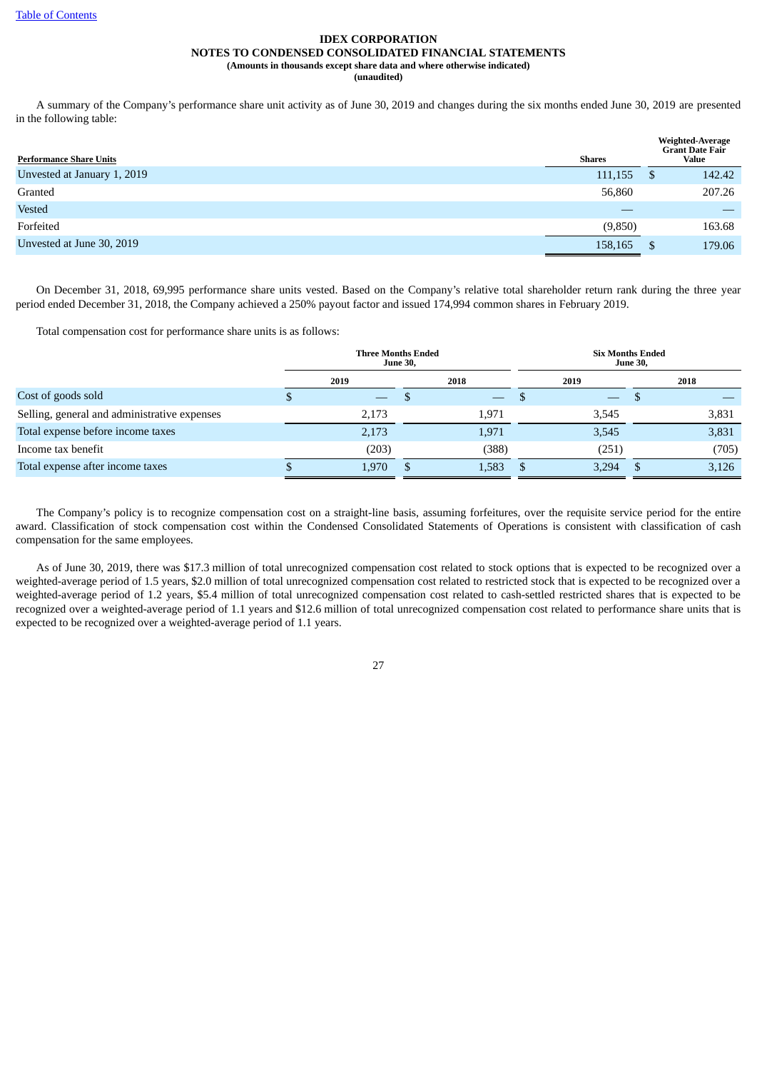A summary of the Company's performance share unit activity as of June 30, 2019 and changes during the six months ended June 30, 2019 are presented in the following table:

| <b>Performance Share Units</b> | <b>Shares</b> |      | <b>Weighted-Average</b><br><b>Grant Date Fair</b><br>Value |
|--------------------------------|---------------|------|------------------------------------------------------------|
| Unvested at January 1, 2019    | 111,155       | - \$ | 142.42                                                     |
| Granted                        | 56,860        |      | 207.26                                                     |
| <b>Vested</b>                  |               |      |                                                            |
| Forfeited                      | (9,850)       |      | 163.68                                                     |
| Unvested at June 30, 2019      | 158,165       | -\$  | 179.06                                                     |

On December 31, 2018, 69,995 performance share units vested. Based on the Company's relative total shareholder return rank during the three year period ended December 31, 2018, the Company achieved a 250% payout factor and issued 174,994 common shares in February 2019.

Total compensation cost for performance share units is as follows:

|                                              | <b>Three Months Ended</b><br><b>June 30,</b> |       |  |       | <b>Six Months Ended</b><br><b>June 30,</b> |       |  |       |
|----------------------------------------------|----------------------------------------------|-------|--|-------|--------------------------------------------|-------|--|-------|
|                                              |                                              | 2019  |  | 2018  |                                            | 2019  |  | 2018  |
| Cost of goods sold                           |                                              |       |  |       |                                            |       |  |       |
| Selling, general and administrative expenses |                                              | 2,173 |  | 1,971 |                                            | 3,545 |  | 3,831 |
| Total expense before income taxes            |                                              | 2,173 |  | 1,971 |                                            | 3,545 |  | 3,831 |
| Income tax benefit                           |                                              | (203) |  | (388) |                                            | (251) |  | (705) |
| Total expense after income taxes             |                                              | 1,970 |  | 1,583 |                                            | 3,294 |  | 3,126 |

The Company's policy is to recognize compensation cost on a straight-line basis, assuming forfeitures, over the requisite service period for the entire award. Classification of stock compensation cost within the Condensed Consolidated Statements of Operations is consistent with classification of cash compensation for the same employees.

As of June 30, 2019, there was \$17.3 million of total unrecognized compensation cost related to stock options that is expected to be recognized over a weighted-average period of 1.5 years, \$2.0 million of total unrecognized compensation cost related to restricted stock that is expected to be recognized over a weighted-average period of 1.2 years, \$5.4 million of total unrecognized compensation cost related to cash-settled restricted shares that is expected to be recognized over a weighted-average period of 1.1 years and \$12.6 million of total unrecognized compensation cost related to performance share units that is expected to be recognized over a weighted-average period of 1.1 years.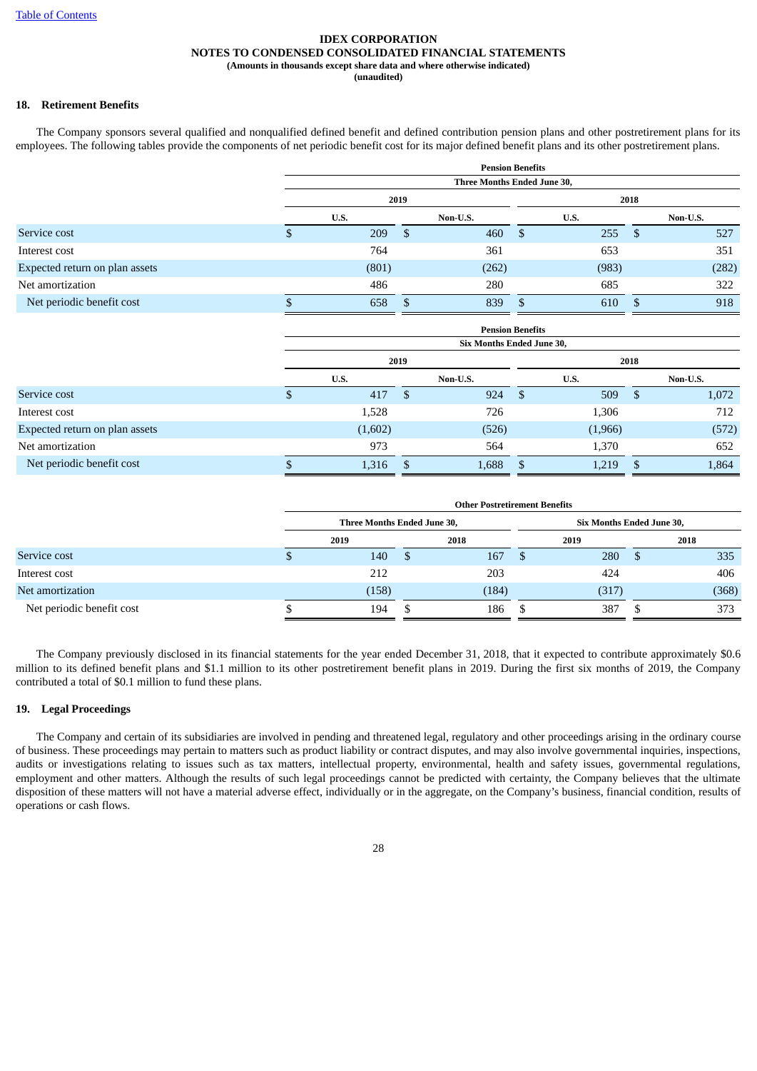**(unaudited)**

# **18. Retirement Benefits**

The Company sponsors several qualified and nonqualified defined benefit and defined contribution pension plans and other postretirement plans for its employees. The following tables provide the components of net periodic benefit cost for its major defined benefit plans and its other postretirement plans.

|                                | <b>Pension Benefits</b>     |                           |          |                |         |                |          |  |  |
|--------------------------------|-----------------------------|---------------------------|----------|----------------|---------|----------------|----------|--|--|
|                                | Three Months Ended June 30, |                           |          |                |         |                |          |  |  |
|                                |                             | 2019                      |          |                | 2018    |                |          |  |  |
|                                | U.S.                        |                           | Non-U.S. |                | U.S.    |                | Non-U.S. |  |  |
| Service cost                   | \$<br>209                   | $\boldsymbol{\mathsf{S}}$ | 460      | $\mathcal{S}$  | 255     | $\mathfrak{s}$ | 527      |  |  |
| Interest cost                  | 764                         |                           | 361      |                | 653     |                | 351      |  |  |
| Expected return on plan assets | (801)                       |                           | (262)    |                | (983)   |                | (282)    |  |  |
| Net amortization               | 486                         |                           | 280      |                | 685     |                | 322      |  |  |
| Net periodic benefit cost      | \$<br>658                   | $\mathfrak{L}$            | 839      | $\mathfrak{L}$ | 610     | \$             | 918      |  |  |
|                                | <b>Pension Benefits</b>     |                           |          |                |         |                |          |  |  |
|                                | Six Months Ended June 30,   |                           |          |                |         |                |          |  |  |
|                                |                             | 2019                      |          | 2018           |         |                |          |  |  |
|                                | U.S.                        |                           | Non-U.S. |                | U.S.    |                | Non-U.S. |  |  |
| Service cost                   | \$<br>417                   | $\mathbf{\hat{S}}$        | 924      | $\mathbf{s}$   | 509     | -\$            | 1,072    |  |  |
| Interest cost                  | 1,528                       |                           | 726      |                | 1,306   |                | 712      |  |  |
| Expected return on plan assets | (1,602)                     |                           | (526)    |                | (1,966) |                | (572)    |  |  |
| Net amortization               | 973                         |                           | 564      |                | 1,370   |                | 652      |  |  |
| Net periodic benefit cost      | \$<br>1,316                 | \$                        | 1,688    | \$             | 1,219   | \$             | 1,864    |  |  |

|                           |   | <b>Other Postretirement Benefits</b> |   |       |    |                           |    |       |  |
|---------------------------|---|--------------------------------------|---|-------|----|---------------------------|----|-------|--|
|                           |   | Three Months Ended June 30,          |   |       |    | Six Months Ended June 30, |    |       |  |
|                           |   | 2019                                 |   | 2018  |    | 2019                      |    | 2018  |  |
| Service cost              | Φ | 140                                  | ъ | 167   | .ზ | 280                       | -S | 335   |  |
| Interest cost             |   | 212                                  |   | 203   |    | 424                       |    | 406   |  |
| Net amortization          |   | (158)                                |   | (184) |    | (317)                     |    | (368) |  |
| Net periodic benefit cost |   | 194                                  |   | 186   |    | 387                       |    | 373   |  |

The Company previously disclosed in its financial statements for the year ended December 31, 2018, that it expected to contribute approximately \$0.6 million to its defined benefit plans and \$1.1 million to its other postretirement benefit plans in 2019. During the first six months of 2019, the Company contributed a total of \$0.1 million to fund these plans.

### **19. Legal Proceedings**

The Company and certain of its subsidiaries are involved in pending and threatened legal, regulatory and other proceedings arising in the ordinary course of business. These proceedings may pertain to matters such as product liability or contract disputes, and may also involve governmental inquiries, inspections, audits or investigations relating to issues such as tax matters, intellectual property, environmental, health and safety issues, governmental regulations, employment and other matters. Although the results of such legal proceedings cannot be predicted with certainty, the Company believes that the ultimate disposition of these matters will not have a material adverse effect, individually or in the aggregate, on the Company's business, financial condition, results of operations or cash flows.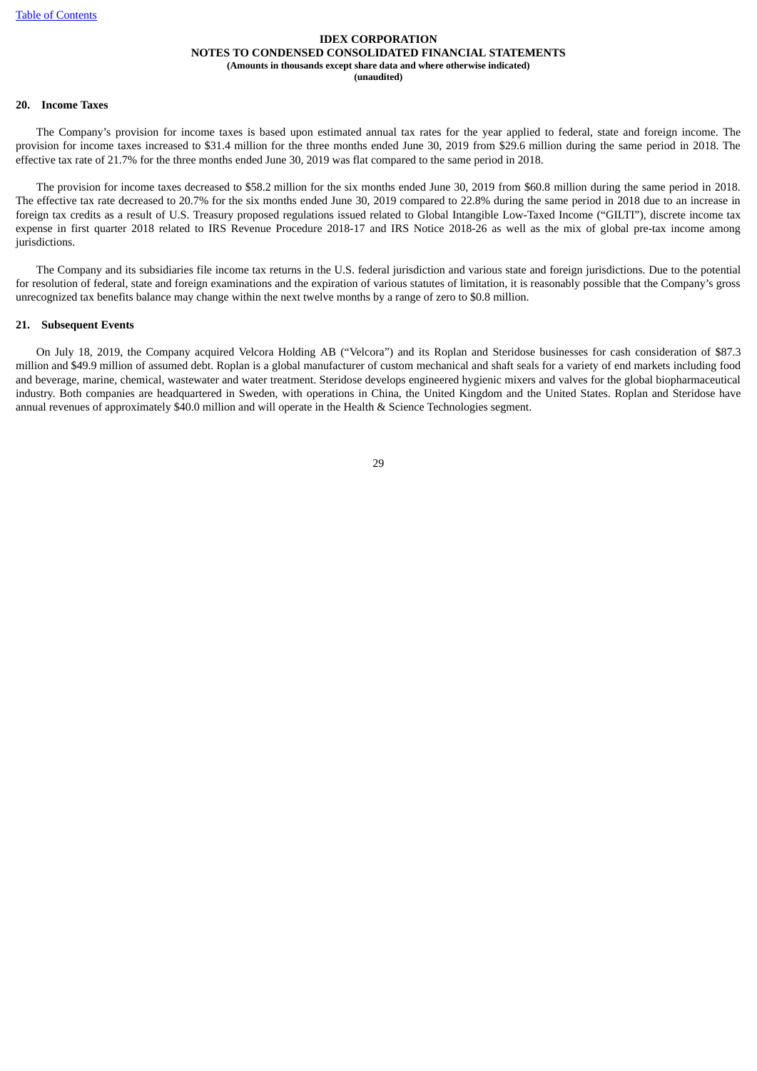#### **20. Income Taxes**

The Company's provision for income taxes is based upon estimated annual tax rates for the year applied to federal, state and foreign income. The provision for income taxes increased to \$31.4 million for the three months ended June 30, 2019 from \$29.6 million during the same period in 2018. The effective tax rate of 21.7% for the three months ended June 30, 2019 was flat compared to the same period in 2018.

The provision for income taxes decreased to \$58.2 million for the six months ended June 30, 2019 from \$60.8 million during the same period in 2018. The effective tax rate decreased to 20.7% for the six months ended June 30, 2019 compared to 22.8% during the same period in 2018 due to an increase in foreign tax credits as a result of U.S. Treasury proposed regulations issued related to Global Intangible Low-Taxed Income ("GILTI"), discrete income tax expense in first quarter 2018 related to IRS Revenue Procedure 2018-17 and IRS Notice 2018-26 as well as the mix of global pre-tax income among jurisdictions.

The Company and its subsidiaries file income tax returns in the U.S. federal jurisdiction and various state and foreign jurisdictions. Due to the potential for resolution of federal, state and foreign examinations and the expiration of various statutes of limitation, it is reasonably possible that the Company's gross unrecognized tax benefits balance may change within the next twelve months by a range of zero to \$0.8 million.

#### **21. Subsequent Events**

On July 18, 2019, the Company acquired Velcora Holding AB ("Velcora") and its Roplan and Steridose businesses for cash consideration of \$87.3 million and \$49.9 million of assumed debt. Roplan is a global manufacturer of custom mechanical and shaft seals for a variety of end markets including food and beverage, marine, chemical, wastewater and water treatment. Steridose develops engineered hygienic mixers and valves for the global biopharmaceutical industry. Both companies are headquartered in Sweden, with operations in China, the United Kingdom and the United States. Roplan and Steridose have annual revenues of approximately \$40.0 million and will operate in the Health & Science Technologies segment.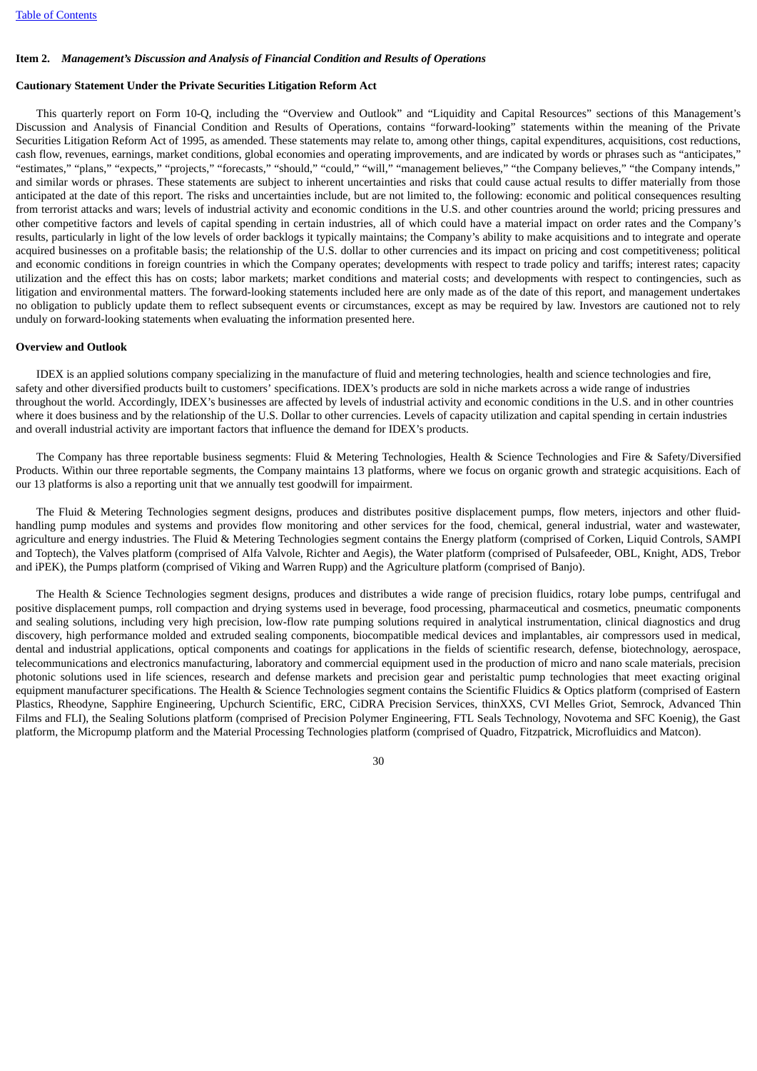#### <span id="page-32-0"></span>**Item 2.** *Management's Discussion and Analysis of Financial Condition and Results of Operations*

#### **Cautionary Statement Under the Private Securities Litigation Reform Act**

This quarterly report on Form 10-Q, including the "Overview and Outlook" and "Liquidity and Capital Resources" sections of this Management's Discussion and Analysis of Financial Condition and Results of Operations, contains "forward-looking" statements within the meaning of the Private Securities Litigation Reform Act of 1995, as amended. These statements may relate to, among other things, capital expenditures, acquisitions, cost reductions, cash flow, revenues, earnings, market conditions, global economies and operating improvements, and are indicated by words or phrases such as "anticipates," "estimates," "plans," "expects," "projects," "forecasts," "should," "could," "will," "management believes," "the Company believes," "the Company intends," and similar words or phrases. These statements are subject to inherent uncertainties and risks that could cause actual results to differ materially from those anticipated at the date of this report. The risks and uncertainties include, but are not limited to, the following: economic and political consequences resulting from terrorist attacks and wars; levels of industrial activity and economic conditions in the U.S. and other countries around the world; pricing pressures and other competitive factors and levels of capital spending in certain industries, all of which could have a material impact on order rates and the Company's results, particularly in light of the low levels of order backlogs it typically maintains; the Company's ability to make acquisitions and to integrate and operate acquired businesses on a profitable basis; the relationship of the U.S. dollar to other currencies and its impact on pricing and cost competitiveness; political and economic conditions in foreign countries in which the Company operates; developments with respect to trade policy and tariffs; interest rates; capacity utilization and the effect this has on costs; labor markets; market conditions and material costs; and developments with respect to contingencies, such as litigation and environmental matters. The forward-looking statements included here are only made as of the date of this report, and management undertakes no obligation to publicly update them to reflect subsequent events or circumstances, except as may be required by law. Investors are cautioned not to rely unduly on forward-looking statements when evaluating the information presented here.

#### <span id="page-32-1"></span>**Overview and Outlook**

IDEX is an applied solutions company specializing in the manufacture of fluid and metering technologies, health and science technologies and fire, safety and other diversified products built to customers' specifications. IDEX's products are sold in niche markets across a wide range of industries throughout the world. Accordingly, IDEX's businesses are affected by levels of industrial activity and economic conditions in the U.S. and in other countries where it does business and by the relationship of the U.S. Dollar to other currencies. Levels of capacity utilization and capital spending in certain industries and overall industrial activity are important factors that influence the demand for IDEX's products.

The Company has three reportable business segments: Fluid & Metering Technologies, Health & Science Technologies and Fire & Safety/Diversified Products. Within our three reportable segments, the Company maintains 13 platforms, where we focus on organic growth and strategic acquisitions. Each of our 13 platforms is also a reporting unit that we annually test goodwill for impairment.

The Fluid & Metering Technologies segment designs, produces and distributes positive displacement pumps, flow meters, injectors and other fluidhandling pump modules and systems and provides flow monitoring and other services for the food, chemical, general industrial, water and wastewater, agriculture and energy industries. The Fluid & Metering Technologies segment contains the Energy platform (comprised of Corken, Liquid Controls, SAMPI and Toptech), the Valves platform (comprised of Alfa Valvole, Richter and Aegis), the Water platform (comprised of Pulsafeeder, OBL, Knight, ADS, Trebor and iPEK), the Pumps platform (comprised of Viking and Warren Rupp) and the Agriculture platform (comprised of Banjo).

The Health & Science Technologies segment designs, produces and distributes a wide range of precision fluidics, rotary lobe pumps, centrifugal and positive displacement pumps, roll compaction and drying systems used in beverage, food processing, pharmaceutical and cosmetics, pneumatic components and sealing solutions, including very high precision, low-flow rate pumping solutions required in analytical instrumentation, clinical diagnostics and drug discovery, high performance molded and extruded sealing components, biocompatible medical devices and implantables, air compressors used in medical, dental and industrial applications, optical components and coatings for applications in the fields of scientific research, defense, biotechnology, aerospace, telecommunications and electronics manufacturing, laboratory and commercial equipment used in the production of micro and nano scale materials, precision photonic solutions used in life sciences, research and defense markets and precision gear and peristaltic pump technologies that meet exacting original equipment manufacturer specifications. The Health & Science Technologies segment contains the Scientific Fluidics & Optics platform (comprised of Eastern Plastics, Rheodyne, Sapphire Engineering, Upchurch Scientific, ERC, CiDRA Precision Services, thinXXS, CVI Melles Griot, Semrock, Advanced Thin Films and FLI), the Sealing Solutions platform (comprised of Precision Polymer Engineering, FTL Seals Technology, Novotema and SFC Koenig), the Gast platform, the Micropump platform and the Material Processing Technologies platform (comprised of Quadro, Fitzpatrick, Microfluidics and Matcon).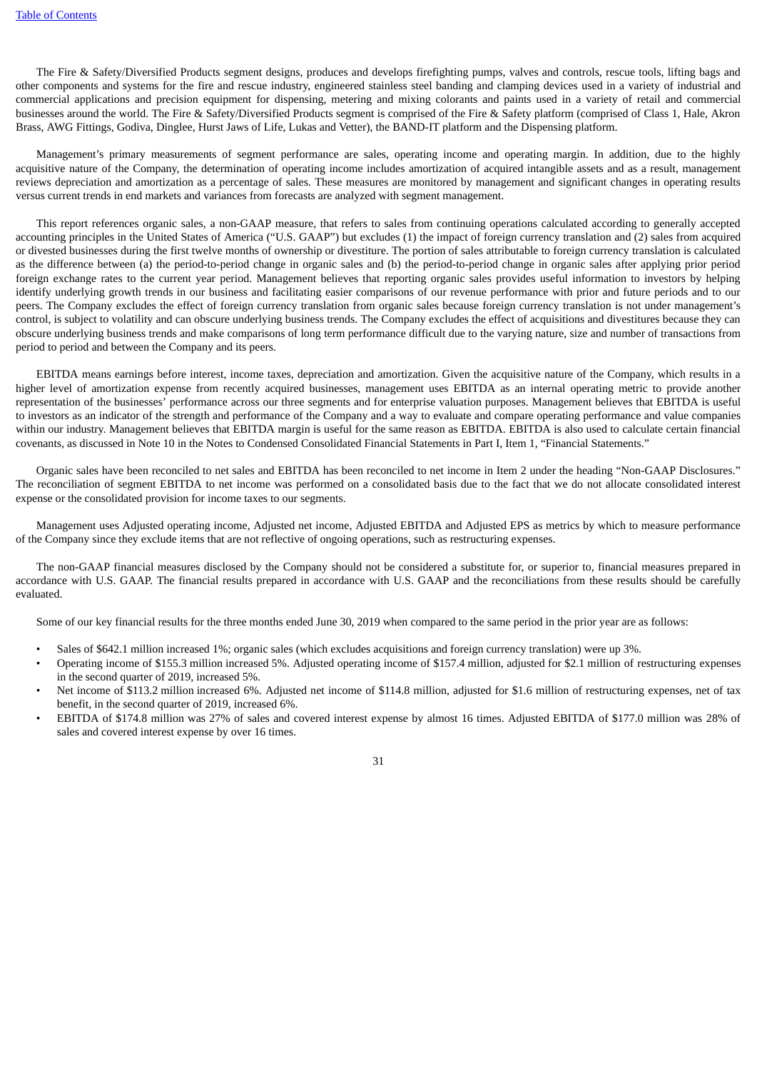The Fire & Safety/Diversified Products segment designs, produces and develops firefighting pumps, valves and controls, rescue tools, lifting bags and other components and systems for the fire and rescue industry, engineered stainless steel banding and clamping devices used in a variety of industrial and commercial applications and precision equipment for dispensing, metering and mixing colorants and paints used in a variety of retail and commercial businesses around the world. The Fire & Safety/Diversified Products segment is comprised of the Fire & Safety platform (comprised of Class 1, Hale, Akron Brass, AWG Fittings, Godiva, Dinglee, Hurst Jaws of Life, Lukas and Vetter), the BAND-IT platform and the Dispensing platform.

Management's primary measurements of segment performance are sales, operating income and operating margin. In addition, due to the highly acquisitive nature of the Company, the determination of operating income includes amortization of acquired intangible assets and as a result, management reviews depreciation and amortization as a percentage of sales. These measures are monitored by management and significant changes in operating results versus current trends in end markets and variances from forecasts are analyzed with segment management.

This report references organic sales, a non-GAAP measure, that refers to sales from continuing operations calculated according to generally accepted accounting principles in the United States of America ("U.S. GAAP") but excludes (1) the impact of foreign currency translation and (2) sales from acquired or divested businesses during the first twelve months of ownership or divestiture. The portion of sales attributable to foreign currency translation is calculated as the difference between (a) the period-to-period change in organic sales and (b) the period-to-period change in organic sales after applying prior period foreign exchange rates to the current year period. Management believes that reporting organic sales provides useful information to investors by helping identify underlying growth trends in our business and facilitating easier comparisons of our revenue performance with prior and future periods and to our peers. The Company excludes the effect of foreign currency translation from organic sales because foreign currency translation is not under management's control, is subject to volatility and can obscure underlying business trends. The Company excludes the effect of acquisitions and divestitures because they can obscure underlying business trends and make comparisons of long term performance difficult due to the varying nature, size and number of transactions from period to period and between the Company and its peers.

EBITDA means earnings before interest, income taxes, depreciation and amortization. Given the acquisitive nature of the Company, which results in a higher level of amortization expense from recently acquired businesses, management uses EBITDA as an internal operating metric to provide another representation of the businesses' performance across our three segments and for enterprise valuation purposes. Management believes that EBITDA is useful to investors as an indicator of the strength and performance of the Company and a way to evaluate and compare operating performance and value companies within our industry. Management believes that EBITDA margin is useful for the same reason as EBITDA. EBITDA is also used to calculate certain financial covenants, as discussed in Note 10 in the Notes to Condensed Consolidated Financial Statements in Part I, Item 1, "Financial Statements."

Organic sales have been reconciled to net sales and EBITDA has been reconciled to net income in Item 2 under the heading "Non-GAAP Disclosures." The reconciliation of segment EBITDA to net income was performed on a consolidated basis due to the fact that we do not allocate consolidated interest expense or the consolidated provision for income taxes to our segments.

Management uses Adjusted operating income, Adjusted net income, Adjusted EBITDA and Adjusted EPS as metrics by which to measure performance of the Company since they exclude items that are not reflective of ongoing operations, such as restructuring expenses.

The non-GAAP financial measures disclosed by the Company should not be considered a substitute for, or superior to, financial measures prepared in accordance with U.S. GAAP. The financial results prepared in accordance with U.S. GAAP and the reconciliations from these results should be carefully evaluated.

Some of our key financial results for the three months ended June 30, 2019 when compared to the same period in the prior year are as follows:

- Sales of \$642.1 million increased 1%; organic sales (which excludes acquisitions and foreign currency translation) were up 3%.
- Operating income of \$155.3 million increased 5%. Adjusted operating income of \$157.4 million, adjusted for \$2.1 million of restructuring expenses in the second quarter of 2019, increased 5%.
- Net income of \$113.2 million increased 6%. Adjusted net income of \$114.8 million, adjusted for \$1.6 million of restructuring expenses, net of tax benefit, in the second quarter of 2019, increased 6%.
- EBITDA of \$174.8 million was 27% of sales and covered interest expense by almost 16 times. Adjusted EBITDA of \$177.0 million was 28% of sales and covered interest expense by over 16 times.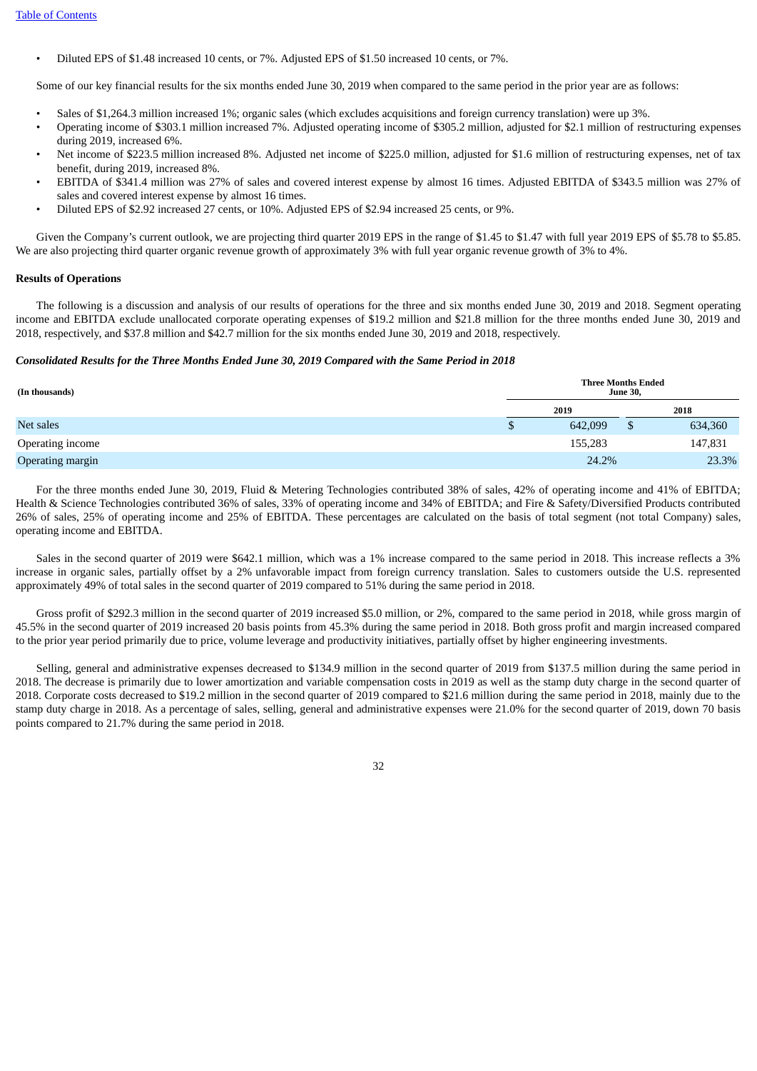• Diluted EPS of \$1.48 increased 10 cents, or 7%. Adjusted EPS of \$1.50 increased 10 cents, or 7%.

Some of our key financial results for the six months ended June 30, 2019 when compared to the same period in the prior year are as follows:

- Sales of \$1,264.3 million increased 1%; organic sales (which excludes acquisitions and foreign currency translation) were up 3%.
- Operating income of \$303.1 million increased 7%. Adjusted operating income of \$305.2 million, adjusted for \$2.1 million of restructuring expenses during 2019, increased 6%.
- Net income of \$223.5 million increased 8%. Adjusted net income of \$225.0 million, adjusted for \$1.6 million of restructuring expenses, net of tax benefit, during 2019, increased 8%.
- EBITDA of \$341.4 million was 27% of sales and covered interest expense by almost 16 times. Adjusted EBITDA of \$343.5 million was 27% of sales and covered interest expense by almost 16 times.
- Diluted EPS of \$2.92 increased 27 cents, or 10%. Adjusted EPS of \$2.94 increased 25 cents, or 9%.

Given the Company's current outlook, we are projecting third quarter 2019 EPS in the range of \$1.45 to \$1.47 with full year 2019 EPS of \$5.78 to \$5.85. We are also projecting third quarter organic revenue growth of approximately 3% with full year organic revenue growth of 3% to 4%.

#### <span id="page-34-0"></span>**Results of Operations**

The following is a discussion and analysis of our results of operations for the three and six months ended June 30, 2019 and 2018. Segment operating income and EBITDA exclude unallocated corporate operating expenses of \$19.2 million and \$21.8 million for the three months ended June 30, 2019 and 2018, respectively, and \$37.8 million and \$42.7 million for the six months ended June 30, 2019 and 2018, respectively.

#### *Consolidated Results for the Three Months Ended June 30, 2019 Compared with the Same Period in 2018*

| (In thousands)          | <b>Three Months Ended</b><br><b>June 30,</b> |   |         |  |
|-------------------------|----------------------------------------------|---|---------|--|
|                         | 2019                                         |   | 2018    |  |
| Net sales               | 642,099                                      | ъ | 634,360 |  |
| Operating income        | 155,283                                      |   | 147,831 |  |
| <b>Operating margin</b> | 24.2%                                        |   | 23.3%   |  |

For the three months ended June 30, 2019, Fluid & Metering Technologies contributed 38% of sales, 42% of operating income and 41% of EBITDA; Health & Science Technologies contributed 36% of sales, 33% of operating income and 34% of EBITDA; and Fire & Safety/Diversified Products contributed 26% of sales, 25% of operating income and 25% of EBITDA. These percentages are calculated on the basis of total segment (not total Company) sales, operating income and EBITDA.

Sales in the second quarter of 2019 were \$642.1 million, which was a 1% increase compared to the same period in 2018. This increase reflects a 3% increase in organic sales, partially offset by a 2% unfavorable impact from foreign currency translation. Sales to customers outside the U.S. represented approximately 49% of total sales in the second quarter of 2019 compared to 51% during the same period in 2018.

Gross profit of \$292.3 million in the second quarter of 2019 increased \$5.0 million, or 2%, compared to the same period in 2018, while gross margin of 45.5% in the second quarter of 2019 increased 20 basis points from 45.3% during the same period in 2018. Both gross profit and margin increased compared to the prior year period primarily due to price, volume leverage and productivity initiatives, partially offset by higher engineering investments.

Selling, general and administrative expenses decreased to \$134.9 million in the second quarter of 2019 from \$137.5 million during the same period in 2018. The decrease is primarily due to lower amortization and variable compensation costs in 2019 as well as the stamp duty charge in the second quarter of 2018. Corporate costs decreased to \$19.2 million in the second quarter of 2019 compared to \$21.6 million during the same period in 2018, mainly due to the stamp duty charge in 2018. As a percentage of sales, selling, general and administrative expenses were 21.0% for the second quarter of 2019, down 70 basis points compared to 21.7% during the same period in 2018.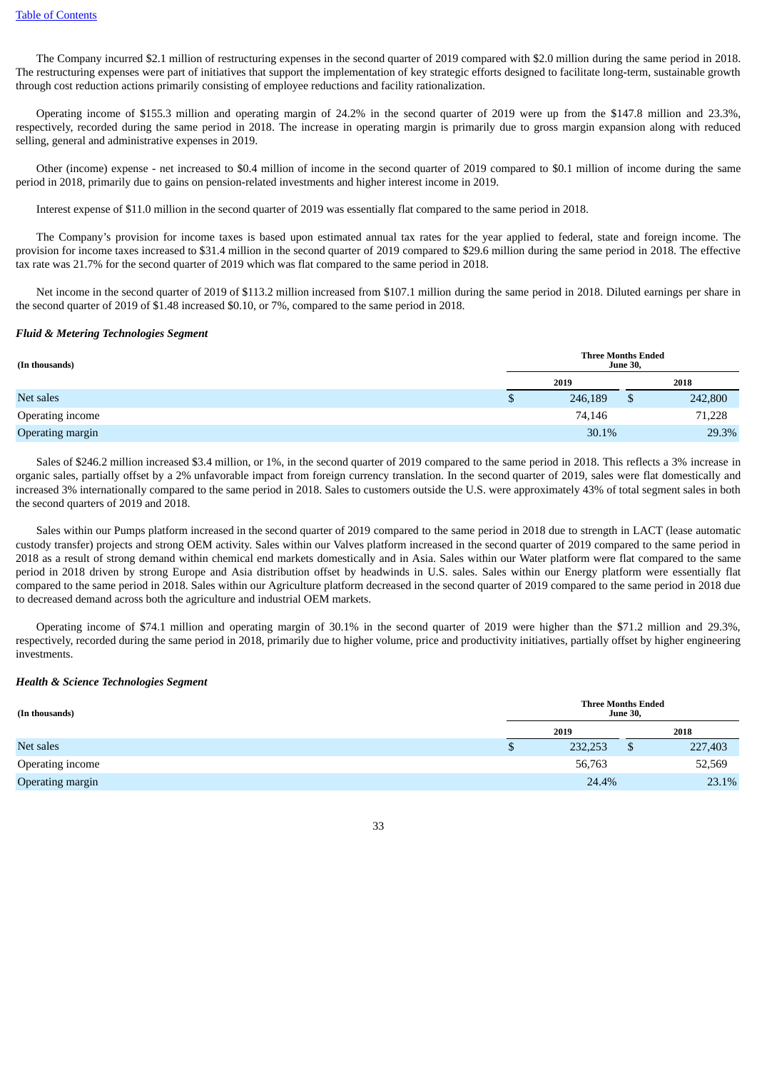The Company incurred \$2.1 million of restructuring expenses in the second quarter of 2019 compared with \$2.0 million during the same period in 2018. The restructuring expenses were part of initiatives that support the implementation of key strategic efforts designed to facilitate long-term, sustainable growth through cost reduction actions primarily consisting of employee reductions and facility rationalization.

Operating income of \$155.3 million and operating margin of 24.2% in the second quarter of 2019 were up from the \$147.8 million and 23.3%, respectively, recorded during the same period in 2018. The increase in operating margin is primarily due to gross margin expansion along with reduced selling, general and administrative expenses in 2019.

Other (income) expense - net increased to \$0.4 million of income in the second quarter of 2019 compared to \$0.1 million of income during the same period in 2018, primarily due to gains on pension-related investments and higher interest income in 2019.

Interest expense of \$11.0 million in the second quarter of 2019 was essentially flat compared to the same period in 2018.

The Company's provision for income taxes is based upon estimated annual tax rates for the year applied to federal, state and foreign income. The provision for income taxes increased to \$31.4 million in the second quarter of 2019 compared to \$29.6 million during the same period in 2018. The effective tax rate was 21.7% for the second quarter of 2019 which was flat compared to the same period in 2018.

Net income in the second quarter of 2019 of \$113.2 million increased from \$107.1 million during the same period in 2018. Diluted earnings per share in the second quarter of 2019 of \$1.48 increased \$0.10, or 7%, compared to the same period in 2018.

#### *Fluid & Metering Technologies Segment*

| (In thousands)   | <b>Three Months Ended</b><br><b>June 30,</b> |         |       |         |  |  |  |  |
|------------------|----------------------------------------------|---------|-------|---------|--|--|--|--|
|                  | 2019                                         |         | 2018  |         |  |  |  |  |
| Net sales        | J                                            | 246,189 | S     | 242,800 |  |  |  |  |
| Operating income |                                              | 74,146  |       | 71,228  |  |  |  |  |
| Operating margin |                                              | 30.1%   | 29.3% |         |  |  |  |  |

Sales of \$246.2 million increased \$3.4 million, or 1%, in the second quarter of 2019 compared to the same period in 2018. This reflects a 3% increase in organic sales, partially offset by a 2% unfavorable impact from foreign currency translation. In the second quarter of 2019, sales were flat domestically and increased 3% internationally compared to the same period in 2018. Sales to customers outside the U.S. were approximately 43% of total segment sales in both the second quarters of 2019 and 2018.

Sales within our Pumps platform increased in the second quarter of 2019 compared to the same period in 2018 due to strength in LACT (lease automatic custody transfer) projects and strong OEM activity. Sales within our Valves platform increased in the second quarter of 2019 compared to the same period in 2018 as a result of strong demand within chemical end markets domestically and in Asia. Sales within our Water platform were flat compared to the same period in 2018 driven by strong Europe and Asia distribution offset by headwinds in U.S. sales. Sales within our Energy platform were essentially flat compared to the same period in 2018. Sales within our Agriculture platform decreased in the second quarter of 2019 compared to the same period in 2018 due to decreased demand across both the agriculture and industrial OEM markets.

Operating income of \$74.1 million and operating margin of 30.1% in the second quarter of 2019 were higher than the \$71.2 million and 29.3%, respectively, recorded during the same period in 2018, primarily due to higher volume, price and productivity initiatives, partially offset by higher engineering investments.

#### *Health & Science Technologies Segment*

| (In thousands)   | <b>Three Months Ended</b><br><b>June 30,</b> |         |      |         |  |  |  |  |
|------------------|----------------------------------------------|---------|------|---------|--|--|--|--|
|                  |                                              | 2019    | 2018 |         |  |  |  |  |
| Net sales        |                                              | 232,253 |      | 227,403 |  |  |  |  |
| Operating income |                                              | 56,763  |      | 52,569  |  |  |  |  |
| Operating margin | 24.4%                                        |         |      | 23.1%   |  |  |  |  |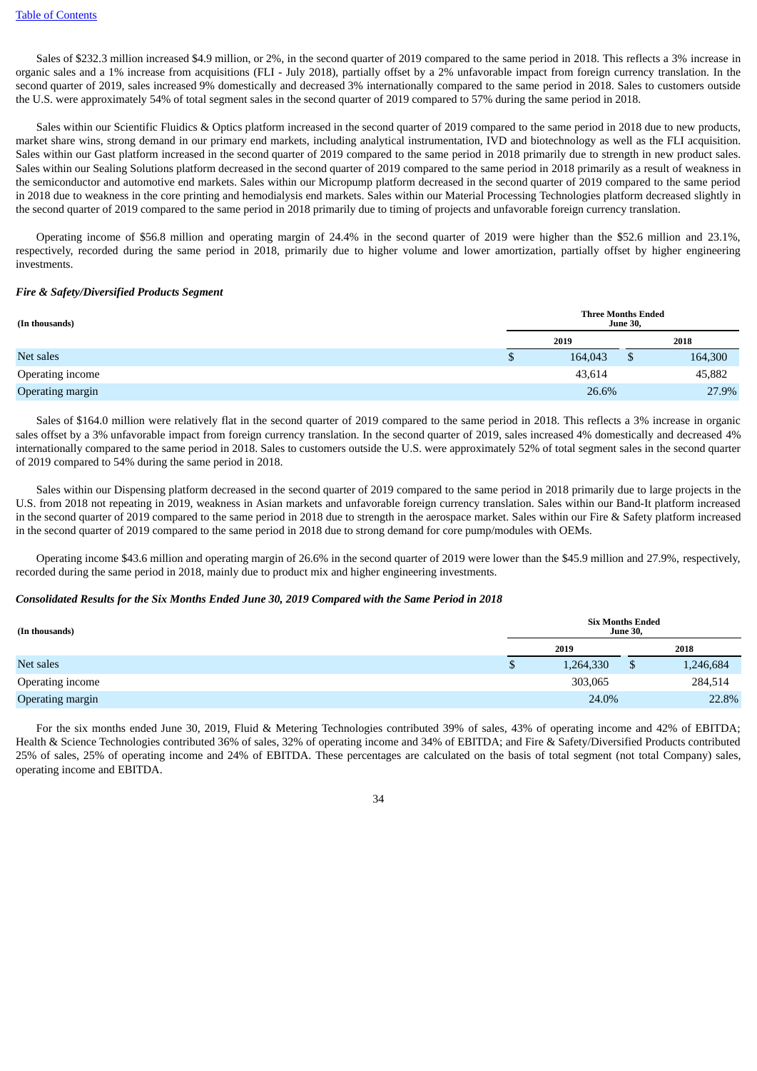Sales of \$232.3 million increased \$4.9 million, or 2%, in the second quarter of 2019 compared to the same period in 2018. This reflects a 3% increase in organic sales and a 1% increase from acquisitions (FLI - July 2018), partially offset by a 2% unfavorable impact from foreign currency translation. In the second quarter of 2019, sales increased 9% domestically and decreased 3% internationally compared to the same period in 2018. Sales to customers outside the U.S. were approximately 54% of total segment sales in the second quarter of 2019 compared to 57% during the same period in 2018.

Sales within our Scientific Fluidics & Optics platform increased in the second quarter of 2019 compared to the same period in 2018 due to new products, market share wins, strong demand in our primary end markets, including analytical instrumentation, IVD and biotechnology as well as the FLI acquisition. Sales within our Gast platform increased in the second quarter of 2019 compared to the same period in 2018 primarily due to strength in new product sales. Sales within our Sealing Solutions platform decreased in the second quarter of 2019 compared to the same period in 2018 primarily as a result of weakness in the semiconductor and automotive end markets. Sales within our Micropump platform decreased in the second quarter of 2019 compared to the same period in 2018 due to weakness in the core printing and hemodialysis end markets. Sales within our Material Processing Technologies platform decreased slightly in the second quarter of 2019 compared to the same period in 2018 primarily due to timing of projects and unfavorable foreign currency translation.

Operating income of \$56.8 million and operating margin of 24.4% in the second quarter of 2019 were higher than the \$52.6 million and 23.1%, respectively, recorded during the same period in 2018, primarily due to higher volume and lower amortization, partially offset by higher engineering investments.

#### *Fire & Safety/Diversified Products Segment*

| (In thousands)   | <b>Three Months Ended</b><br><b>June 30,</b> |    |         |  |  |  |  |  |
|------------------|----------------------------------------------|----|---------|--|--|--|--|--|
|                  | 2019                                         |    | 2018    |  |  |  |  |  |
| Net sales        | 164,043                                      | \$ | 164,300 |  |  |  |  |  |
| Operating income | 43,614                                       |    | 45,882  |  |  |  |  |  |
| Operating margin | 26.6%                                        |    | 27.9%   |  |  |  |  |  |

Sales of \$164.0 million were relatively flat in the second quarter of 2019 compared to the same period in 2018. This reflects a 3% increase in organic sales offset by a 3% unfavorable impact from foreign currency translation. In the second quarter of 2019, sales increased 4% domestically and decreased 4% internationally compared to the same period in 2018. Sales to customers outside the U.S. were approximately 52% of total segment sales in the second quarter of 2019 compared to 54% during the same period in 2018.

Sales within our Dispensing platform decreased in the second quarter of 2019 compared to the same period in 2018 primarily due to large projects in the U.S. from 2018 not repeating in 2019, weakness in Asian markets and unfavorable foreign currency translation. Sales within our Band-It platform increased in the second quarter of 2019 compared to the same period in 2018 due to strength in the aerospace market. Sales within our Fire & Safety platform increased in the second quarter of 2019 compared to the same period in 2018 due to strong demand for core pump/modules with OEMs.

Operating income \$43.6 million and operating margin of 26.6% in the second quarter of 2019 were lower than the \$45.9 million and 27.9%, respectively, recorded during the same period in 2018, mainly due to product mix and higher engineering investments.

#### *Consolidated Results for the Six Months Ended June 30, 2019 Compared with the Same Period in 2018*

| (In thousands)   | <b>Six Months Ended</b><br><b>June 30,</b> |           |    |           |  |  |  |  |
|------------------|--------------------------------------------|-----------|----|-----------|--|--|--|--|
|                  |                                            | 2019      |    | 2018      |  |  |  |  |
| Net sales        |                                            | 1,264,330 | \$ | 1,246,684 |  |  |  |  |
| Operating income |                                            | 303,065   |    | 284,514   |  |  |  |  |
| Operating margin |                                            | 24.0%     |    | 22.8%     |  |  |  |  |

For the six months ended June 30, 2019, Fluid & Metering Technologies contributed 39% of sales, 43% of operating income and 42% of EBITDA; Health & Science Technologies contributed 36% of sales, 32% of operating income and 34% of EBITDA; and Fire & Safety/Diversified Products contributed 25% of sales, 25% of operating income and 24% of EBITDA. These percentages are calculated on the basis of total segment (not total Company) sales, operating income and EBITDA.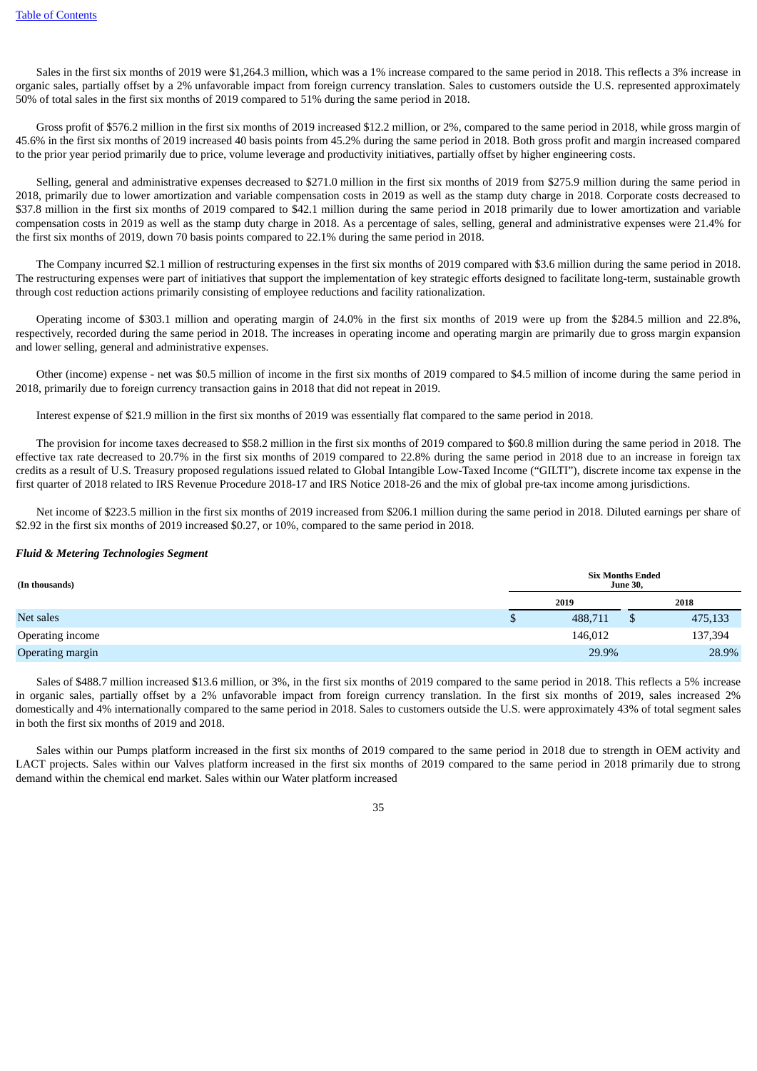Sales in the first six months of 2019 were \$1,264.3 million, which was a 1% increase compared to the same period in 2018. This reflects a 3% increase in organic sales, partially offset by a 2% unfavorable impact from foreign currency translation. Sales to customers outside the U.S. represented approximately 50% of total sales in the first six months of 2019 compared to 51% during the same period in 2018.

Gross profit of \$576.2 million in the first six months of 2019 increased \$12.2 million, or 2%, compared to the same period in 2018, while gross margin of 45.6% in the first six months of 2019 increased 40 basis points from 45.2% during the same period in 2018. Both gross profit and margin increased compared to the prior year period primarily due to price, volume leverage and productivity initiatives, partially offset by higher engineering costs.

Selling, general and administrative expenses decreased to \$271.0 million in the first six months of 2019 from \$275.9 million during the same period in 2018, primarily due to lower amortization and variable compensation costs in 2019 as well as the stamp duty charge in 2018. Corporate costs decreased to \$37.8 million in the first six months of 2019 compared to \$42.1 million during the same period in 2018 primarily due to lower amortization and variable compensation costs in 2019 as well as the stamp duty charge in 2018. As a percentage of sales, selling, general and administrative expenses were 21.4% for the first six months of 2019, down 70 basis points compared to 22.1% during the same period in 2018.

The Company incurred \$2.1 million of restructuring expenses in the first six months of 2019 compared with \$3.6 million during the same period in 2018. The restructuring expenses were part of initiatives that support the implementation of key strategic efforts designed to facilitate long-term, sustainable growth through cost reduction actions primarily consisting of employee reductions and facility rationalization.

Operating income of \$303.1 million and operating margin of 24.0% in the first six months of 2019 were up from the \$284.5 million and 22.8%, respectively, recorded during the same period in 2018. The increases in operating income and operating margin are primarily due to gross margin expansion and lower selling, general and administrative expenses.

Other (income) expense - net was \$0.5 million of income in the first six months of 2019 compared to \$4.5 million of income during the same period in 2018, primarily due to foreign currency transaction gains in 2018 that did not repeat in 2019.

Interest expense of \$21.9 million in the first six months of 2019 was essentially flat compared to the same period in 2018.

The provision for income taxes decreased to \$58.2 million in the first six months of 2019 compared to \$60.8 million during the same period in 2018. The effective tax rate decreased to 20.7% in the first six months of 2019 compared to 22.8% during the same period in 2018 due to an increase in foreign tax credits as a result of U.S. Treasury proposed regulations issued related to Global Intangible Low-Taxed Income ("GILTI"), discrete income tax expense in the first quarter of 2018 related to IRS Revenue Procedure 2018-17 and IRS Notice 2018-26 and the mix of global pre-tax income among jurisdictions.

Net income of \$223.5 million in the first six months of 2019 increased from \$206.1 million during the same period in 2018. Diluted earnings per share of \$2.92 in the first six months of 2019 increased \$0.27, or 10%, compared to the same period in 2018.

#### *Fluid & Metering Technologies Segment*

| (In thousands)   |  | <b>Six Months Ended</b><br><b>June 30,</b> |   |         |  |  |  |  |  |
|------------------|--|--------------------------------------------|---|---------|--|--|--|--|--|
|                  |  | 2019                                       |   | 2018    |  |  |  |  |  |
| Net sales        |  | 488,711                                    | S | 475,133 |  |  |  |  |  |
| Operating income |  | 146,012                                    |   | 137,394 |  |  |  |  |  |
| Operating margin |  | 29.9%                                      |   | 28.9%   |  |  |  |  |  |

Sales of \$488.7 million increased \$13.6 million, or 3%, in the first six months of 2019 compared to the same period in 2018. This reflects a 5% increase in organic sales, partially offset by a 2% unfavorable impact from foreign currency translation. In the first six months of 2019, sales increased 2% domestically and 4% internationally compared to the same period in 2018. Sales to customers outside the U.S. were approximately 43% of total segment sales in both the first six months of 2019 and 2018.

Sales within our Pumps platform increased in the first six months of 2019 compared to the same period in 2018 due to strength in OEM activity and LACT projects. Sales within our Valves platform increased in the first six months of 2019 compared to the same period in 2018 primarily due to strong demand within the chemical end market. Sales within our Water platform increased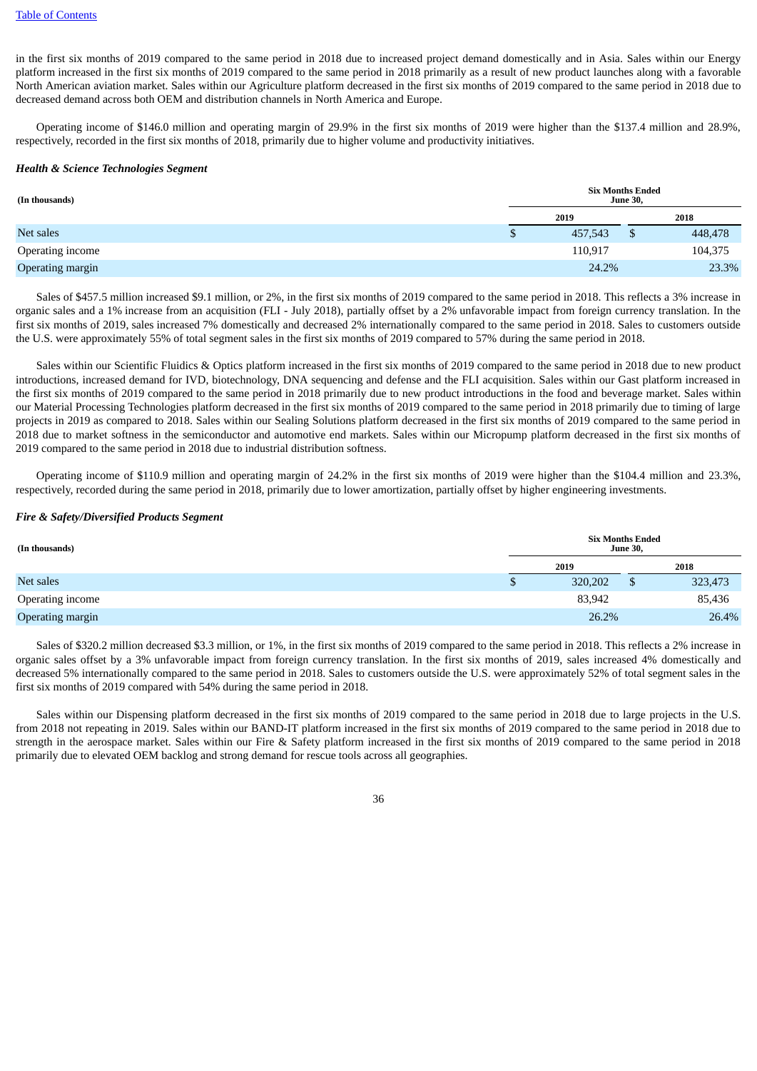in the first six months of 2019 compared to the same period in 2018 due to increased project demand domestically and in Asia. Sales within our Energy platform increased in the first six months of 2019 compared to the same period in 2018 primarily as a result of new product launches along with a favorable North American aviation market. Sales within our Agriculture platform decreased in the first six months of 2019 compared to the same period in 2018 due to decreased demand across both OEM and distribution channels in North America and Europe.

Operating income of \$146.0 million and operating margin of 29.9% in the first six months of 2019 were higher than the \$137.4 million and 28.9%, respectively, recorded in the first six months of 2018, primarily due to higher volume and productivity initiatives.

#### *Health & Science Technologies Segment*

| (In thousands)   | <b>Six Months Ended</b><br><b>June 30,</b> |         |   |         |  |  |  |  |
|------------------|--------------------------------------------|---------|---|---------|--|--|--|--|
|                  |                                            | 2019    |   | 2018    |  |  |  |  |
| Net sales        |                                            | 457,543 | S | 448,478 |  |  |  |  |
| Operating income |                                            | 110,917 |   | 104,375 |  |  |  |  |
| Operating margin |                                            | 24.2%   |   | 23.3%   |  |  |  |  |

Sales of \$457.5 million increased \$9.1 million, or 2%, in the first six months of 2019 compared to the same period in 2018. This reflects a 3% increase in organic sales and a 1% increase from an acquisition (FLI - July 2018), partially offset by a 2% unfavorable impact from foreign currency translation. In the first six months of 2019, sales increased 7% domestically and decreased 2% internationally compared to the same period in 2018. Sales to customers outside the U.S. were approximately 55% of total segment sales in the first six months of 2019 compared to 57% during the same period in 2018.

Sales within our Scientific Fluidics & Optics platform increased in the first six months of 2019 compared to the same period in 2018 due to new product introductions, increased demand for IVD, biotechnology, DNA sequencing and defense and the FLI acquisition. Sales within our Gast platform increased in the first six months of 2019 compared to the same period in 2018 primarily due to new product introductions in the food and beverage market. Sales within our Material Processing Technologies platform decreased in the first six months of 2019 compared to the same period in 2018 primarily due to timing of large projects in 2019 as compared to 2018. Sales within our Sealing Solutions platform decreased in the first six months of 2019 compared to the same period in 2018 due to market softness in the semiconductor and automotive end markets. Sales within our Micropump platform decreased in the first six months of 2019 compared to the same period in 2018 due to industrial distribution softness.

Operating income of \$110.9 million and operating margin of 24.2% in the first six months of 2019 were higher than the \$104.4 million and 23.3%, respectively, recorded during the same period in 2018, primarily due to lower amortization, partially offset by higher engineering investments.

#### *Fire & Safety/Diversified Products Segment*

| (In thousands)   | <b>Six Months Ended</b><br><b>June 30,</b> |              |  |  |  |  |  |  |
|------------------|--------------------------------------------|--------------|--|--|--|--|--|--|
|                  | 2019                                       | 2018         |  |  |  |  |  |  |
| Net sales        | 320,202                                    | 323,473<br>S |  |  |  |  |  |  |
| Operating income | 83,942                                     | 85,436       |  |  |  |  |  |  |
| Operating margin | 26.2%                                      | 26.4%        |  |  |  |  |  |  |

Sales of \$320.2 million decreased \$3.3 million, or 1%, in the first six months of 2019 compared to the same period in 2018. This reflects a 2% increase in organic sales offset by a 3% unfavorable impact from foreign currency translation. In the first six months of 2019, sales increased 4% domestically and decreased 5% internationally compared to the same period in 2018. Sales to customers outside the U.S. were approximately 52% of total segment sales in the first six months of 2019 compared with 54% during the same period in 2018.

Sales within our Dispensing platform decreased in the first six months of 2019 compared to the same period in 2018 due to large projects in the U.S. from 2018 not repeating in 2019. Sales within our BAND-IT platform increased in the first six months of 2019 compared to the same period in 2018 due to strength in the aerospace market. Sales within our Fire & Safety platform increased in the first six months of 2019 compared to the same period in 2018 primarily due to elevated OEM backlog and strong demand for rescue tools across all geographies.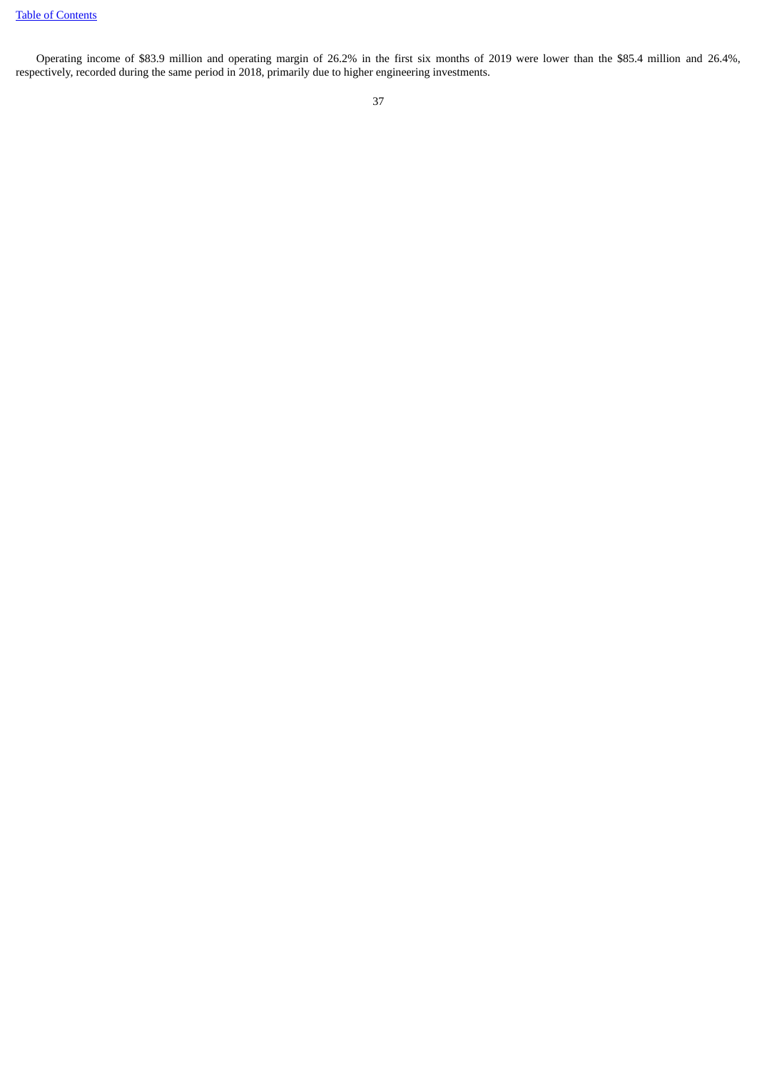Operating income of \$83.9 million and operating margin of 26.2% in the first six months of 2019 were lower than the \$85.4 million and 26.4%, respectively, recorded during the same period in 2018, primarily due to higher engineering investments.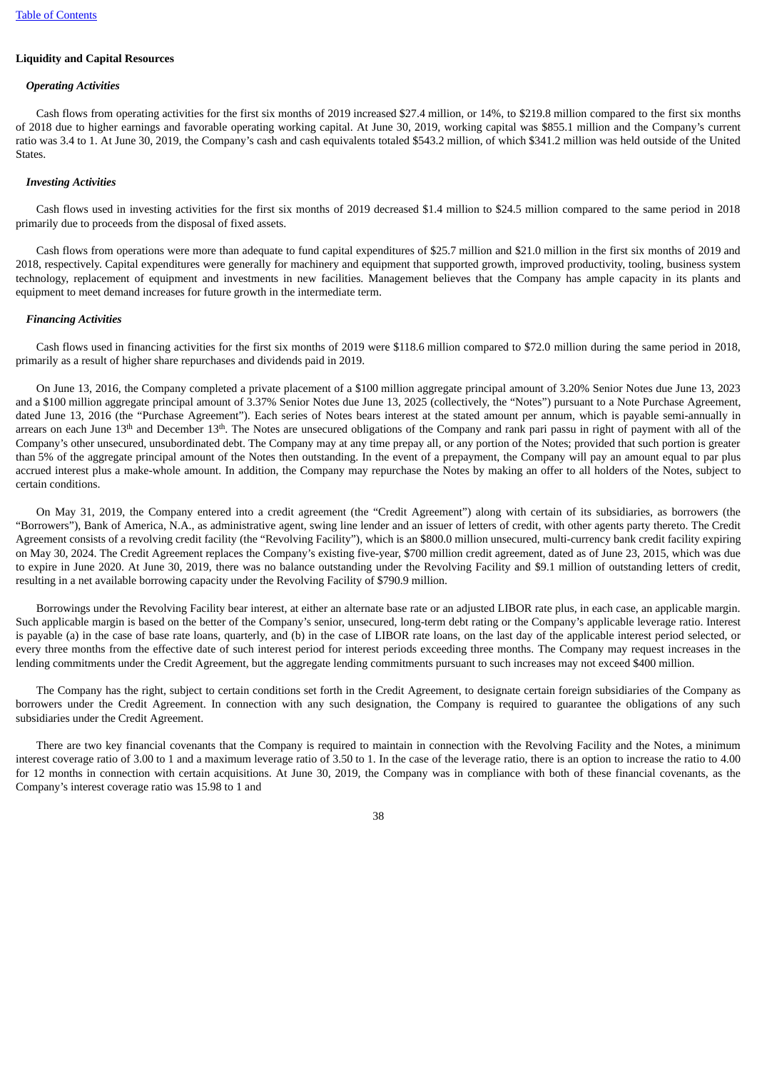# <span id="page-40-0"></span>**Liquidity and Capital Resources**

# *Operating Activities*

Cash flows from operating activities for the first six months of 2019 increased \$27.4 million, or 14%, to \$219.8 million compared to the first six months of 2018 due to higher earnings and favorable operating working capital. At June 30, 2019, working capital was \$855.1 million and the Company's current ratio was 3.4 to 1. At June 30, 2019, the Company's cash and cash equivalents totaled \$543.2 million, of which \$341.2 million was held outside of the United **States** 

#### *Investing Activities*

Cash flows used in investing activities for the first six months of 2019 decreased \$1.4 million to \$24.5 million compared to the same period in 2018 primarily due to proceeds from the disposal of fixed assets.

Cash flows from operations were more than adequate to fund capital expenditures of \$25.7 million and \$21.0 million in the first six months of 2019 and 2018, respectively. Capital expenditures were generally for machinery and equipment that supported growth, improved productivity, tooling, business system technology, replacement of equipment and investments in new facilities. Management believes that the Company has ample capacity in its plants and equipment to meet demand increases for future growth in the intermediate term.

#### *Financing Activities*

Cash flows used in financing activities for the first six months of 2019 were \$118.6 million compared to \$72.0 million during the same period in 2018, primarily as a result of higher share repurchases and dividends paid in 2019.

On June 13, 2016, the Company completed a private placement of a \$100 million aggregate principal amount of 3.20% Senior Notes due June 13, 2023 and a \$100 million aggregate principal amount of 3.37% Senior Notes due June 13, 2025 (collectively, the "Notes") pursuant to a Note Purchase Agreement, dated June 13, 2016 (the "Purchase Agreement"). Each series of Notes bears interest at the stated amount per annum, which is payable semi-annually in arrears on each June 13<sup>th</sup> and December 13<sup>th</sup>. The Notes are unsecured obligations of the Company and rank pari passu in right of payment with all of the Company's other unsecured, unsubordinated debt. The Company may at any time prepay all, or any portion of the Notes; provided that such portion is greater than 5% of the aggregate principal amount of the Notes then outstanding. In the event of a prepayment, the Company will pay an amount equal to par plus accrued interest plus a make-whole amount. In addition, the Company may repurchase the Notes by making an offer to all holders of the Notes, subject to certain conditions.

On May 31, 2019, the Company entered into a credit agreement (the "Credit Agreement") along with certain of its subsidiaries, as borrowers (the "Borrowers"), Bank of America, N.A., as administrative agent, swing line lender and an issuer of letters of credit, with other agents party thereto. The Credit Agreement consists of a revolving credit facility (the "Revolving Facility"), which is an \$800.0 million unsecured, multi-currency bank credit facility expiring on May 30, 2024. The Credit Agreement replaces the Company's existing five-year, \$700 million credit agreement, dated as of June 23, 2015, which was due to expire in June 2020. At June 30, 2019, there was no balance outstanding under the Revolving Facility and \$9.1 million of outstanding letters of credit, resulting in a net available borrowing capacity under the Revolving Facility of \$790.9 million.

Borrowings under the Revolving Facility bear interest, at either an alternate base rate or an adjusted LIBOR rate plus, in each case, an applicable margin. Such applicable margin is based on the better of the Company's senior, unsecured, long-term debt rating or the Company's applicable leverage ratio. Interest is payable (a) in the case of base rate loans, quarterly, and (b) in the case of LIBOR rate loans, on the last day of the applicable interest period selected, or every three months from the effective date of such interest period for interest periods exceeding three months. The Company may request increases in the lending commitments under the Credit Agreement, but the aggregate lending commitments pursuant to such increases may not exceed \$400 million.

The Company has the right, subject to certain conditions set forth in the Credit Agreement, to designate certain foreign subsidiaries of the Company as borrowers under the Credit Agreement. In connection with any such designation, the Company is required to guarantee the obligations of any such subsidiaries under the Credit Agreement.

There are two key financial covenants that the Company is required to maintain in connection with the Revolving Facility and the Notes, a minimum interest coverage ratio of 3.00 to 1 and a maximum leverage ratio of 3.50 to 1. In the case of the leverage ratio, there is an option to increase the ratio to 4.00 for 12 months in connection with certain acquisitions. At June 30, 2019, the Company was in compliance with both of these financial covenants, as the Company's interest coverage ratio was 15.98 to 1 and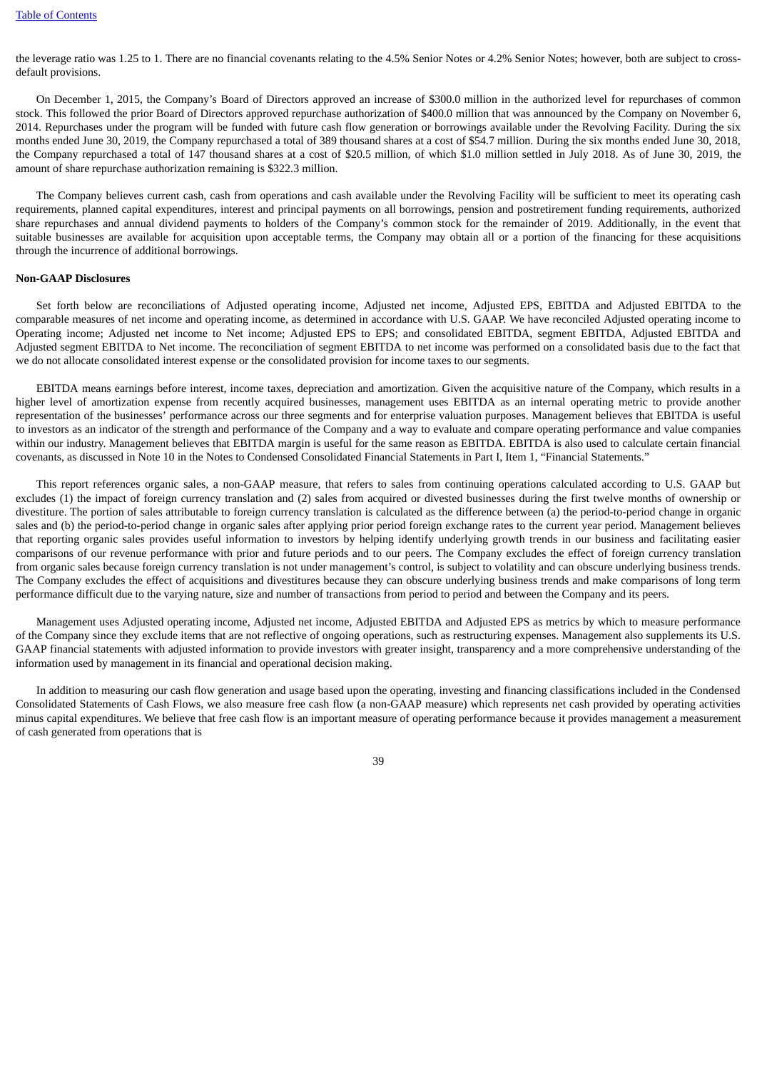the leverage ratio was 1.25 to 1. There are no financial covenants relating to the 4.5% Senior Notes or 4.2% Senior Notes; however, both are subject to crossdefault provisions.

On December 1, 2015, the Company's Board of Directors approved an increase of \$300.0 million in the authorized level for repurchases of common stock. This followed the prior Board of Directors approved repurchase authorization of \$400.0 million that was announced by the Company on November 6, 2014. Repurchases under the program will be funded with future cash flow generation or borrowings available under the Revolving Facility. During the six months ended June 30, 2019, the Company repurchased a total of 389 thousand shares at a cost of \$54.7 million. During the six months ended June 30, 2018, the Company repurchased a total of 147 thousand shares at a cost of \$20.5 million, of which \$1.0 million settled in July 2018. As of June 30, 2019, the amount of share repurchase authorization remaining is \$322.3 million.

The Company believes current cash, cash from operations and cash available under the Revolving Facility will be sufficient to meet its operating cash requirements, planned capital expenditures, interest and principal payments on all borrowings, pension and postretirement funding requirements, authorized share repurchases and annual dividend payments to holders of the Company's common stock for the remainder of 2019. Additionally, in the event that suitable businesses are available for acquisition upon acceptable terms, the Company may obtain all or a portion of the financing for these acquisitions through the incurrence of additional borrowings.

#### <span id="page-41-0"></span>**Non-GAAP Disclosures**

Set forth below are reconciliations of Adjusted operating income, Adjusted net income, Adjusted EPS, EBITDA and Adjusted EBITDA to the comparable measures of net income and operating income, as determined in accordance with U.S. GAAP. We have reconciled Adjusted operating income to Operating income; Adjusted net income to Net income; Adjusted EPS to EPS; and consolidated EBITDA, segment EBITDA, Adjusted EBITDA and Adjusted segment EBITDA to Net income. The reconciliation of segment EBITDA to net income was performed on a consolidated basis due to the fact that we do not allocate consolidated interest expense or the consolidated provision for income taxes to our segments.

EBITDA means earnings before interest, income taxes, depreciation and amortization. Given the acquisitive nature of the Company, which results in a higher level of amortization expense from recently acquired businesses, management uses EBITDA as an internal operating metric to provide another representation of the businesses' performance across our three segments and for enterprise valuation purposes. Management believes that EBITDA is useful to investors as an indicator of the strength and performance of the Company and a way to evaluate and compare operating performance and value companies within our industry. Management believes that EBITDA margin is useful for the same reason as EBITDA. EBITDA is also used to calculate certain financial covenants, as discussed in Note 10 in the Notes to Condensed Consolidated Financial Statements in Part I, Item 1, "Financial Statements."

This report references organic sales, a non-GAAP measure, that refers to sales from continuing operations calculated according to U.S. GAAP but excludes (1) the impact of foreign currency translation and (2) sales from acquired or divested businesses during the first twelve months of ownership or divestiture. The portion of sales attributable to foreign currency translation is calculated as the difference between (a) the period-to-period change in organic sales and (b) the period-to-period change in organic sales after applying prior period foreign exchange rates to the current year period. Management believes that reporting organic sales provides useful information to investors by helping identify underlying growth trends in our business and facilitating easier comparisons of our revenue performance with prior and future periods and to our peers. The Company excludes the effect of foreign currency translation from organic sales because foreign currency translation is not under management's control, is subject to volatility and can obscure underlying business trends. The Company excludes the effect of acquisitions and divestitures because they can obscure underlying business trends and make comparisons of long term performance difficult due to the varying nature, size and number of transactions from period to period and between the Company and its peers.

Management uses Adjusted operating income, Adjusted net income, Adjusted EBITDA and Adjusted EPS as metrics by which to measure performance of the Company since they exclude items that are not reflective of ongoing operations, such as restructuring expenses. Management also supplements its U.S. GAAP financial statements with adjusted information to provide investors with greater insight, transparency and a more comprehensive understanding of the information used by management in its financial and operational decision making.

In addition to measuring our cash flow generation and usage based upon the operating, investing and financing classifications included in the Condensed Consolidated Statements of Cash Flows, we also measure free cash flow (a non-GAAP measure) which represents net cash provided by operating activities minus capital expenditures. We believe that free cash flow is an important measure of operating performance because it provides management a measurement of cash generated from operations that is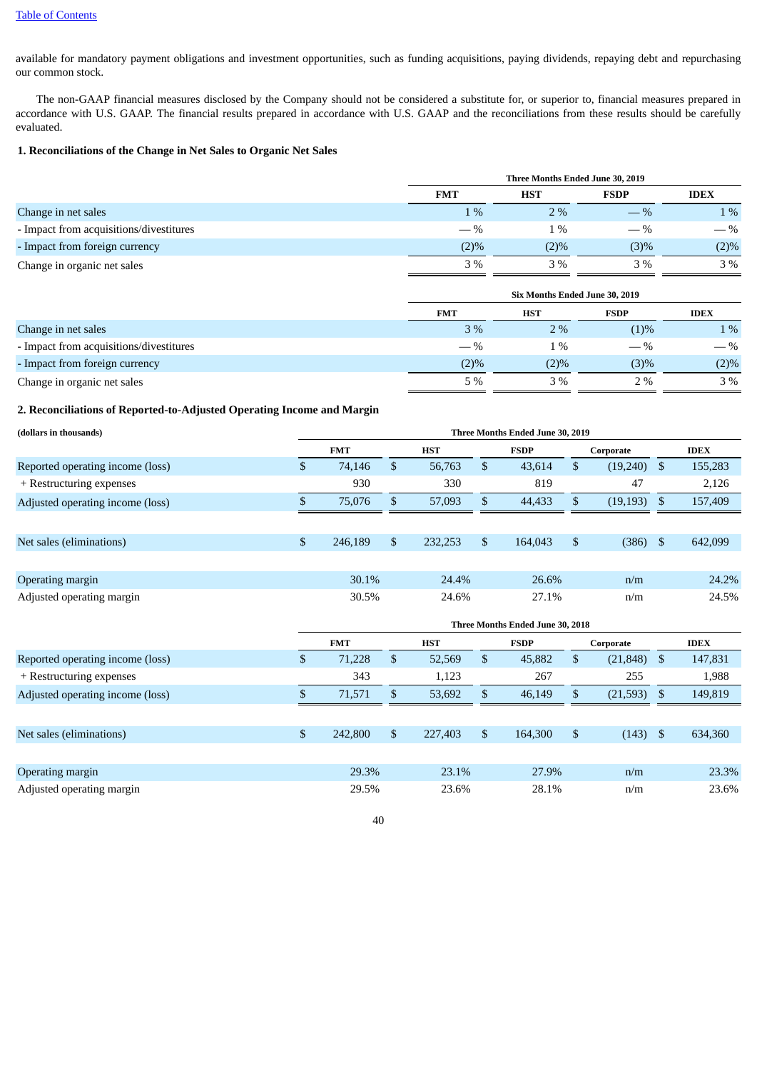available for mandatory payment obligations and investment opportunities, such as funding acquisitions, paying dividends, repaying debt and repurchasing our common stock.

The non-GAAP financial measures disclosed by the Company should not be considered a substitute for, or superior to, financial measures prepared in accordance with U.S. GAAP. The financial results prepared in accordance with U.S. GAAP and the reconciliations from these results should be carefully evaluated.

# **1. Reconciliations of the Change in Net Sales to Organic Net Sales**

|                                         | Three Months Ended June 30, 2019 |            |             |             |  |  |
|-----------------------------------------|----------------------------------|------------|-------------|-------------|--|--|
|                                         | <b>FMT</b>                       | <b>HST</b> | <b>FSDP</b> | <b>IDEX</b> |  |  |
| Change in net sales                     | $1\%$                            | 2%         | $-$ %       | $1\%$       |  |  |
| - Impact from acquisitions/divestitures | $-$ %                            | 1 %        | $-$ %       | $-$ %       |  |  |
| - Impact from foreign currency          | (2)%                             | (2)%       | (3)%        | (2)%        |  |  |
| Change in organic net sales             | 3 %                              | 3 %        | 3 %         | 3 %         |  |  |

|                                         |            | Six Months Ended June 30, 2019 |             |             |  |  |  |  |
|-----------------------------------------|------------|--------------------------------|-------------|-------------|--|--|--|--|
|                                         | <b>FMT</b> | <b>HST</b>                     | <b>FSDP</b> | <b>IDEX</b> |  |  |  |  |
| Change in net sales                     | 3%         | 2%                             | (1)%        | $1\%$       |  |  |  |  |
| - Impact from acquisitions/divestitures | $-$ %      | 1 %                            | $-$ %       | $-$ %       |  |  |  |  |
| - Impact from foreign currency          | (2)%       | (2)%                           | (3)%        | (2)%        |  |  |  |  |
| Change in organic net sales             | $5\%$      | 3 %                            | 2%          | 3 %         |  |  |  |  |

# **2. Reconciliations of Reported-to-Adjusted Operating Income and Margin**

| (dollars in thousands)           |              | Three Months Ended June 30, 2019 |              |            |                |                                  |                |           |                |             |
|----------------------------------|--------------|----------------------------------|--------------|------------|----------------|----------------------------------|----------------|-----------|----------------|-------------|
|                                  |              | <b>FMT</b>                       |              | <b>HST</b> |                | <b>FSDP</b>                      | Corporate      |           | <b>IDEX</b>    |             |
| Reported operating income (loss) | $\mathbb{S}$ | 74,146                           | $\mathbb{S}$ | 56,763     | $\mathfrak{S}$ | 43,614                           | $\mathbb{S}$   | (19,240)  | \$             | 155,283     |
| + Restructuring expenses         |              | 930                              |              | 330        |                | 819                              |                | 47        |                | 2,126       |
| Adjusted operating income (loss) | \$           | 75,076                           | \$           | 57,093     | \$             | 44,433                           | \$             | (19, 193) | \$             | 157,409     |
|                                  |              |                                  |              |            |                |                                  |                |           |                |             |
| Net sales (eliminations)         | \$           | 246,189                          | $\mathbb{S}$ | 232,253    | \$             | 164,043                          | $\mathfrak{S}$ | (386)     | $\mathfrak{S}$ | 642,099     |
|                                  |              |                                  |              |            |                |                                  |                |           |                |             |
| Operating margin                 |              | 30.1%                            |              | 24.4%      |                | 26.6%                            |                | n/m       |                | 24.2%       |
| Adjusted operating margin        |              | 30.5%<br>24.6%<br>27.1%<br>n/m   |              |            |                |                                  | 24.5%          |           |                |             |
|                                  |              |                                  |              |            |                | Three Months Ended June 30, 2018 |                |           |                |             |
|                                  |              | <b>FMT</b>                       |              | <b>HST</b> |                | <b>FSDP</b>                      |                | Corporate |                | <b>IDEX</b> |
| Reported operating income (loss) | \$           | 71,228                           | $\mathbb{S}$ | 52,569     | \$             | 45,882                           | $\mathbb{S}$   | (21, 848) | \$             | 147,831     |
| + Restructuring expenses         |              | 343                              |              | 1,123      |                | 267                              |                | 255       |                | 1,988       |
| Adjusted operating income (loss) | \$           | 71,571                           | \$           | 53,692     | \$             | 46,149                           | \$             | (21, 593) | \$             | 149,819     |
|                                  |              |                                  |              |            |                |                                  |                |           |                |             |
| Net sales (eliminations)         | \$           | 242,800                          | $\mathbb{S}$ | 227,403    | $\mathfrak{S}$ | 164,300                          | \$             | (143)     | \$             | 634,360     |
|                                  |              |                                  |              |            |                |                                  |                |           |                |             |
| Operating margin                 |              | 29.3%                            |              | 23.1%      |                | 27.9%                            |                | n/m       |                | 23.3%       |

Adjusted operating margin 13.6% 29.5% 23.6% 28.1% 28.1% 28.1% 23.6%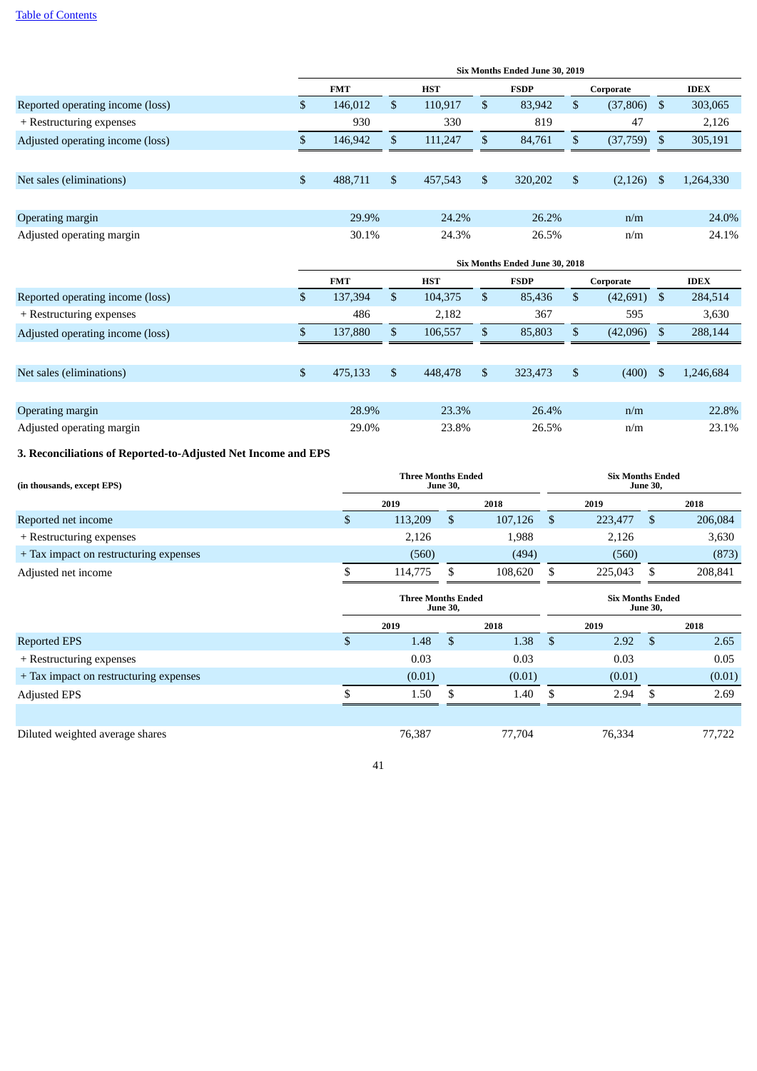# Table of [Contents](#page-2-0)

|                                  |              | Six Months Ended June 30, 2019 |            |              |                |                |                                |                |           |    |             |
|----------------------------------|--------------|--------------------------------|------------|--------------|----------------|----------------|--------------------------------|----------------|-----------|----|-------------|
|                                  |              |                                | <b>FMT</b> |              | <b>HST</b>     |                | <b>FSDP</b>                    |                | Corporate |    | <b>IDEX</b> |
| Reported operating income (loss) | $\mathbb{S}$ |                                | 146,012    | \$           | 110,917        | $\mathbb{S}$   | 83,942                         | $\mathbb{S}$   | (37, 806) | \$ | 303,065     |
| + Restructuring expenses         |              |                                | 930        |              | 330            |                | 819                            |                | 47        |    | 2,126       |
| Adjusted operating income (loss) | \$           |                                | 146,942    | \$           | 111,247        | \$             | 84,761                         | \$             | (37,759)  | \$ | 305,191     |
|                                  |              |                                |            |              |                |                |                                |                |           |    |             |
| Net sales (eliminations)         | \$           |                                | 488,711    | $\mathbb{S}$ | 457,543        | $\mathfrak{S}$ | 320,202                        | $\mathfrak{S}$ | (2, 126)  | \$ | 1,264,330   |
|                                  |              |                                |            |              |                |                |                                |                |           |    |             |
| Operating margin                 |              |                                | 29.9%      |              | 24.2%          |                | 26.2%                          |                | n/m       |    | 24.0%       |
| Adjusted operating margin        |              |                                | 30.1%      |              | 24.3%<br>26.5% |                |                                |                | n/m       |    | 24.1%       |
|                                  |              |                                |            |              |                |                | Six Months Ended June 30, 2018 |                |           |    |             |
|                                  |              |                                | <b>FMT</b> |              | <b>HST</b>     |                | <b>FSDP</b>                    |                | Corporate |    | <b>IDEX</b> |
| Reported operating income (loss) | $\mathbb{S}$ |                                | 137,394    | \$           | 104,375        | \$             | 85,436                         | \$             | (42, 691) | \$ | 284,514     |
| + Restructuring expenses         |              |                                | 486        |              | 2,182          |                | 367                            |                | 595       |    | 3,630       |
| Adjusted operating income (loss) | $\mathbb{S}$ |                                | 137,880    | \$           | 106,557        | \$             | 85,803                         | \$             | (42,096)  | \$ | 288,144     |
|                                  |              |                                |            |              |                |                |                                |                |           |    |             |
| Net sales (eliminations)         | \$           |                                | 475,133    | \$           | 448,478        | \$             | 323,473                        | \$             | (400)     | \$ | 1,246,684   |

| Operating margin          | 28.9% | 23.3% | 26.4% | n/m | 22.8% |
|---------------------------|-------|-------|-------|-----|-------|
| Adjusted operating margin | 29.0% | 23.8% | 26.5% | n/m | 23.1% |

# **3. Reconciliations of Reported-to-Adjusted Net Income and EPS**

| (in thousands, except EPS)             |   | <b>Three Months Ended</b> | <b>June 30.</b> |         | <b>Six Months Ended</b><br><b>June 30,</b> |         |      |         |  |
|----------------------------------------|---|---------------------------|-----------------|---------|--------------------------------------------|---------|------|---------|--|
|                                        |   | 2019                      | 2018            |         |                                            | 2019    | 2018 |         |  |
| Reported net income                    |   | 113,209                   |                 | 107,126 |                                            | 223,477 |      | 206,084 |  |
| + Restructuring expenses               |   | 2,126                     |                 | 1,988   |                                            | 2,126   |      | 3,630   |  |
| + Tax impact on restructuring expenses |   | (560)                     |                 | (494)   |                                            | (560)   |      | (873)   |  |
| Adjusted net income                    | Œ | 114,775                   |                 | 108,620 |                                            | 225,043 |      | 208,841 |  |

|                                        | <b>Three Months Ended</b><br><b>June 30.</b> |        |   |        |               | <b>Six Months Ended</b><br><b>June 30,</b> |     |        |  |  |
|----------------------------------------|----------------------------------------------|--------|---|--------|---------------|--------------------------------------------|-----|--------|--|--|
|                                        |                                              | 2019   |   | 2018   |               | 2019                                       |     | 2018   |  |  |
| <b>Reported EPS</b>                    |                                              | 1.48   | S | 1.38   | <sup>\$</sup> | 2.92                                       | - S | 2.65   |  |  |
| + Restructuring expenses               |                                              | 0.03   |   | 0.03   |               | 0.03                                       |     | 0.05   |  |  |
| + Tax impact on restructuring expenses |                                              | (0.01) |   | (0.01) |               | (0.01)                                     |     | (0.01) |  |  |
| <b>Adjusted EPS</b>                    |                                              | 1.50   |   | 1.40   |               | 2.94                                       | .S  | 2.69   |  |  |
|                                        |                                              |        |   |        |               |                                            |     |        |  |  |
| Diluted weighted average shares        |                                              | 76,387 |   | 77,704 |               | 76,334                                     |     | 77,722 |  |  |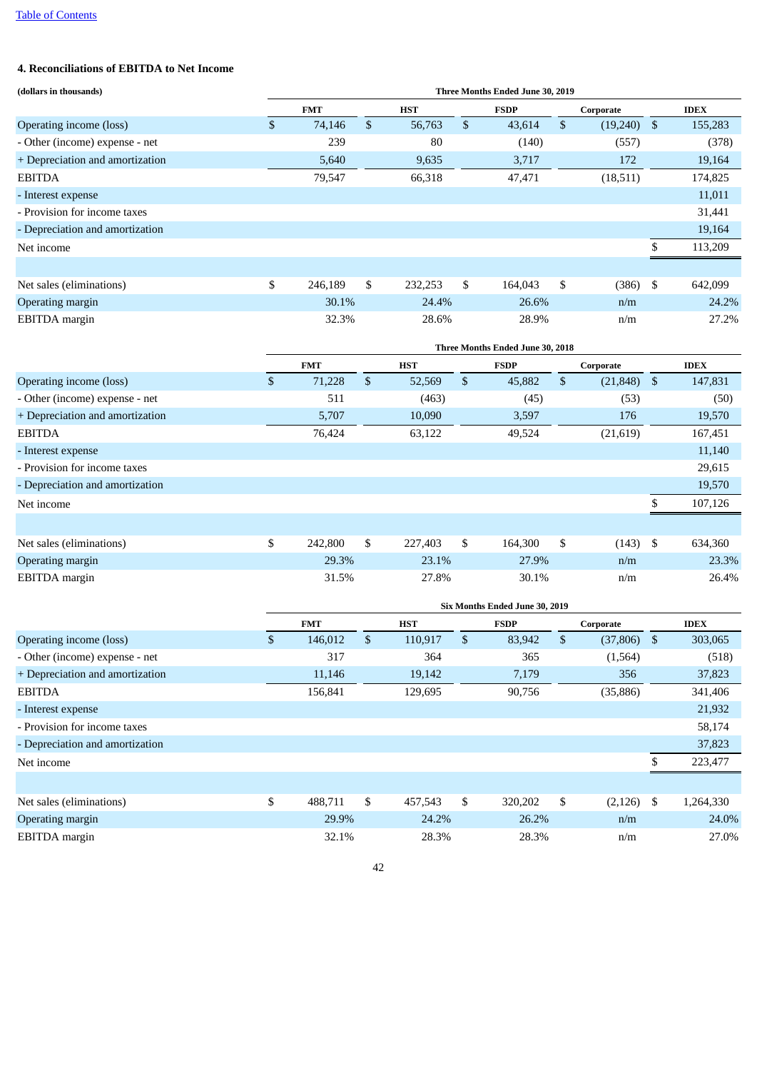# **4. Reconciliations of EBITDA to Net Income**

| (dollars in thousands)          | Three Months Ended June 30, 2019 |                       |                                           |                       |                           |                                  |              |           |                |             |  |
|---------------------------------|----------------------------------|-----------------------|-------------------------------------------|-----------------------|---------------------------|----------------------------------|--------------|-----------|----------------|-------------|--|
|                                 |                                  | <b>FMT</b>            |                                           | <b>HST</b>            |                           | <b>FSDP</b>                      |              | Corporate |                | <b>IDEX</b> |  |
| Operating income (loss)         | \$                               | 74,146                | $\boldsymbol{\mathsf{S}}$                 | 56,763                | $\boldsymbol{\mathsf{S}}$ | 43,614                           | \$           | (19,240)  | $\sqrt{5}$     | 155,283     |  |
| - Other (income) expense - net  |                                  | 239                   |                                           | 80                    |                           | (140)                            |              | (557)     |                | (378)       |  |
| + Depreciation and amortization |                                  | 5,640                 |                                           | 9,635                 |                           | 3,717                            |              | 172       |                | 19,164      |  |
| <b>EBITDA</b>                   |                                  | 79,547                |                                           | 66,318                |                           | 47,471                           |              | (18, 511) |                | 174,825     |  |
| - Interest expense              |                                  |                       |                                           |                       |                           |                                  |              |           |                | 11,011      |  |
| - Provision for income taxes    |                                  |                       |                                           |                       |                           |                                  |              |           |                | 31,441      |  |
| - Depreciation and amortization |                                  |                       |                                           |                       |                           |                                  |              |           |                | 19,164      |  |
| Net income                      |                                  |                       |                                           |                       |                           |                                  |              |           | \$             | 113,209     |  |
|                                 |                                  |                       |                                           |                       |                           |                                  |              |           |                |             |  |
| Net sales (eliminations)        | \$                               | 246,189               | \$                                        | 232,253               | \$                        | 164,043                          | \$           | (386)     | \$             | 642,099     |  |
| Operating margin                |                                  | 30.1%                 |                                           | 24.4%                 |                           | 26.6%                            |              | n/m       |                | 24.2%       |  |
| EBITDA margin                   |                                  | 32.3%                 |                                           | 28.6%                 |                           | 28.9%                            |              | n/m       |                | 27.2%       |  |
|                                 |                                  |                       |                                           |                       |                           |                                  |              |           |                |             |  |
|                                 |                                  |                       |                                           |                       |                           | Three Months Ended June 30, 2018 |              |           |                |             |  |
|                                 |                                  | <b>FMT</b>            |                                           | <b>HST</b>            |                           | <b>FSDP</b>                      |              | Corporate |                | <b>IDEX</b> |  |
| Operating income (loss)         | $\boldsymbol{\mathsf{S}}$        | 71,228                | $\mathbb{S}$                              | 52,569                | $\$$                      | 45,882                           | $\sqrt{3}$   | (21, 848) | $\mathfrak{F}$ | 147,831     |  |
| - Other (income) expense - net  |                                  | 511                   |                                           | (463)                 |                           | (45)                             |              | (53)      |                | (50)        |  |
| + Depreciation and amortization |                                  | 5,707                 |                                           | 10,090                |                           | 3,597                            |              | 176       |                | 19,570      |  |
| <b>EBITDA</b>                   |                                  | 76,424                |                                           | 63,122                |                           | 49,524                           |              | (21, 619) |                | 167,451     |  |
| - Interest expense              |                                  |                       |                                           |                       |                           |                                  |              |           |                | 11,140      |  |
| - Provision for income taxes    |                                  |                       |                                           |                       |                           |                                  |              |           |                | 29,615      |  |
| - Depreciation and amortization |                                  |                       |                                           |                       |                           |                                  |              |           |                | 19,570      |  |
| Net income                      |                                  |                       |                                           |                       |                           |                                  |              |           | \$             | 107,126     |  |
|                                 |                                  |                       |                                           |                       |                           |                                  |              |           |                |             |  |
| Net sales (eliminations)        | \$                               | 242,800               | \$                                        | 227,403               | \$                        | 164,300                          | \$           | (143)     | \$             | 634,360     |  |
| Operating margin                |                                  | 29.3%                 |                                           | 23.1%                 |                           | 27.9%                            |              | n/m       |                | 23.3%       |  |
| EBITDA margin                   |                                  | 31.5%                 |                                           | 27.8%                 |                           | 30.1%                            |              | n/m       |                | 26.4%       |  |
|                                 |                                  |                       |                                           |                       |                           |                                  |              |           |                |             |  |
|                                 | Six Months Ended June 30, 2019   |                       |                                           |                       |                           |                                  |              |           |                |             |  |
|                                 |                                  | <b>FMT</b><br>146,012 |                                           | <b>HST</b><br>110,917 |                           | <b>FSDP</b>                      |              | Corporate |                | <b>IDEX</b> |  |
| Operating income (loss)         | \$                               | 317                   | $\, \, \raisebox{12pt}{$\scriptstyle \$}$ | 364                   | $\$$                      | 83,942                           | $\mathbb{S}$ | (37, 806) | $\mathfrak{s}$ | 303,065     |  |
| - Other (income) expense - net  |                                  |                       |                                           |                       |                           | 365                              |              | (1, 564)  |                | (518)       |  |
| + Depreciation and amortization |                                  | 11,146                |                                           | 19,142                |                           | 7,179                            |              | 356       |                | 37,823      |  |
| <b>EBITDA</b>                   |                                  | 156,841               |                                           | 129,695               |                           | 90,756                           |              | (35, 886) |                | 341,406     |  |
| - Interest expense              |                                  |                       |                                           |                       |                           |                                  |              |           |                | 21,932      |  |
| - Provision for income taxes    |                                  |                       |                                           |                       |                           |                                  |              |           |                | 58,174      |  |
| - Depreciation and amortization |                                  |                       |                                           |                       |                           |                                  |              |           |                | 37,823      |  |
| Net income                      |                                  |                       |                                           |                       |                           |                                  |              |           | \$             | 223,477     |  |
|                                 |                                  |                       |                                           |                       |                           |                                  |              |           |                |             |  |
| Net sales (eliminations)        | $\mathbb S$                      | 488,711               | \$                                        | 457,543               | \$                        | 320,202                          | \$           | (2, 126)  | - \$           | 1,264,330   |  |
| Operating margin                |                                  | 29.9%                 |                                           | 24.2%                 |                           | 26.2%                            |              | n/m       |                | 24.0%       |  |
| EBITDA margin                   |                                  | 32.1%                 |                                           | 28.3%                 |                           | 28.3%                            |              | n/m       |                | 27.0%       |  |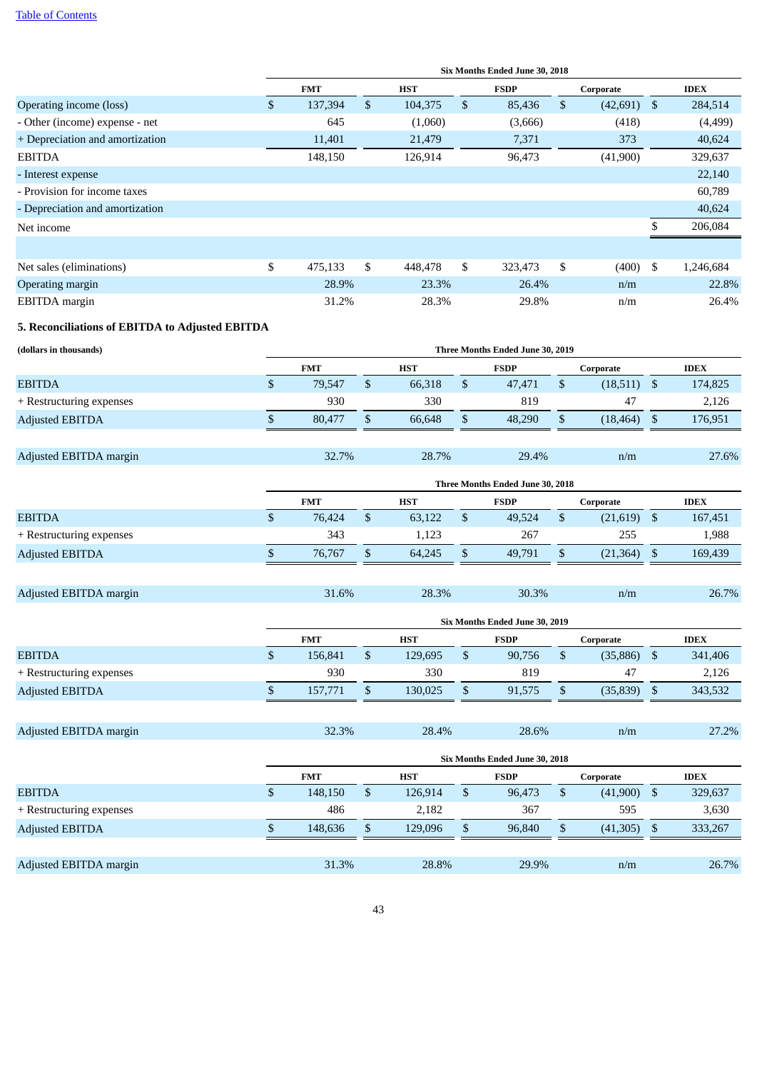# Table of [Contents](#page-2-0)

|                                                 | Six Months Ended June 30, 2018 |            |              |            |                                |                                  |              |           |                |             |
|-------------------------------------------------|--------------------------------|------------|--------------|------------|--------------------------------|----------------------------------|--------------|-----------|----------------|-------------|
|                                                 |                                | <b>FMT</b> |              | <b>HST</b> |                                | <b>FSDP</b>                      |              | Corporate |                | <b>IDEX</b> |
| Operating income (loss)                         | \$                             | 137,394    | \$           | 104,375    | \$                             | 85,436                           | \$           | (42, 691) | $\mathfrak{s}$ | 284,514     |
| - Other (income) expense - net                  |                                | 645        |              | (1,060)    |                                | (3,666)                          |              | (418)     |                | (4,499)     |
| + Depreciation and amortization                 |                                | 11,401     |              | 21,479     |                                | 7,371                            |              | 373       |                | 40,624      |
| <b>EBITDA</b>                                   |                                | 148,150    |              | 126,914    |                                | 96,473                           |              | (41,900)  |                | 329,637     |
| - Interest expense                              |                                |            |              |            |                                |                                  |              |           |                | 22,140      |
| - Provision for income taxes                    |                                |            |              |            |                                |                                  |              |           |                | 60,789      |
| - Depreciation and amortization                 |                                |            |              |            |                                |                                  |              |           |                | 40,624      |
| Net income                                      |                                |            |              |            |                                |                                  |              |           | \$             | 206,084     |
| Net sales (eliminations)                        | \$                             | 475,133    | \$           | 448,478    | \$                             | 323,473                          | \$           | (400)     | \$             | 1,246,684   |
| Operating margin                                |                                | 28.9%      |              | 23.3%      |                                | 26.4%                            |              | n/m       |                | 22.8%       |
| EBITDA margin                                   |                                | 31.2%      |              | 28.3%      |                                | 29.8%                            |              | n/m       |                | 26.4%       |
| 5. Reconciliations of EBITDA to Adjusted EBITDA |                                |            |              |            |                                |                                  |              |           |                |             |
| (dollars in thousands)                          |                                |            |              |            |                                | Three Months Ended June 30, 2019 |              |           |                |             |
|                                                 |                                | <b>FMT</b> |              | <b>HST</b> |                                | <b>FSDP</b>                      |              | Corporate |                | <b>IDEX</b> |
| <b>EBITDA</b>                                   | $\boldsymbol{\mathsf{S}}$      | 79,547     | $\$$         | 66,318     | $\$$                           | 47,471                           | \$           | (18, 511) | $\mathbb{S}$   | 174,825     |
| + Restructuring expenses                        |                                | 930        |              | 330        |                                | 819                              |              | 47        |                | 2,126       |
| <b>Adjusted EBITDA</b>                          | $\mathbb{S}$                   | 80,477     | \$           | 66,648     | \$                             | 48,290                           | $\$$         | (18, 464) | \$             | 176,951     |
| Adjusted EBITDA margin                          |                                | 32.7%      |              | 28.7%      |                                | 29.4%                            |              | n/m       |                | 27.6%       |
|                                                 |                                |            |              |            |                                | Three Months Ended June 30, 2018 |              |           |                |             |
|                                                 |                                | <b>FMT</b> |              | <b>HST</b> |                                | <b>FSDP</b>                      |              | Corporate |                | <b>IDEX</b> |
| <b>EBITDA</b>                                   | $\mathbb{S}$                   | 76,424     | \$           | 63,122     | $\$$                           | 49,524                           | $\$$         | (21, 619) | $\mathbb{S}$   | 167,451     |
| + Restructuring expenses                        |                                | 343        |              | 1,123      |                                | 267                              |              | 255       |                | 1,988       |
| <b>Adjusted EBITDA</b>                          | $\mathbb{S}$                   | 76,767     | \$           | 64,245     | \$                             | 49,791                           | \$           | (21, 364) | \$             | 169,439     |
| Adjusted EBITDA margin                          |                                | 31.6%      |              | 28.3%      |                                | 30.3%                            |              | n/m       |                | 26.7%       |
|                                                 |                                |            |              |            |                                |                                  |              |           |                |             |
|                                                 |                                |            |              |            | Six Months Ended June 30, 2019 |                                  |              |           |                |             |
|                                                 |                                | <b>FMT</b> |              | <b>HST</b> |                                | <b>FSDP</b>                      |              | Corporate |                | <b>IDEX</b> |
| <b>EBITDA</b>                                   | \$                             | 156,841    | \$           | 129,695    | $\mathbb{S}$                   | 90,756                           | $\mathbb{S}$ | (35, 886) | $\mathbb{S}$   | 341,406     |
| + Restructuring expenses                        |                                | 930        |              | 330        |                                | 819                              |              | 47        |                | 2,126       |
| <b>Adjusted EBITDA</b>                          | \$                             | 157,771    | $\mathbb{S}$ | 130,025    | $\mathbb{S}$                   | 91,575                           | $\mathbb{S}$ | (35, 839) | $\mathbb{S}$   | 343,532     |
| Adjusted EBITDA margin                          |                                | 32.3%      |              | 28.4%      |                                | 28.6%                            |              | n/m       |                | 27.2%       |
|                                                 |                                |            |              |            |                                | Six Months Ended June 30, 2018   |              |           |                |             |
|                                                 |                                | <b>FMT</b> |              | <b>HST</b> |                                | <b>FSDP</b>                      |              | Corporate |                | <b>IDEX</b> |
| <b>EBITDA</b>                                   | $\mathbb{S}$                   | 148,150    | $\mathbb{S}$ | 126,914    | $\mathbb{S}$                   | 96,473                           | $\mathbb{S}$ | (41,900)  | $\mathbb{S}$   | 329,637     |
| + Restructuring expenses                        |                                | 486        |              | 2,182      |                                | 367                              |              | 595       |                | 3,630       |
| <b>Adjusted EBITDA</b>                          | \$                             | 148,636    | $\mathbb{S}$ | 129,096    | $\mathbb{S}$                   | 96,840                           | $\mathbb{S}$ | (41, 305) | $\mathbb{S}$   | 333,267     |
| Adjusted EBITDA margin                          |                                | 31.3%      |              | 28.8%      |                                | 29.9%                            |              | n/m       |                | 26.7%       |
|                                                 |                                |            |              |            |                                |                                  |              |           |                |             |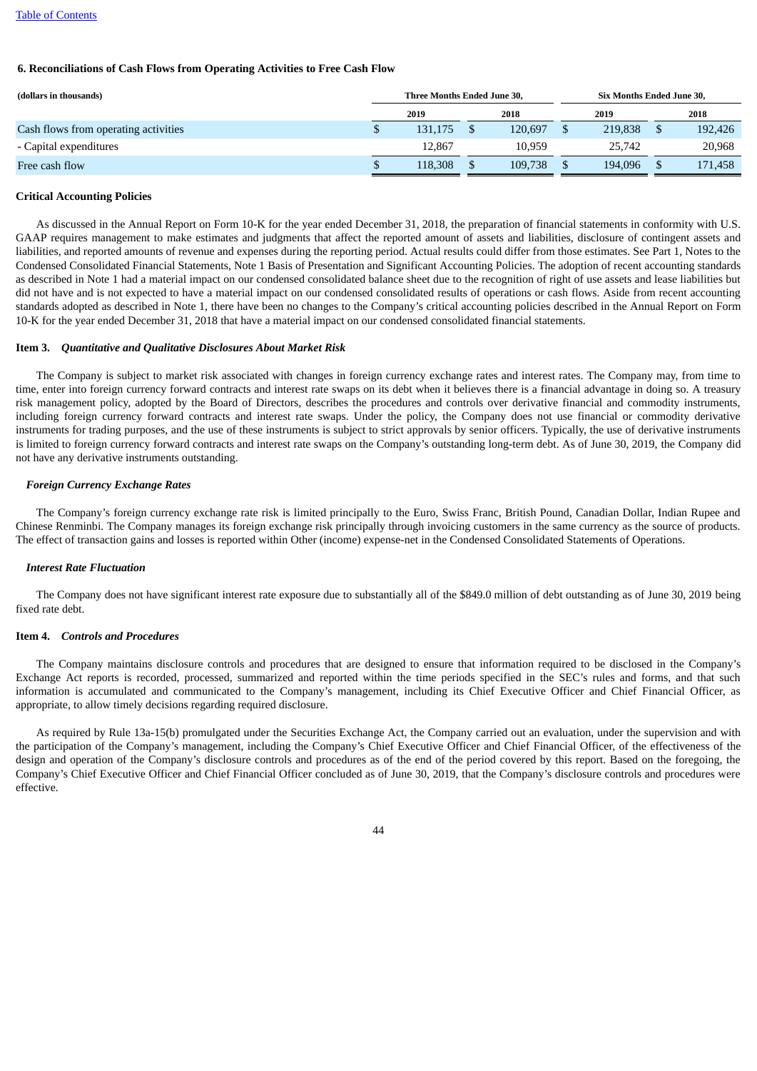# **6. Reconciliations of Cash Flows from Operating Activities to Free Cash Flow**

| (dollars in thousands)               | Three Months Ended June 30, |  |         |  | Six Months Ended June 30, |  |         |  |
|--------------------------------------|-----------------------------|--|---------|--|---------------------------|--|---------|--|
|                                      | 2019                        |  | 2018    |  | 2019                      |  | 2018    |  |
| Cash flows from operating activities | 131,175                     |  | 120.697 |  | 219,838                   |  | 192,426 |  |
| - Capital expenditures               | 12.867                      |  | 10.959  |  | 25,742                    |  | 20,968  |  |
| Free cash flow                       | 118.308                     |  | 109.738 |  | 194.096                   |  | 171,458 |  |

# **Critical Accounting Policies**

As discussed in the Annual Report on Form 10-K for the year ended December 31, 2018, the preparation of financial statements in conformity with U.S. GAAP requires management to make estimates and judgments that affect the reported amount of assets and liabilities, disclosure of contingent assets and liabilities, and reported amounts of revenue and expenses during the reporting period. Actual results could differ from those estimates. See Part 1, Notes to the Condensed Consolidated Financial Statements, Note 1 Basis of Presentation and Significant Accounting Policies. The adoption of recent accounting standards as described in Note 1 had a material impact on our condensed consolidated balance sheet due to the recognition of right of use assets and lease liabilities but did not have and is not expected to have a material impact on our condensed consolidated results of operations or cash flows. Aside from recent accounting standards adopted as described in Note 1, there have been no changes to the Company's critical accounting policies described in the Annual Report on Form 10-K for the year ended December 31, 2018 that have a material impact on our condensed consolidated financial statements.

# <span id="page-46-0"></span>**Item 3.** *Quantitative and Qualitative Disclosures About Market Risk*

The Company is subject to market risk associated with changes in foreign currency exchange rates and interest rates. The Company may, from time to time, enter into foreign currency forward contracts and interest rate swaps on its debt when it believes there is a financial advantage in doing so. A treasury risk management policy, adopted by the Board of Directors, describes the procedures and controls over derivative financial and commodity instruments, including foreign currency forward contracts and interest rate swaps. Under the policy, the Company does not use financial or commodity derivative instruments for trading purposes, and the use of these instruments is subject to strict approvals by senior officers. Typically, the use of derivative instruments is limited to foreign currency forward contracts and interest rate swaps on the Company's outstanding long-term debt. As of June 30, 2019, the Company did not have any derivative instruments outstanding.

#### *Foreign Currency Exchange Rates*

The Company's foreign currency exchange rate risk is limited principally to the Euro, Swiss Franc, British Pound, Canadian Dollar, Indian Rupee and Chinese Renminbi. The Company manages its foreign exchange risk principally through invoicing customers in the same currency as the source of products. The effect of transaction gains and losses is reported within Other (income) expense-net in the Condensed Consolidated Statements of Operations.

### *Interest Rate Fluctuation*

The Company does not have significant interest rate exposure due to substantially all of the \$849.0 million of debt outstanding as of June 30, 2019 being fixed rate debt.

#### <span id="page-46-1"></span>**Item 4.** *Controls and Procedures*

The Company maintains disclosure controls and procedures that are designed to ensure that information required to be disclosed in the Company's Exchange Act reports is recorded, processed, summarized and reported within the time periods specified in the SEC's rules and forms, and that such information is accumulated and communicated to the Company's management, including its Chief Executive Officer and Chief Financial Officer, as appropriate, to allow timely decisions regarding required disclosure.

As required by Rule 13a-15(b) promulgated under the Securities Exchange Act, the Company carried out an evaluation, under the supervision and with the participation of the Company's management, including the Company's Chief Executive Officer and Chief Financial Officer, of the effectiveness of the design and operation of the Company's disclosure controls and procedures as of the end of the period covered by this report. Based on the foregoing, the Company's Chief Executive Officer and Chief Financial Officer concluded as of June 30, 2019, that the Company's disclosure controls and procedures were effective.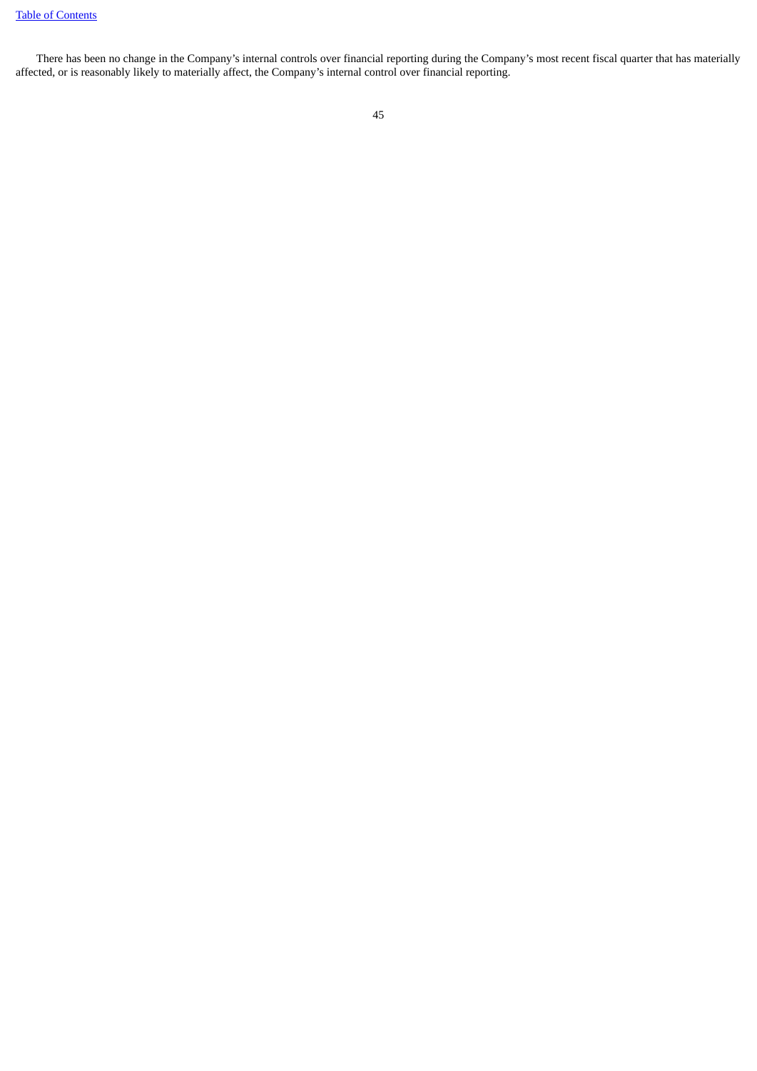There has been no change in the Company's internal controls over financial reporting during the Company's most recent fiscal quarter that has materially affected, or is reasonably likely to materially affect, the Company's internal control over financial reporting.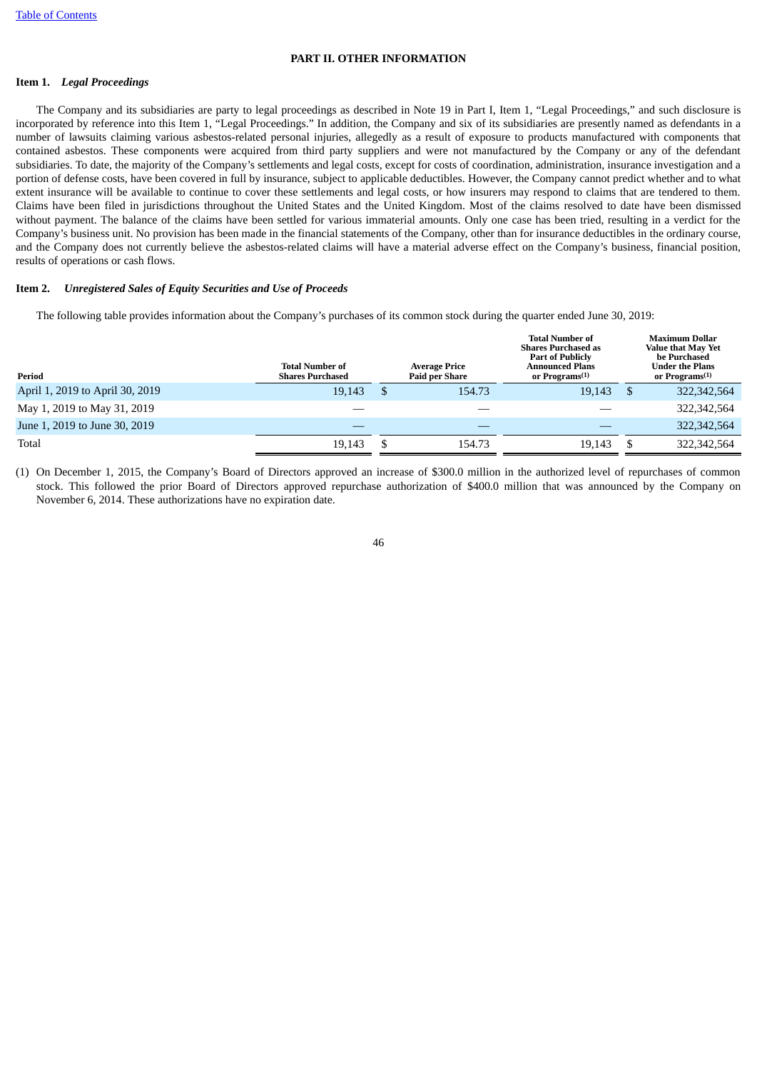### **PART II. OTHER INFORMATION**

# <span id="page-48-1"></span><span id="page-48-0"></span>**Item 1.** *Legal Proceedings*

The Company and its subsidiaries are party to legal proceedings as described in Note 19 in Part I, Item 1, "Legal Proceedings," and such disclosure is incorporated by reference into this Item 1, "Legal Proceedings." In addition, the Company and six of its subsidiaries are presently named as defendants in a number of lawsuits claiming various asbestos-related personal injuries, allegedly as a result of exposure to products manufactured with components that contained asbestos. These components were acquired from third party suppliers and were not manufactured by the Company or any of the defendant subsidiaries. To date, the majority of the Company's settlements and legal costs, except for costs of coordination, administration, insurance investigation and a portion of defense costs, have been covered in full by insurance, subject to applicable deductibles. However, the Company cannot predict whether and to what extent insurance will be available to continue to cover these settlements and legal costs, or how insurers may respond to claims that are tendered to them. Claims have been filed in jurisdictions throughout the United States and the United Kingdom. Most of the claims resolved to date have been dismissed without payment. The balance of the claims have been settled for various immaterial amounts. Only one case has been tried, resulting in a verdict for the Company's business unit. No provision has been made in the financial statements of the Company, other than for insurance deductibles in the ordinary course, and the Company does not currently believe the asbestos-related claims will have a material adverse effect on the Company's business, financial position, results of operations or cash flows.

#### <span id="page-48-2"></span>**Item 2.** *Unregistered Sales of Equity Securities and Use of Proceeds*

The following table provides information about the Company's purchases of its common stock during the quarter ended June 30, 2019:

| Period                          | <b>Total Number of</b><br><b>Shares Purchased</b> | <b>Average Price</b><br>Paid per Share | <b>Total Number of</b><br><b>Shares Purchased as</b><br><b>Part of Publicly</b><br>Announced Plans<br>or Programs <sup>(1)</sup> | <b>Maximum Dollar</b><br><b>Value that May Yet</b><br>be Purchased<br><b>Under the Plans</b><br>or $Programs(1)$ |
|---------------------------------|---------------------------------------------------|----------------------------------------|----------------------------------------------------------------------------------------------------------------------------------|------------------------------------------------------------------------------------------------------------------|
| April 1, 2019 to April 30, 2019 | 19,143                                            | 154.73                                 | 19,143                                                                                                                           | 322,342,564                                                                                                      |
| May 1, 2019 to May 31, 2019     |                                                   |                                        |                                                                                                                                  | 322,342,564                                                                                                      |
| June 1, 2019 to June 30, 2019   |                                                   |                                        |                                                                                                                                  | 322, 342, 564                                                                                                    |
| Total                           | 19.143                                            | 154.73                                 | 19,143                                                                                                                           | 322,342,564                                                                                                      |

(1) On December 1, 2015, the Company's Board of Directors approved an increase of \$300.0 million in the authorized level of repurchases of common stock. This followed the prior Board of Directors approved repurchase authorization of \$400.0 million that was announced by the Company on November 6, 2014. These authorizations have no expiration date.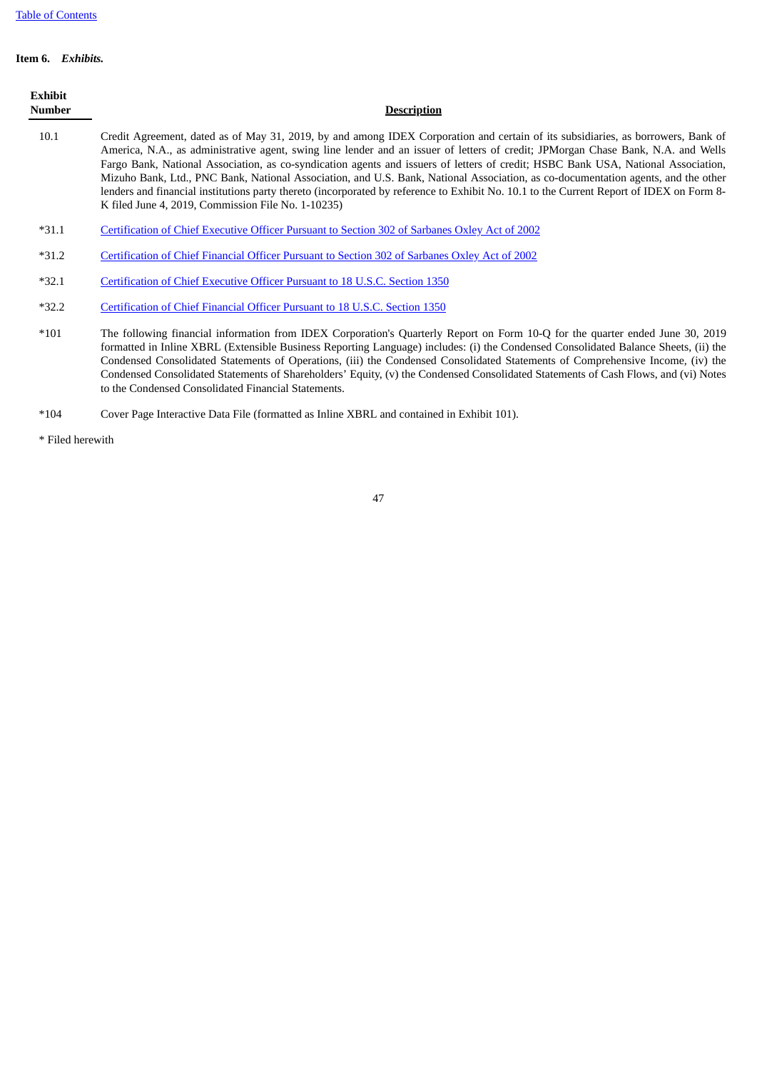# <span id="page-49-0"></span>Table of [Contents](#page-2-0)

# **Item 6.** *Exhibits.*

| <b>Exhibit</b><br><b>Number</b> | <b>Description</b>                                                                                                                                                                                                                                                                                                                                                                                                                                                                                                                                                                                                                                                                                                                                |
|---------------------------------|---------------------------------------------------------------------------------------------------------------------------------------------------------------------------------------------------------------------------------------------------------------------------------------------------------------------------------------------------------------------------------------------------------------------------------------------------------------------------------------------------------------------------------------------------------------------------------------------------------------------------------------------------------------------------------------------------------------------------------------------------|
| 10.1                            | Credit Agreement, dated as of May 31, 2019, by and among IDEX Corporation and certain of its subsidiaries, as borrowers, Bank of<br>America, N.A., as administrative agent, swing line lender and an issuer of letters of credit; JPMorgan Chase Bank, N.A. and Wells<br>Fargo Bank, National Association, as co-syndication agents and issuers of letters of credit; HSBC Bank USA, National Association,<br>Mizuho Bank, Ltd., PNC Bank, National Association, and U.S. Bank, National Association, as co-documentation agents, and the other<br>lenders and financial institutions party thereto (incorporated by reference to Exhibit No. 10.1 to the Current Report of IDEX on Form 8-<br>K filed June 4, 2019, Commission File No. 1-10235) |
| $*31.1$                         | <u>Certification of Chief Executive Officer Pursuant to Section 302 of Sarbanes Oxley Act of 2002</u>                                                                                                                                                                                                                                                                                                                                                                                                                                                                                                                                                                                                                                             |
| $*31.2$                         | <b>Certification of Chief Financial Officer Pursuant to Section 302 of Sarbanes Oxley Act of 2002</b>                                                                                                                                                                                                                                                                                                                                                                                                                                                                                                                                                                                                                                             |
| $*32.1$                         | Certification of Chief Executive Officer Pursuant to 18 U.S.C. Section 1350                                                                                                                                                                                                                                                                                                                                                                                                                                                                                                                                                                                                                                                                       |
| $*32.2$                         | <b>Certification of Chief Financial Officer Pursuant to 18 U.S.C. Section 1350</b>                                                                                                                                                                                                                                                                                                                                                                                                                                                                                                                                                                                                                                                                |
| $*101$                          | The following financial information from IDEX Corporation's Quarterly Report on Form 10-Q for the quarter ended June 30, 2019<br>formatted in Inline XBRL (Extensible Business Reporting Language) includes: (i) the Condensed Consolidated Balance Sheets, (ii) the<br>Condensed Consolidated Statements of Operations, (iii) the Condensed Consolidated Statements of Comprehensive Income, (iv) the<br>Condensed Consolidated Statements of Shareholders' Equity, (v) the Condensed Consolidated Statements of Cash Flows, and (vi) Notes<br>to the Condensed Consolidated Financial Statements.                                                                                                                                               |

\*104 Cover Page Interactive Data File (formatted as Inline XBRL and contained in Exhibit 101).

\* Filed herewith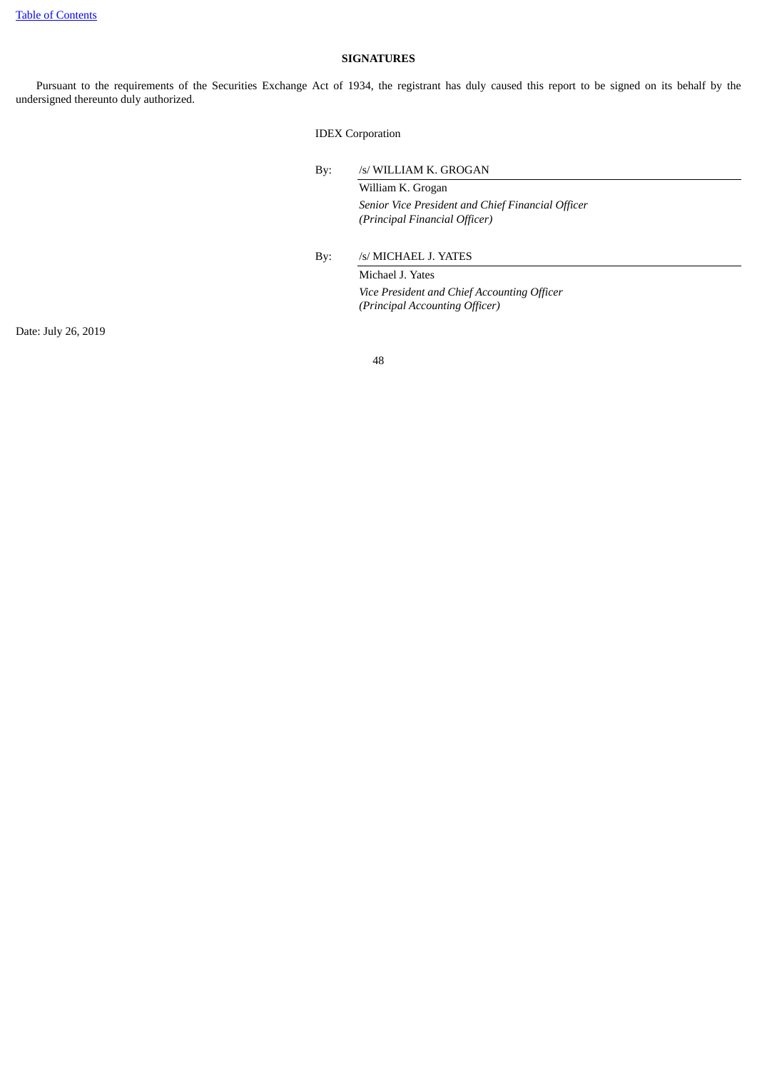### **SIGNATURES**

<span id="page-50-0"></span>Pursuant to the requirements of the Securities Exchange Act of 1934, the registrant has duly caused this report to be signed on its behalf by the undersigned thereunto duly authorized.

IDEX Corporation

By: /s/ WILLIAM K. GROGAN

William K. Grogan *Senior Vice President and Chief Financial Officer (Principal Financial Officer)*

By: /s/ MICHAEL J. YATES

Michael J. Yates *Vice President and Chief Accounting Officer (Principal Accounting Officer)*

Date: July 26, 2019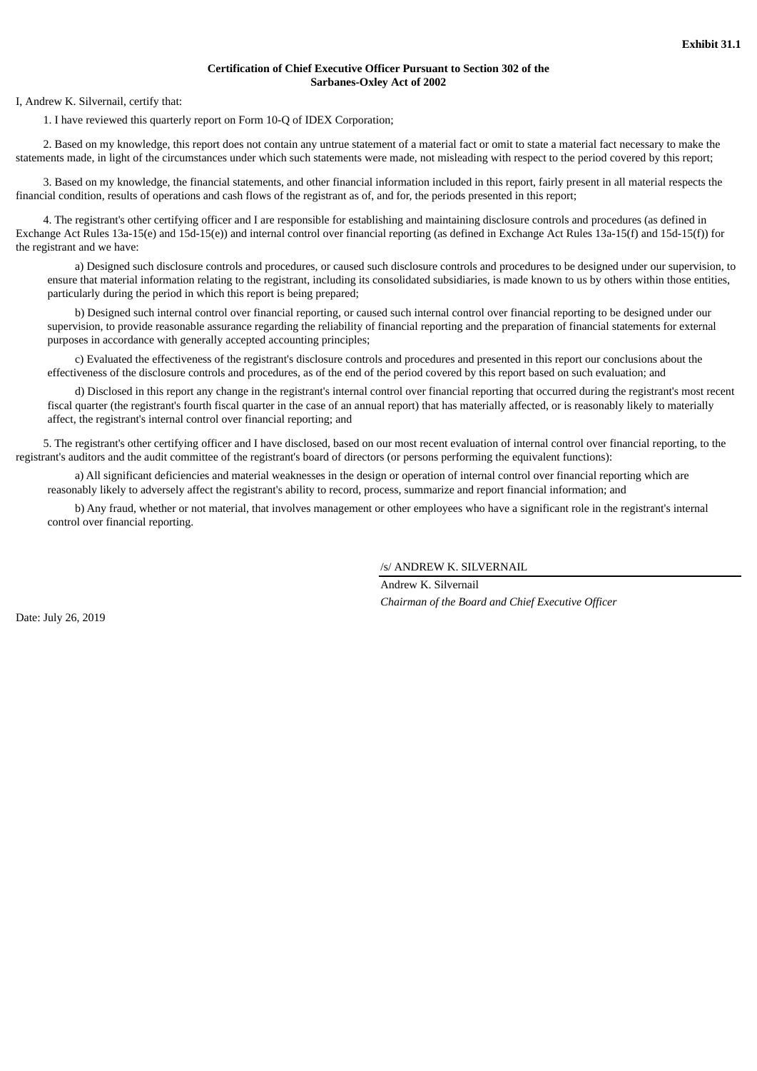### **Certification of Chief Executive Officer Pursuant to Section 302 of the Sarbanes-Oxley Act of 2002**

<span id="page-51-0"></span>I, Andrew K. Silvernail, certify that:

1. I have reviewed this quarterly report on Form 10-Q of IDEX Corporation;

2. Based on my knowledge, this report does not contain any untrue statement of a material fact or omit to state a material fact necessary to make the statements made, in light of the circumstances under which such statements were made, not misleading with respect to the period covered by this report;

3. Based on my knowledge, the financial statements, and other financial information included in this report, fairly present in all material respects the financial condition, results of operations and cash flows of the registrant as of, and for, the periods presented in this report;

4. The registrant's other certifying officer and I are responsible for establishing and maintaining disclosure controls and procedures (as defined in Exchange Act Rules 13a-15(e) and 15d-15(e)) and internal control over financial reporting (as defined in Exchange Act Rules 13a-15(f) and 15d-15(f)) for the registrant and we have:

a) Designed such disclosure controls and procedures, or caused such disclosure controls and procedures to be designed under our supervision, to ensure that material information relating to the registrant, including its consolidated subsidiaries, is made known to us by others within those entities, particularly during the period in which this report is being prepared;

b) Designed such internal control over financial reporting, or caused such internal control over financial reporting to be designed under our supervision, to provide reasonable assurance regarding the reliability of financial reporting and the preparation of financial statements for external purposes in accordance with generally accepted accounting principles;

c) Evaluated the effectiveness of the registrant's disclosure controls and procedures and presented in this report our conclusions about the effectiveness of the disclosure controls and procedures, as of the end of the period covered by this report based on such evaluation; and

d) Disclosed in this report any change in the registrant's internal control over financial reporting that occurred during the registrant's most recent fiscal quarter (the registrant's fourth fiscal quarter in the case of an annual report) that has materially affected, or is reasonably likely to materially affect, the registrant's internal control over financial reporting; and

5. The registrant's other certifying officer and I have disclosed, based on our most recent evaluation of internal control over financial reporting, to the registrant's auditors and the audit committee of the registrant's board of directors (or persons performing the equivalent functions):

a) All significant deficiencies and material weaknesses in the design or operation of internal control over financial reporting which are reasonably likely to adversely affect the registrant's ability to record, process, summarize and report financial information; and

b) Any fraud, whether or not material, that involves management or other employees who have a significant role in the registrant's internal control over financial reporting.

/s/ ANDREW K. SILVERNAIL

Andrew K. Silvernail *Chairman of the Board and Chief Executive Officer*

Date: July 26, 2019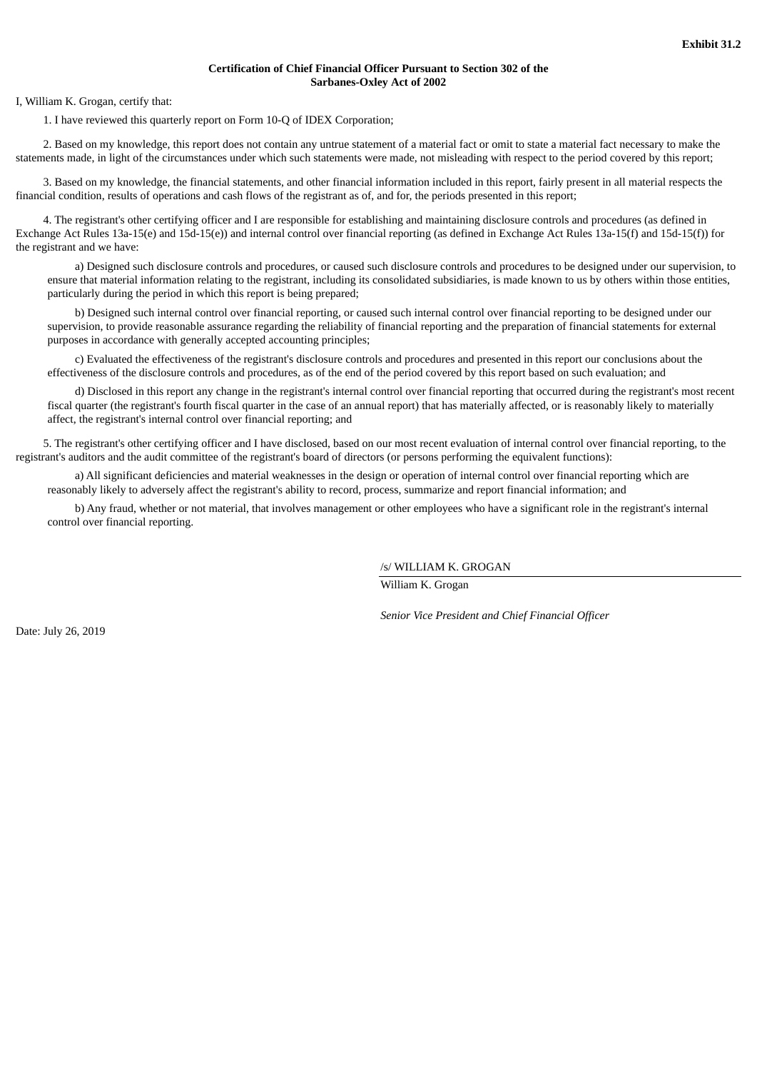### **Certification of Chief Financial Officer Pursuant to Section 302 of the Sarbanes-Oxley Act of 2002**

<span id="page-52-0"></span>I, William K. Grogan, certify that:

1. I have reviewed this quarterly report on Form 10-Q of IDEX Corporation;

2. Based on my knowledge, this report does not contain any untrue statement of a material fact or omit to state a material fact necessary to make the statements made, in light of the circumstances under which such statements were made, not misleading with respect to the period covered by this report;

3. Based on my knowledge, the financial statements, and other financial information included in this report, fairly present in all material respects the financial condition, results of operations and cash flows of the registrant as of, and for, the periods presented in this report;

4. The registrant's other certifying officer and I are responsible for establishing and maintaining disclosure controls and procedures (as defined in Exchange Act Rules 13a-15(e) and 15d-15(e)) and internal control over financial reporting (as defined in Exchange Act Rules 13a-15(f) and 15d-15(f)) for the registrant and we have:

a) Designed such disclosure controls and procedures, or caused such disclosure controls and procedures to be designed under our supervision, to ensure that material information relating to the registrant, including its consolidated subsidiaries, is made known to us by others within those entities, particularly during the period in which this report is being prepared;

b) Designed such internal control over financial reporting, or caused such internal control over financial reporting to be designed under our supervision, to provide reasonable assurance regarding the reliability of financial reporting and the preparation of financial statements for external purposes in accordance with generally accepted accounting principles;

c) Evaluated the effectiveness of the registrant's disclosure controls and procedures and presented in this report our conclusions about the effectiveness of the disclosure controls and procedures, as of the end of the period covered by this report based on such evaluation; and

d) Disclosed in this report any change in the registrant's internal control over financial reporting that occurred during the registrant's most recent fiscal quarter (the registrant's fourth fiscal quarter in the case of an annual report) that has materially affected, or is reasonably likely to materially affect, the registrant's internal control over financial reporting; and

5. The registrant's other certifying officer and I have disclosed, based on our most recent evaluation of internal control over financial reporting, to the registrant's auditors and the audit committee of the registrant's board of directors (or persons performing the equivalent functions):

a) All significant deficiencies and material weaknesses in the design or operation of internal control over financial reporting which are reasonably likely to adversely affect the registrant's ability to record, process, summarize and report financial information; and

b) Any fraud, whether or not material, that involves management or other employees who have a significant role in the registrant's internal control over financial reporting.

/s/ WILLIAM K. GROGAN

William K. Grogan

Date: July 26, 2019

*Senior Vice President and Chief Financial Officer*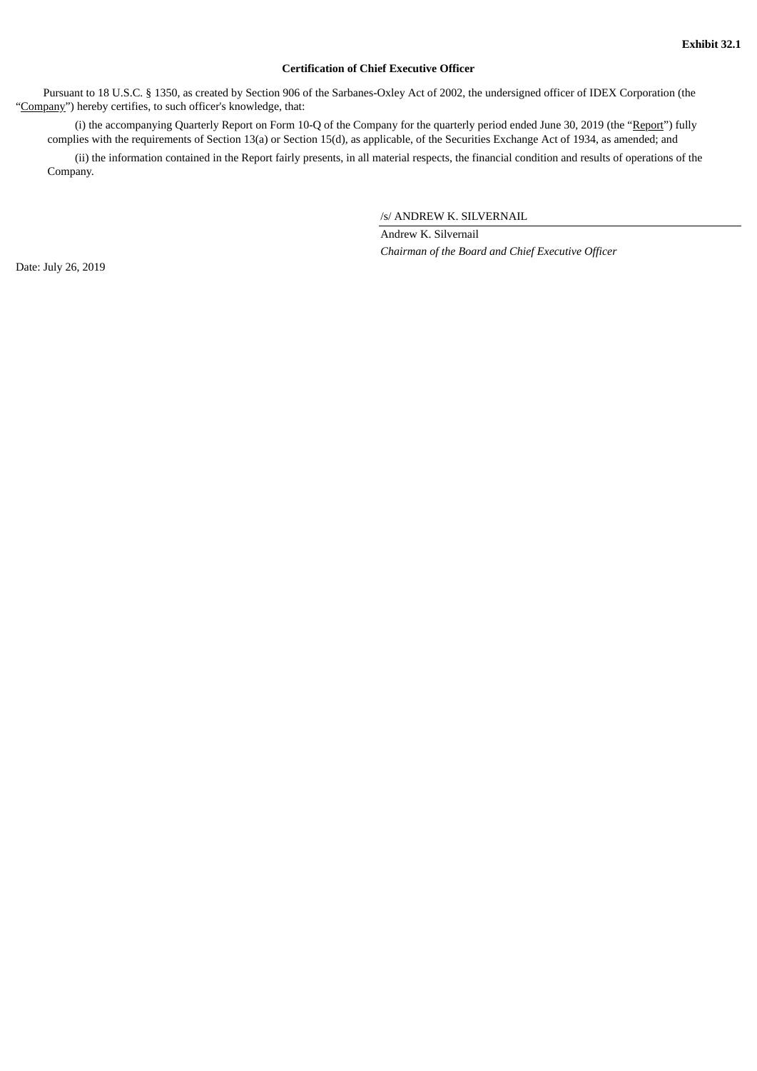# **Certification of Chief Executive Officer**

<span id="page-53-0"></span>Pursuant to 18 U.S.C. § 1350, as created by Section 906 of the Sarbanes-Oxley Act of 2002, the undersigned officer of IDEX Corporation (the "Company") hereby certifies, to such officer's knowledge, that:

(i) the accompanying Quarterly Report on Form 10-Q of the Company for the quarterly period ended June 30, 2019 (the "Report") fully complies with the requirements of Section 13(a) or Section 15(d), as applicable, of the Securities Exchange Act of 1934, as amended; and

(ii) the information contained in the Report fairly presents, in all material respects, the financial condition and results of operations of the Company.

/s/ ANDREW K. SILVERNAIL

Andrew K. Silvernail *Chairman of the Board and Chief Executive Officer*

Date: July 26, 2019